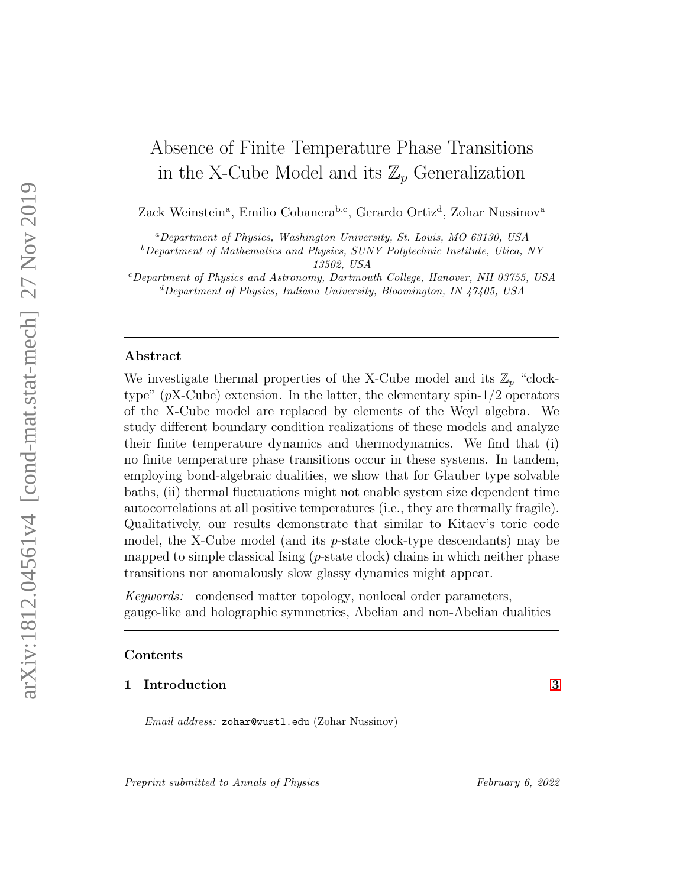# Absence of Finite Temperature Phase Transitions in the X-Cube Model and its  $\mathbb{Z}_p$  Generalization

Zack Weinstein<sup>a</sup>, Emilio Cobanera<sup>b,c</sup>, Gerardo Ortiz<sup>d</sup>, Zohar Nussinov<sup>a</sup>

<sup>a</sup>Department of Physics, Washington University, St. Louis, MO 63130, USA

 $b$ Department of Mathematics and Physics, SUNY Polytechnic Institute, Utica, NY 13502, USA

<sup>c</sup>Department of Physics and Astronomy, Dartmouth College, Hanover, NH 03755, USA  ${}^d$ Department of Physics, Indiana University, Bloomington, IN 47405, USA

# Abstract

We investigate thermal properties of the X-Cube model and its  $\mathbb{Z}_p$  "clocktype"  $(pX$ -Cube) extension. In the latter, the elementary spin- $1/2$  operators of the X-Cube model are replaced by elements of the Weyl algebra. We study different boundary condition realizations of these models and analyze their finite temperature dynamics and thermodynamics. We find that (i) no finite temperature phase transitions occur in these systems. In tandem, employing bond-algebraic dualities, we show that for Glauber type solvable baths, (ii) thermal fluctuations might not enable system size dependent time autocorrelations at all positive temperatures (i.e., they are thermally fragile). Qualitatively, our results demonstrate that similar to Kitaev's toric code model, the X-Cube model (and its  $p$ -state clock-type descendants) may be mapped to simple classical Ising  $(p\text{-state clock})$  chains in which neither phase transitions nor anomalously slow glassy dynamics might appear.

Keywords: condensed matter topology, nonlocal order parameters, gauge-like and holographic symmetries, Abelian and non-Abelian dualities

# Contents

# 1 Introduction [3](#page-2-0)

Email address: zohar@wustl.edu (Zohar Nussinov)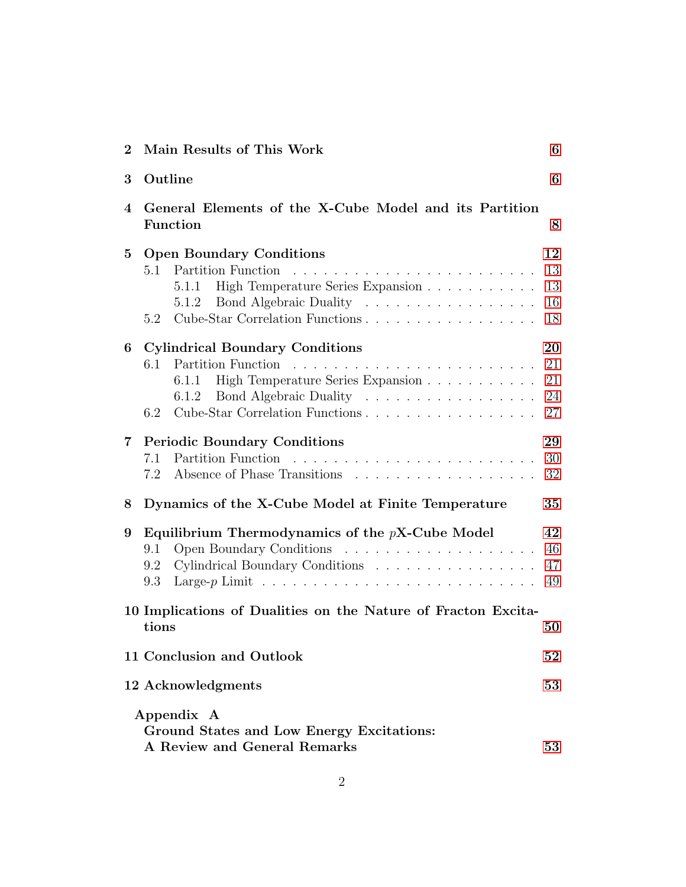| $\bf{2}$       | Main Results of This Work                                                                                                                                                                    | 6                          |  |  |  |  |
|----------------|----------------------------------------------------------------------------------------------------------------------------------------------------------------------------------------------|----------------------------|--|--|--|--|
| 3              | Outline                                                                                                                                                                                      | 6                          |  |  |  |  |
| 4              | General Elements of the X-Cube Model and its Partition<br><b>Function</b>                                                                                                                    |                            |  |  |  |  |
| $\bf{5}$       | <b>Open Boundary Conditions</b><br>Partition Function<br>5.1<br>High Temperature Series Expansion<br>5.1.1<br>Bond Algebraic Duality<br>5.1.2<br>Cube-Star Correlation Functions<br>5.2      | 12<br>13<br>13<br>16<br>18 |  |  |  |  |
| 6              | <b>Cylindrical Boundary Conditions</b><br>6.1<br>High Temperature Series Expansion<br>6.1.1<br>Bond Algebraic Duality<br>6.1.2<br>Cube-Star Correlation Functions<br>6.2                     | 20<br>21<br>21<br>24<br>27 |  |  |  |  |
| $\overline{7}$ | <b>Periodic Boundary Conditions</b><br>7.1<br>7.2                                                                                                                                            | 29<br>30<br>32             |  |  |  |  |
| 8              | Dynamics of the X-Cube Model at Finite Temperature                                                                                                                                           | 35                         |  |  |  |  |
| 9              | Equilibrium Thermodynamics of the $pX$ -Cube Model<br>9.1<br>Cylindrical Boundary Conditions<br>9.2<br>Large-p Limit $\ldots \ldots \ldots \ldots \ldots \ldots \ldots \ldots \ldots$<br>9.3 | 42<br>46<br>47<br>49       |  |  |  |  |
|                | 10 Implications of Dualities on the Nature of Fracton Excita-<br>tions                                                                                                                       | 50                         |  |  |  |  |
|                | 11 Conclusion and Outlook                                                                                                                                                                    | 52                         |  |  |  |  |
|                | 12 Acknowledgments                                                                                                                                                                           | 53                         |  |  |  |  |
|                | Appendix A<br>Ground States and Low Energy Excitations:<br>A Review and General Remarks                                                                                                      | 53                         |  |  |  |  |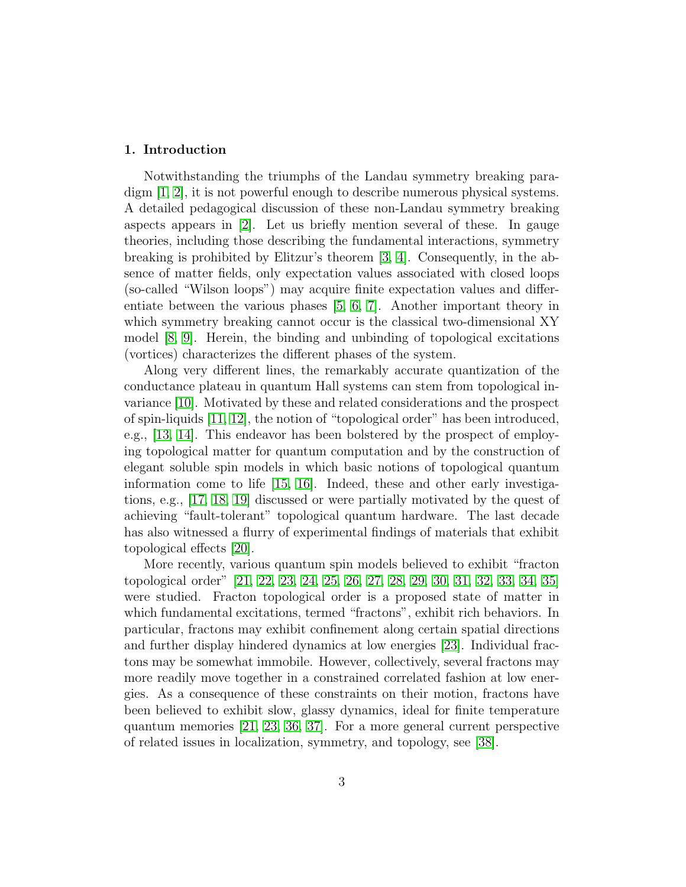# <span id="page-2-0"></span>1. Introduction

Notwithstanding the triumphs of the Landau symmetry breaking paradigm [\[1,](#page-59-0) [2\]](#page-59-1), it is not powerful enough to describe numerous physical systems. A detailed pedagogical discussion of these non-Landau symmetry breaking aspects appears in [\[2\]](#page-59-1). Let us briefly mention several of these. In gauge theories, including those describing the fundamental interactions, symmetry breaking is prohibited by Elitzur's theorem [\[3,](#page-59-2) [4\]](#page-59-3). Consequently, in the absence of matter fields, only expectation values associated with closed loops (so-called "Wilson loops") may acquire finite expectation values and differentiate between the various phases [\[5,](#page-59-4) [6,](#page-59-5) [7\]](#page-59-6). Another important theory in which symmetry breaking cannot occur is the classical two-dimensional XY model [\[8,](#page-59-7) [9\]](#page-59-8). Herein, the binding and unbinding of topological excitations (vortices) characterizes the different phases of the system.

Along very different lines, the remarkably accurate quantization of the conductance plateau in quantum Hall systems can stem from topological invariance [\[10\]](#page-59-9). Motivated by these and related considerations and the prospect of spin-liquids [\[11,](#page-59-10) [12\]](#page-60-0), the notion of "topological order" has been introduced, e.g., [\[13,](#page-60-1) [14\]](#page-60-2). This endeavor has been bolstered by the prospect of employing topological matter for quantum computation and by the construction of elegant soluble spin models in which basic notions of topological quantum information come to life [\[15,](#page-60-3) [16\]](#page-60-4). Indeed, these and other early investigations, e.g., [\[17,](#page-60-5) [18,](#page-60-6) [19\]](#page-60-7) discussed or were partially motivated by the quest of achieving "fault-tolerant" topological quantum hardware. The last decade has also witnessed a flurry of experimental findings of materials that exhibit topological effects [\[20\]](#page-60-8).

More recently, various quantum spin models believed to exhibit "fracton topological order" [\[21,](#page-60-9) [22,](#page-60-10) [23,](#page-60-11) [24,](#page-61-0) [25,](#page-61-1) [26,](#page-61-2) [27,](#page-61-3) [28,](#page-61-4) [29,](#page-61-5) [30,](#page-61-6) [31,](#page-61-7) [32,](#page-61-8) [33,](#page-61-9) [34,](#page-61-10) [35\]](#page-61-11) were studied. Fracton topological order is a proposed state of matter in which fundamental excitations, termed "fractons", exhibit rich behaviors. In particular, fractons may exhibit confinement along certain spatial directions and further display hindered dynamics at low energies [\[23\]](#page-60-11). Individual fractons may be somewhat immobile. However, collectively, several fractons may more readily move together in a constrained correlated fashion at low energies. As a consequence of these constraints on their motion, fractons have been believed to exhibit slow, glassy dynamics, ideal for finite temperature quantum memories [\[21,](#page-60-9) [23,](#page-60-11) [36,](#page-62-0) [37\]](#page-62-1). For a more general current perspective of related issues in localization, symmetry, and topology, see [\[38\]](#page-62-2).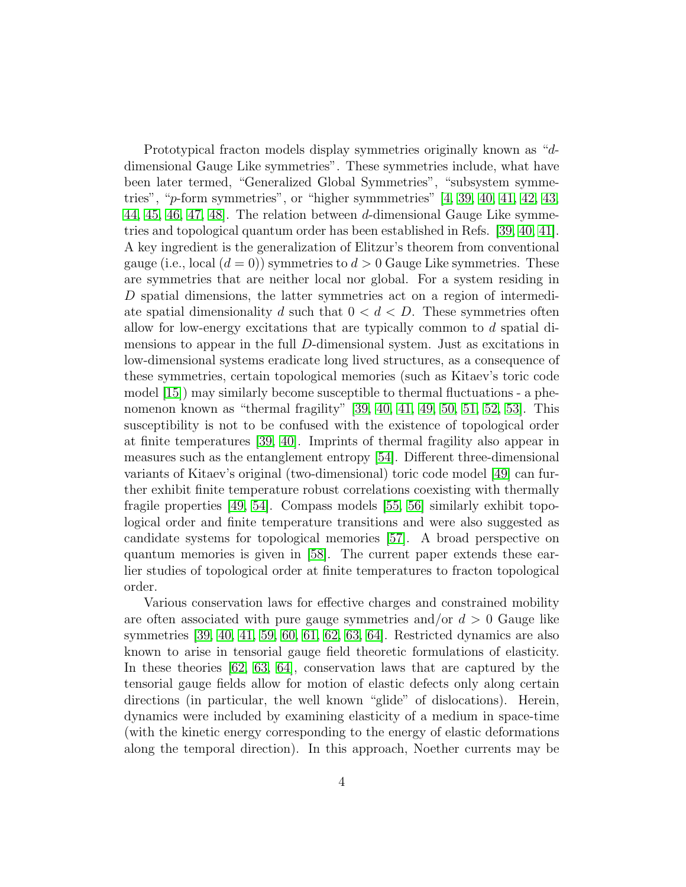Prototypical fracton models display symmetries originally known as "ddimensional Gauge Like symmetries". These symmetries include, what have been later termed, "Generalized Global Symmetries", "subsystem symmetries", "p-form symmetries", or "higher symmmetries" [\[4,](#page-59-3) [39,](#page-62-3) [40,](#page-62-4) [41,](#page-62-5) [42,](#page-62-6) [43,](#page-62-7) [44,](#page-62-8) [45,](#page-62-9) [46,](#page-62-10) [47,](#page-62-11) [48\]](#page-63-0). The relation between d-dimensional Gauge Like symmetries and topological quantum order has been established in Refs. [\[39,](#page-62-3) [40,](#page-62-4) [41\]](#page-62-5). A key ingredient is the generalization of Elitzur's theorem from conventional gauge (i.e., local  $(d = 0)$ ) symmetries to  $d > 0$  Gauge Like symmetries. These are symmetries that are neither local nor global. For a system residing in D spatial dimensions, the latter symmetries act on a region of intermediate spatial dimensionality d such that  $0 < d < D$ . These symmetries often allow for low-energy excitations that are typically common to  $d$  spatial dimensions to appear in the full D-dimensional system. Just as excitations in low-dimensional systems eradicate long lived structures, as a consequence of these symmetries, certain topological memories (such as Kitaev's toric code model [\[15\]](#page-60-3)) may similarly become susceptible to thermal fluctuations - a phenomenon known as "thermal fragility" [\[39,](#page-62-3) [40,](#page-62-4) [41,](#page-62-5) [49,](#page-63-1) [50,](#page-63-2) [51,](#page-63-3) [52,](#page-63-4) [53\]](#page-63-5). This susceptibility is not to be confused with the existence of topological order at finite temperatures [\[39,](#page-62-3) [40\]](#page-62-4). Imprints of thermal fragility also appear in measures such as the entanglement entropy [\[54\]](#page-63-6). Different three-dimensional variants of Kitaev's original (two-dimensional) toric code model [\[49\]](#page-63-1) can further exhibit finite temperature robust correlations coexisting with thermally fragile properties [\[49,](#page-63-1) [54\]](#page-63-6). Compass models [\[55,](#page-63-7) [56\]](#page-63-8) similarly exhibit topological order and finite temperature transitions and were also suggested as candidate systems for topological memories [\[57\]](#page-63-9). A broad perspective on quantum memories is given in [\[58\]](#page-63-10). The current paper extends these earlier studies of topological order at finite temperatures to fracton topological order.

Various conservation laws for effective charges and constrained mobility are often associated with pure gauge symmetries and/or  $d > 0$  Gauge like symmetries [\[39,](#page-62-3) [40,](#page-62-4) [41,](#page-62-5) [59,](#page-64-0) [60,](#page-64-1) [61,](#page-64-2) [62,](#page-64-3) [63,](#page-64-4) [64\]](#page-64-5). Restricted dynamics are also known to arise in tensorial gauge field theoretic formulations of elasticity. In these theories [\[62,](#page-64-3) [63,](#page-64-4) [64\]](#page-64-5), conservation laws that are captured by the tensorial gauge fields allow for motion of elastic defects only along certain directions (in particular, the well known "glide" of dislocations). Herein, dynamics were included by examining elasticity of a medium in space-time (with the kinetic energy corresponding to the energy of elastic deformations along the temporal direction). In this approach, Noether currents may be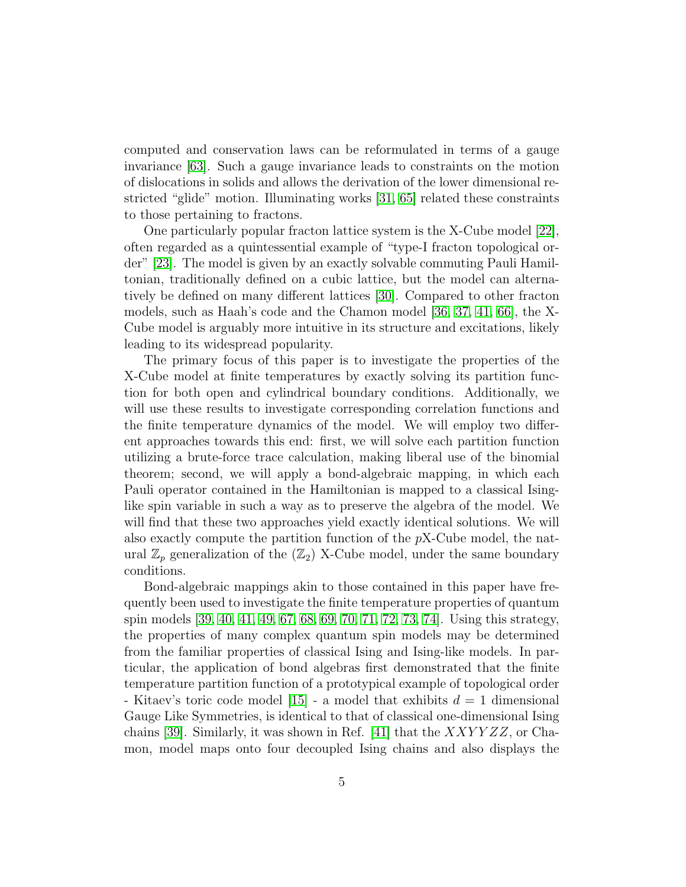computed and conservation laws can be reformulated in terms of a gauge invariance [\[63\]](#page-64-4). Such a gauge invariance leads to constraints on the motion of dislocations in solids and allows the derivation of the lower dimensional restricted "glide" motion. Illuminating works [\[31,](#page-61-7) [65\]](#page-64-6) related these constraints to those pertaining to fractons.

One particularly popular fracton lattice system is the X-Cube model [\[22\]](#page-60-10), often regarded as a quintessential example of "type-I fracton topological order" [\[23\]](#page-60-11). The model is given by an exactly solvable commuting Pauli Hamiltonian, traditionally defined on a cubic lattice, but the model can alternatively be defined on many different lattices [\[30\]](#page-61-6). Compared to other fracton models, such as Haah's code and the Chamon model [\[36,](#page-62-0) [37,](#page-62-1) [41,](#page-62-5) [66\]](#page-64-7), the X-Cube model is arguably more intuitive in its structure and excitations, likely leading to its widespread popularity.

The primary focus of this paper is to investigate the properties of the X-Cube model at finite temperatures by exactly solving its partition function for both open and cylindrical boundary conditions. Additionally, we will use these results to investigate corresponding correlation functions and the finite temperature dynamics of the model. We will employ two different approaches towards this end: first, we will solve each partition function utilizing a brute-force trace calculation, making liberal use of the binomial theorem; second, we will apply a bond-algebraic mapping, in which each Pauli operator contained in the Hamiltonian is mapped to a classical Isinglike spin variable in such a way as to preserve the algebra of the model. We will find that these two approaches yield exactly identical solutions. We will also exactly compute the partition function of the pX-Cube model, the natural  $\mathbb{Z}_p$  generalization of the  $(\mathbb{Z}_2)$  X-Cube model, under the same boundary conditions.

Bond-algebraic mappings akin to those contained in this paper have frequently been used to investigate the finite temperature properties of quantum spin models [\[39,](#page-62-3) [40,](#page-62-4) [41,](#page-62-5) [49,](#page-63-1) [67,](#page-64-8) [68,](#page-64-9) [69,](#page-65-0) [70,](#page-65-1) [71,](#page-65-2) [72,](#page-65-3) [73,](#page-65-4) [74\]](#page-65-5). Using this strategy, the properties of many complex quantum spin models may be determined from the familiar properties of classical Ising and Ising-like models. In particular, the application of bond algebras first demonstrated that the finite temperature partition function of a prototypical example of topological order - Kitaev's toric code model  $|15|$  - a model that exhibits  $d = 1$  dimensional Gauge Like Symmetries, is identical to that of classical one-dimensional Ising chains [\[39\]](#page-62-3). Similarly, it was shown in Ref. [\[41\]](#page-62-5) that the  $XXYYZZ$ , or Chamon, model maps onto four decoupled Ising chains and also displays the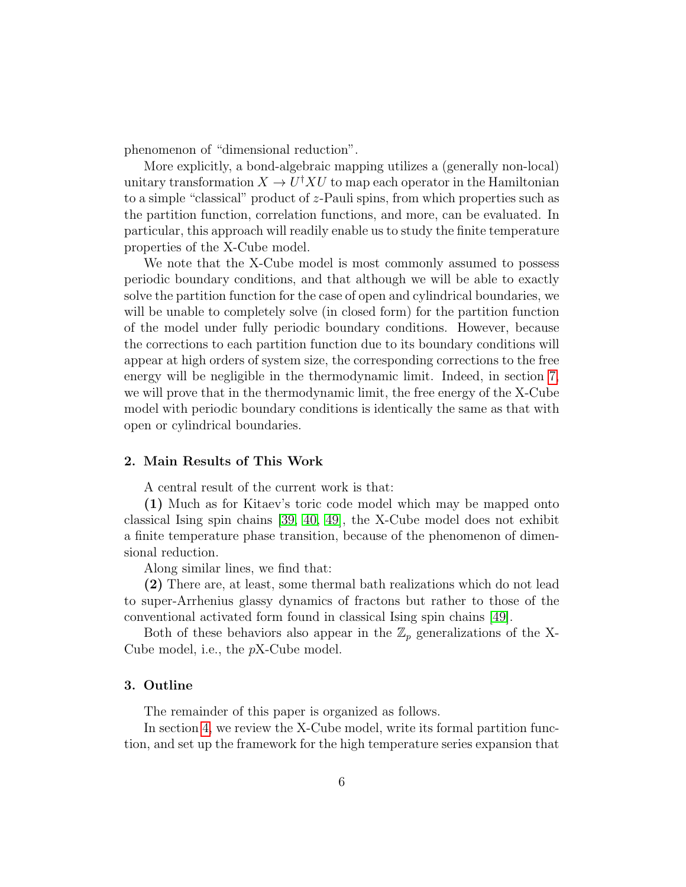phenomenon of "dimensional reduction".

More explicitly, a bond-algebraic mapping utilizes a (generally non-local) unitary transformation  $X \to U^{\dagger} X U$  to map each operator in the Hamiltonian to a simple "classical" product of z-Pauli spins, from which properties such as the partition function, correlation functions, and more, can be evaluated. In particular, this approach will readily enable us to study the finite temperature properties of the X-Cube model.

We note that the X-Cube model is most commonly assumed to possess periodic boundary conditions, and that although we will be able to exactly solve the partition function for the case of open and cylindrical boundaries, we will be unable to completely solve (in closed form) for the partition function of the model under fully periodic boundary conditions. However, because the corrections to each partition function due to its boundary conditions will appear at high orders of system size, the corresponding corrections to the free energy will be negligible in the thermodynamic limit. Indeed, in section [7,](#page-28-0) we will prove that in the thermodynamic limit, the free energy of the X-Cube model with periodic boundary conditions is identically the same as that with open or cylindrical boundaries.

# <span id="page-5-0"></span>2. Main Results of This Work

A central result of the current work is that:

(1) Much as for Kitaev's toric code model which may be mapped onto classical Ising spin chains [\[39,](#page-62-3) [40,](#page-62-4) [49\]](#page-63-1), the X-Cube model does not exhibit a finite temperature phase transition, because of the phenomenon of dimensional reduction.

Along similar lines, we find that:

(2) There are, at least, some thermal bath realizations which do not lead to super-Arrhenius glassy dynamics of fractons but rather to those of the conventional activated form found in classical Ising spin chains [\[49\]](#page-63-1).

Both of these behaviors also appear in the  $\mathbb{Z}_p$  generalizations of the X-Cube model, i.e., the pX-Cube model.

# <span id="page-5-1"></span>3. Outline

The remainder of this paper is organized as follows.

In section [4,](#page-7-0) we review the X-Cube model, write its formal partition function, and set up the framework for the high temperature series expansion that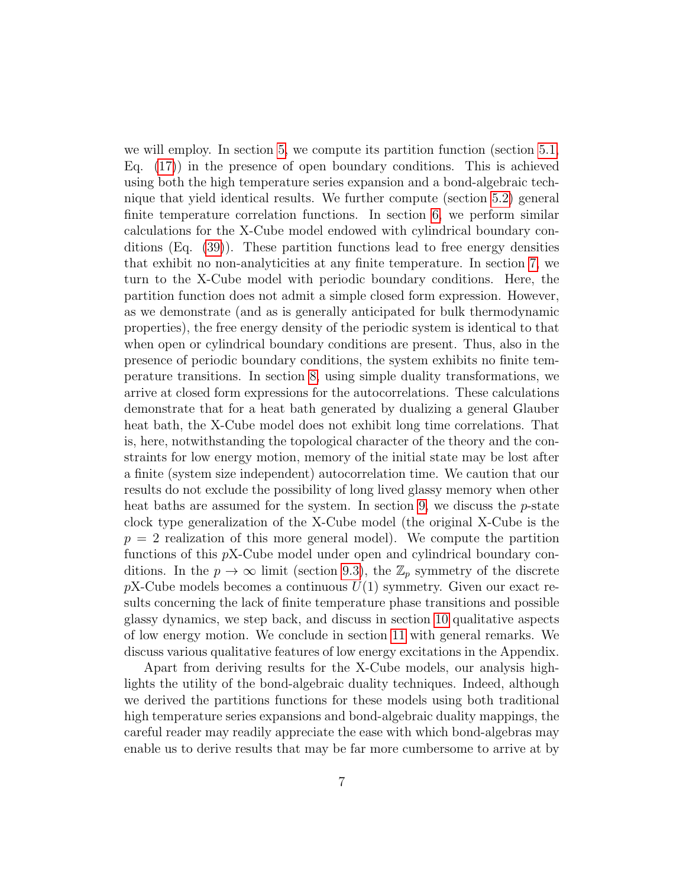we will employ. In section [5,](#page-11-0) we compute its partition function (section [5.1,](#page-12-0) Eq.  $(17)$  in the presence of open boundary conditions. This is achieved using both the high temperature series expansion and a bond-algebraic technique that yield identical results. We further compute (section [5.2\)](#page-17-0) general finite temperature correlation functions. In section [6,](#page-19-0) we perform similar calculations for the X-Cube model endowed with cylindrical boundary conditions (Eq. [\(39\)](#page-22-0)). These partition functions lead to free energy densities that exhibit no non-analyticities at any finite temperature. In section [7,](#page-28-0) we turn to the X-Cube model with periodic boundary conditions. Here, the partition function does not admit a simple closed form expression. However, as we demonstrate (and as is generally anticipated for bulk thermodynamic properties), the free energy density of the periodic system is identical to that when open or cylindrical boundary conditions are present. Thus, also in the presence of periodic boundary conditions, the system exhibits no finite temperature transitions. In section [8,](#page-34-0) using simple duality transformations, we arrive at closed form expressions for the autocorrelations. These calculations demonstrate that for a heat bath generated by dualizing a general Glauber heat bath, the X-Cube model does not exhibit long time correlations. That is, here, notwithstanding the topological character of the theory and the constraints for low energy motion, memory of the initial state may be lost after a finite (system size independent) autocorrelation time. We caution that our results do not exclude the possibility of long lived glassy memory when other heat baths are assumed for the system. In section [9,](#page-41-0) we discuss the  $p$ -state clock type generalization of the X-Cube model (the original X-Cube is the  $p = 2$  realization of this more general model). We compute the partition functions of this pX-Cube model under open and cylindrical boundary conditions. In the  $p \to \infty$  limit (section [9.3\)](#page-48-0), the  $\mathbb{Z}_p$  symmetry of the discrete  $pX$ -Cube models becomes a continuous  $U(1)$  symmetry. Given our exact results concerning the lack of finite temperature phase transitions and possible glassy dynamics, we step back, and discuss in section [10](#page-49-0) qualitative aspects of low energy motion. We conclude in section [11](#page-51-0) with general remarks. We discuss various qualitative features of low energy excitations in the Appendix.

Apart from deriving results for the X-Cube models, our analysis highlights the utility of the bond-algebraic duality techniques. Indeed, although we derived the partitions functions for these models using both traditional high temperature series expansions and bond-algebraic duality mappings, the careful reader may readily appreciate the ease with which bond-algebras may enable us to derive results that may be far more cumbersome to arrive at by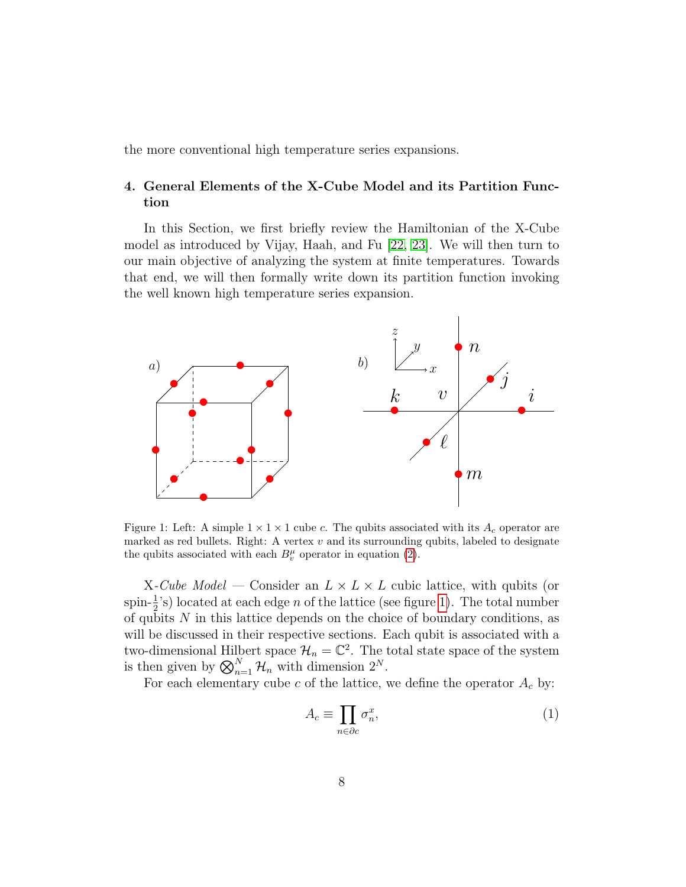the more conventional high temperature series expansions.

# <span id="page-7-0"></span>4. General Elements of the X-Cube Model and its Partition Function

In this Section, we first briefly review the Hamiltonian of the X-Cube model as introduced by Vijay, Haah, and Fu [\[22,](#page-60-10) [23\]](#page-60-11). We will then turn to our main objective of analyzing the system at finite temperatures. Towards that end, we will then formally write down its partition function invoking the well known high temperature series expansion.



<span id="page-7-1"></span>Figure 1: Left: A simple  $1 \times 1 \times 1$  cube c. The qubits associated with its  $A_c$  operator are marked as red bullets. Right: A vertex  $v$  and its surrounding qubits, labeled to designate the qubits associated with each  $B_v^{\mu}$  operator in equation [\(2\)](#page-8-0).

X-Cube Model — Consider an  $L \times L \times L$  cubic lattice, with qubits (or spin- $\frac{1}{2}$ 's) located at each edge *n* of the lattice (see figure [1\)](#page-7-1). The total number of qubits  $N$  in this lattice depends on the choice of boundary conditions, as will be discussed in their respective sections. Each qubit is associated with a two-dimensional Hilbert space  $\mathcal{H}_n = \mathbb{C}^2$ . The total state space of the system is then given by  $\bigotimes_{n=1}^{N} \mathcal{H}_n$  with dimension  $2^N$ .

For each elementary cube c of the lattice, we define the operator  $A_c$  by:

$$
A_c \equiv \prod_{n \in \partial c} \sigma_n^x,\tag{1}
$$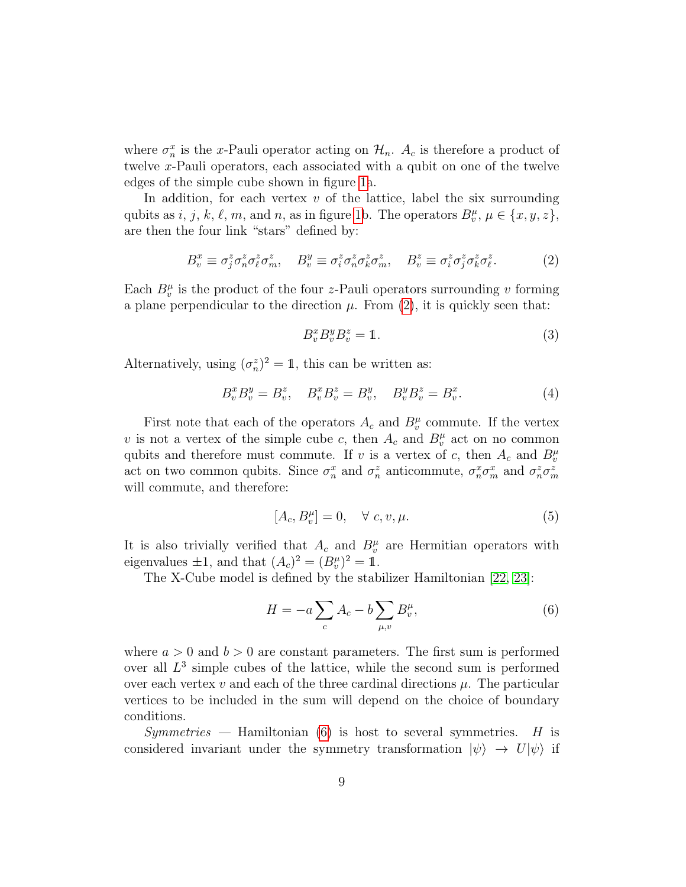where  $\sigma_n^x$  is the x-Pauli operator acting on  $\mathcal{H}_n$ .  $A_c$  is therefore a product of twelve x-Pauli operators, each associated with a qubit on one of the twelve edges of the simple cube shown in figure [1a](#page-7-1).

In addition, for each vertex  $v$  of the lattice, label the six surrounding qubits as  $i, j, k, \ell, m$ , and n, as in figure [1b](#page-7-1). The operators  $B_v^{\mu}, \mu \in \{x, y, z\}$ , are then the four link "stars" defined by:

<span id="page-8-0"></span>
$$
B_v^x \equiv \sigma_j^z \sigma_n^z \sigma_\ell^z \sigma_m^z, \quad B_v^y \equiv \sigma_i^z \sigma_n^z \sigma_k^z \sigma_m^z, \quad B_v^z \equiv \sigma_i^z \sigma_j^z \sigma_k^z \sigma_\ell^z. \tag{2}
$$

Each  $B_v^{\mu}$  is the product of the four z-Pauli operators surrounding v forming a plane perpendicular to the direction  $\mu$ . From [\(2\)](#page-8-0), it is quickly seen that:

<span id="page-8-2"></span>
$$
B_v^x B_v^y B_v^z = 1.
$$
\n<sup>(3)</sup>

Alternatively, using  $(\sigma_n^z)^2 = 1$ , this can be written as:

<span id="page-8-3"></span>
$$
B_v^x B_v^y = B_v^z, \quad B_v^x B_v^z = B_v^y, \quad B_v^y B_v^z = B_v^x. \tag{4}
$$

First note that each of the operators  $A_c$  and  $B_v^{\mu}$  commute. If the vertex v is not a vertex of the simple cube c, then  $A_c$  and  $B_v^{\mu}$  act on no common qubits and therefore must commute. If v is a vertex of c, then  $A_c$  and  $B_v^{\mu}$ act on two common qubits. Since  $\sigma_n^x$  and  $\sigma_n^z$  anticommute,  $\sigma_n^x \sigma_m^x$  and  $\sigma_n^z \sigma_m^z$ will commute, and therefore:

$$
[A_c, B_v^{\mu}] = 0, \quad \forall \ c, v, \mu.
$$
 (5)

It is also trivially verified that  $A_c$  and  $B_v^{\mu}$  are Hermitian operators with eigenvalues  $\pm 1$ , and that  $(A_c)^2 = (B_v^{\mu})^2 = 1$ .

The X-Cube model is defined by the stabilizer Hamiltonian [\[22,](#page-60-10) [23\]](#page-60-11):

<span id="page-8-1"></span>
$$
H = -a \sum_{c} A_c - b \sum_{\mu, v} B_v^{\mu}, \qquad (6)
$$

where  $a > 0$  and  $b > 0$  are constant parameters. The first sum is performed over all  $L^3$  simple cubes of the lattice, while the second sum is performed over each vertex  $v$  and each of the three cardinal directions  $\mu$ . The particular vertices to be included in the sum will depend on the choice of boundary conditions.

 $Symmetries$  — Hamiltonian [\(6\)](#page-8-1) is host to several symmetries. H is considered invariant under the symmetry transformation  $|\psi\rangle \rightarrow U|\psi\rangle$  if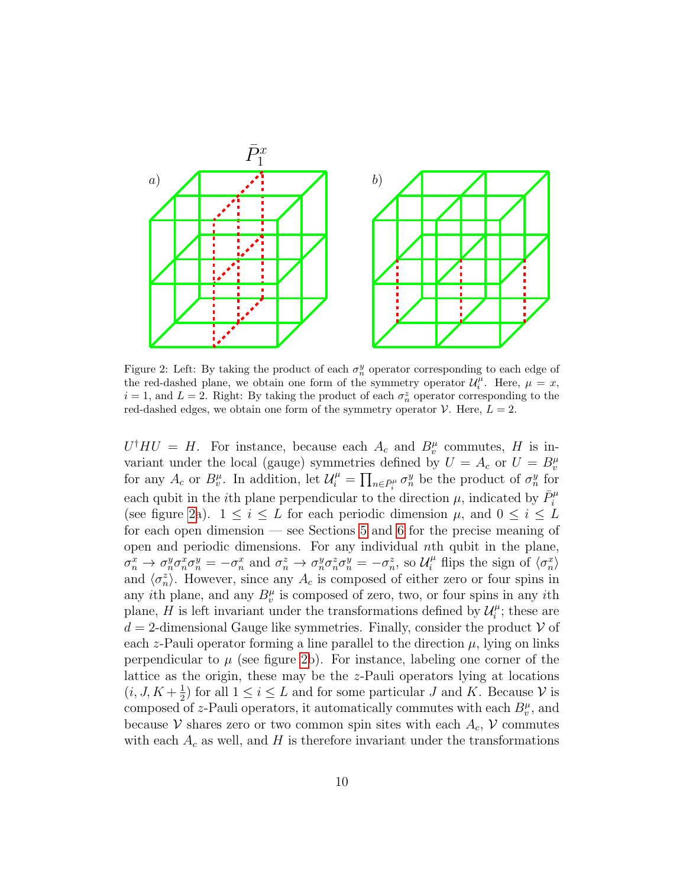

<span id="page-9-0"></span>Figure 2: Left: By taking the product of each  $\sigma_n^y$  operator corresponding to each edge of the red-dashed plane, we obtain one form of the symmetry operator  $\mathcal{U}_i^{\mu}$ . Here,  $\mu = x$ ,  $i = 1$ , and  $L = 2$ . Right: By taking the product of each  $\sigma_n^z$  operator corresponding to the red-dashed edges, we obtain one form of the symmetry operator  $\mathcal V$ . Here,  $L = 2$ .

 $U^{\dagger}HU = H$ . For instance, because each  $A_c$  and  $B_v^{\mu}$  commutes, H is invariant under the local (gauge) symmetries defined by  $U = A_c$  or  $U = B_v^{\mu}$ for any  $A_c$  or  $B_v^{\mu}$ . In addition, let  $\mathcal{U}_i^{\mu} = \prod_{n \in \bar{P}_i^{\mu}} \sigma_n^y$  be the product of  $\sigma_n^y$  for each qubit in the *i*<sup>th</sup> plane perpendicular to the direction  $\mu$ , indicated by  $\bar{P}_i^{\mu}$ (see figure [2a](#page-9-0)).  $1 \leq i \leq L$  for each periodic dimension  $\mu$ , and  $0 \leq i \leq L$ for each open dimension — see Sections [5](#page-11-0) and [6](#page-19-0) for the precise meaning of open and periodic dimensions. For any individual *th qubit in the plane,*  $\sigma_n^x \to \sigma_n^y \sigma_n^x \sigma_n^y = -\sigma_n^x$  and  $\sigma_n^z \to \sigma_n^y \sigma_n^z \sigma_n^y = -\sigma_n^z$ , so  $\mathcal{U}_i^{\mu}$  flips the sign of  $\langle \sigma_n^x \rangle$ and  $\langle \sigma_n^z \rangle$ . However, since any  $A_c$  is composed of either zero or four spins in any *i*th plane, and any  $B_v^{\mu}$  is composed of zero, two, or four spins in any *i*th plane, H is left invariant under the transformations defined by  $\mathcal{U}_i^{\mu}$  $i^{\mu}$ ; these are  $d = 2$ -dimensional Gauge like symmetries. Finally, consider the product V of each z-Pauli operator forming a line parallel to the direction  $\mu$ , lying on links perpendicular to  $\mu$  (see figure [2b](#page-9-0)). For instance, labeling one corner of the lattice as the origin, these may be the z-Pauli operators lying at locations  $(i, J, K + \frac{1}{2})$  $\frac{1}{2}$  for all  $1 \leq i \leq L$  and for some particular J and K. Because V is composed of z-Pauli operators, it automatically commutes with each  $B_v^{\mu}$ , and because V shares zero or two common spin sites with each  $A_c$ , V commutes with each  $A_c$  as well, and H is therefore invariant under the transformations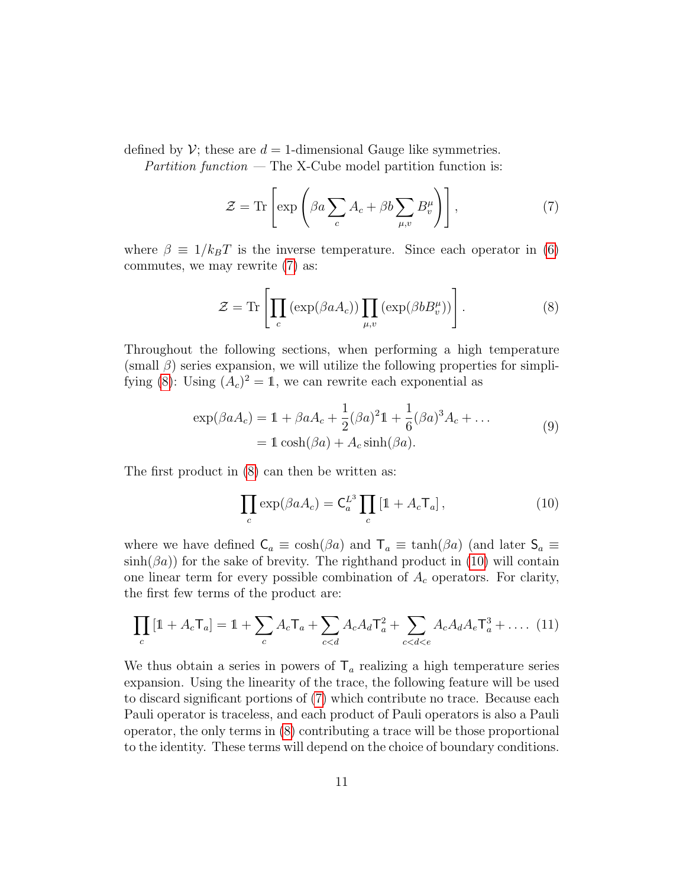defined by  $\mathcal V$ ; these are  $d = 1$ -dimensional Gauge like symmetries.

Partition function  $-$  The X-Cube model partition function is:

<span id="page-10-0"></span>
$$
\mathcal{Z} = \text{Tr}\left[\exp\left(\beta a \sum_{c} A_c + \beta b \sum_{\mu, v} B_v^{\mu}\right)\right],\tag{7}
$$

where  $\beta \equiv 1/k_BT$  is the inverse temperature. Since each operator in [\(6\)](#page-8-1) commutes, we may rewrite [\(7\)](#page-10-0) as:

<span id="page-10-1"></span>
$$
\mathcal{Z} = \text{Tr}\left[\prod_c \left(\exp(\beta a A_c)\right) \prod_{\mu, v} \left(\exp(\beta b B_v^{\mu})\right)\right].\tag{8}
$$

Throughout the following sections, when performing a high temperature  $(\text{small } \beta)$  series expansion, we will utilize the following properties for simpli-fying [\(8\)](#page-10-1): Using  $(A_c)^2 = 1$ , we can rewrite each exponential as

$$
\exp(\beta a A_c) = 1 + \beta a A_c + \frac{1}{2} (\beta a)^2 1 + \frac{1}{6} (\beta a)^3 A_c + \dots
$$
  
= 
$$
1 \cosh(\beta a) + A_c \sinh(\beta a). \tag{9}
$$

<span id="page-10-3"></span>The first product in [\(8\)](#page-10-1) can then be written as:

<span id="page-10-2"></span>
$$
\prod_{c} \exp(\beta a A_c) = \mathsf{C}_a^{L^3} \prod_{c} \left[ 1 + A_c \mathsf{T}_a \right],\tag{10}
$$

where we have defined  $C_a \equiv \cosh(\beta a)$  and  $T_a \equiv \tanh(\beta a)$  (and later  $S_a \equiv$  $\sinh(\beta a)$  for the sake of brevity. The righthand product in [\(10\)](#page-10-2) will contain one linear term for every possible combination of  $A_c$  operators. For clarity, the first few terms of the product are:

<span id="page-10-4"></span>
$$
\prod_{c} [1 + A_c \mathsf{T}_a] = 1 + \sum_{c} A_c \mathsf{T}_a + \sum_{c < d} A_c A_d \mathsf{T}_a^2 + \sum_{c < d < e} A_c A_d A_e \mathsf{T}_a^3 + \dots (11)
$$

We thus obtain a series in powers of  $T_a$  realizing a high temperature series expansion. Using the linearity of the trace, the following feature will be used to discard significant portions of [\(7\)](#page-10-0) which contribute no trace. Because each Pauli operator is traceless, and each product of Pauli operators is also a Pauli operator, the only terms in [\(8\)](#page-10-1) contributing a trace will be those proportional to the identity. These terms will depend on the choice of boundary conditions.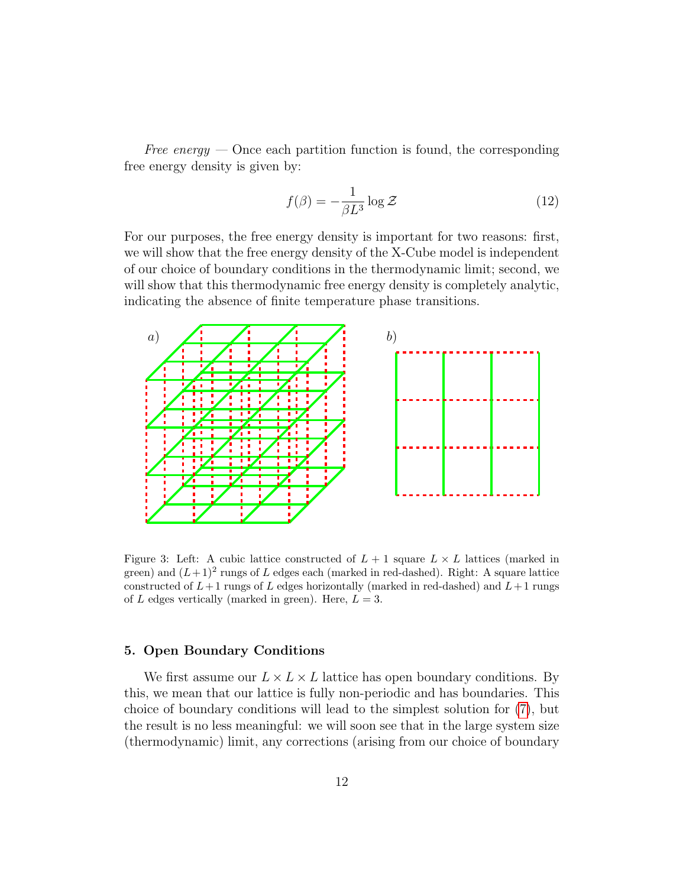Free energy  $-$  Once each partition function is found, the corresponding free energy density is given by:

$$
f(\beta) = -\frac{1}{\beta L^3} \log \mathcal{Z}
$$
 (12)

For our purposes, the free energy density is important for two reasons: first, we will show that the free energy density of the X-Cube model is independent of our choice of boundary conditions in the thermodynamic limit; second, we will show that this thermodynamic free energy density is completely analytic, indicating the absence of finite temperature phase transitions.



<span id="page-11-1"></span>Figure 3: Left: A cubic lattice constructed of  $L + 1$  square  $L \times L$  lattices (marked in green) and  $(L+1)^2$  rungs of L edges each (marked in red-dashed). Right: A square lattice constructed of  $L+1$  rungs of L edges horizontally (marked in red-dashed) and  $L+1$  rungs of L edges vertically (marked in green). Here,  $L = 3$ .

# <span id="page-11-0"></span>5. Open Boundary Conditions

We first assume our  $L \times L \times L$  lattice has open boundary conditions. By this, we mean that our lattice is fully non-periodic and has boundaries. This choice of boundary conditions will lead to the simplest solution for [\(7\)](#page-10-0), but the result is no less meaningful: we will soon see that in the large system size (thermodynamic) limit, any corrections (arising from our choice of boundary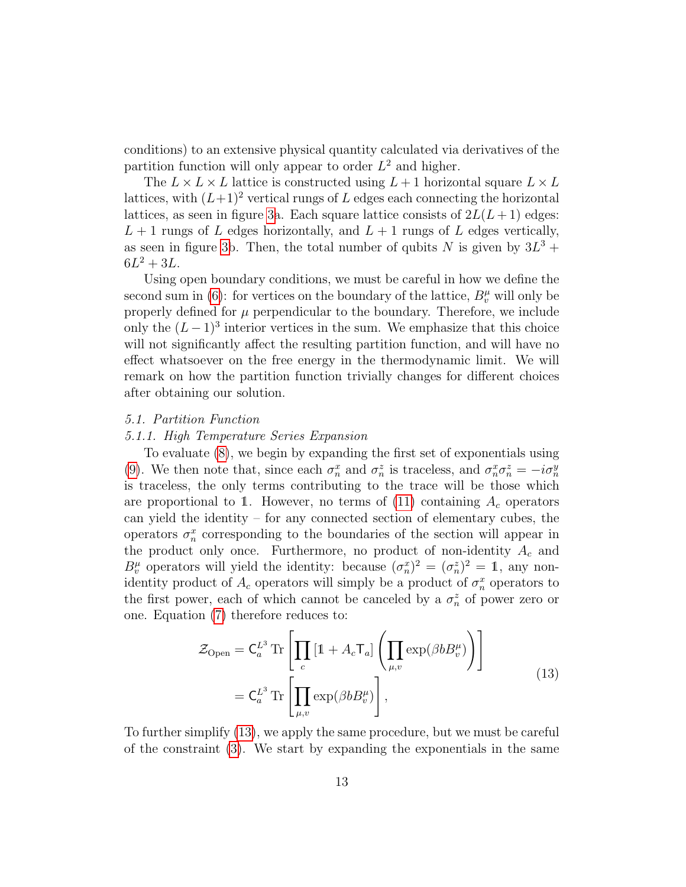conditions) to an extensive physical quantity calculated via derivatives of the partition function will only appear to order  $L^2$  and higher.

The  $L \times L \times L$  lattice is constructed using  $L + 1$  horizontal square  $L \times L$ lattices, with  $(L+1)^2$  vertical rungs of L edges each connecting the horizontal lattices, as seen in figure [3a](#page-11-1). Each square lattice consists of  $2L(L+1)$  edges:  $L + 1$  rungs of L edges horizontally, and  $L + 1$  rungs of L edges vertically, as seen in figure [3b](#page-11-1). Then, the total number of qubits N is given by  $3L^3$  +  $6L^2 + 3L$ .

Using open boundary conditions, we must be careful in how we define the second sum in [\(6\)](#page-8-1): for vertices on the boundary of the lattice,  $B_v^{\mu}$  will only be properly defined for  $\mu$  perpendicular to the boundary. Therefore, we include only the  $(L-1)^3$  interior vertices in the sum. We emphasize that this choice will not significantly affect the resulting partition function, and will have no effect whatsoever on the free energy in the thermodynamic limit. We will remark on how the partition function trivially changes for different choices after obtaining our solution.

#### <span id="page-12-0"></span>5.1. Partition Function

# <span id="page-12-1"></span>5.1.1. High Temperature Series Expansion

To evaluate [\(8\)](#page-10-1), we begin by expanding the first set of exponentials using [\(9\)](#page-10-3). We then note that, since each  $\sigma_n^x$  and  $\sigma_n^z$  is traceless, and  $\sigma_n^x \sigma_n^z = -i \sigma_n^y$ is traceless, the only terms contributing to the trace will be those which are proportional to 1. However, no terms of  $(11)$  containing  $A_c$  operators can yield the identity – for any connected section of elementary cubes, the operators  $\sigma_n^x$  corresponding to the boundaries of the section will appear in the product only once. Furthermore, no product of non-identity  $A_c$  and  $B_v^{\mu}$  operators will yield the identity: because  $(\sigma_n^x)^2 = (\sigma_n^z)^2 = 1$ , any nonidentity product of  $A_c$  operators will simply be a product of  $\sigma_n^x$  operators to the first power, each of which cannot be canceled by a  $\sigma_n^z$  of power zero or one. Equation [\(7\)](#page-10-0) therefore reduces to:

$$
\mathcal{Z}_{\text{Open}} = \mathsf{C}_{a}^{L^{3}} \operatorname{Tr} \left[ \prod_{c} \left[ \mathbb{1} + A_{c} \mathsf{T}_{a} \right] \left( \prod_{\mu, v} \exp(\beta b B_{v}^{\mu}) \right) \right]
$$
\n
$$
= \mathsf{C}_{a}^{L^{3}} \operatorname{Tr} \left[ \prod_{\mu, v} \exp(\beta b B_{v}^{\mu}) \right], \tag{13}
$$

<span id="page-12-2"></span>To further simplify [\(13\)](#page-12-2), we apply the same procedure, but we must be careful of the constraint [\(3\)](#page-8-2). We start by expanding the exponentials in the same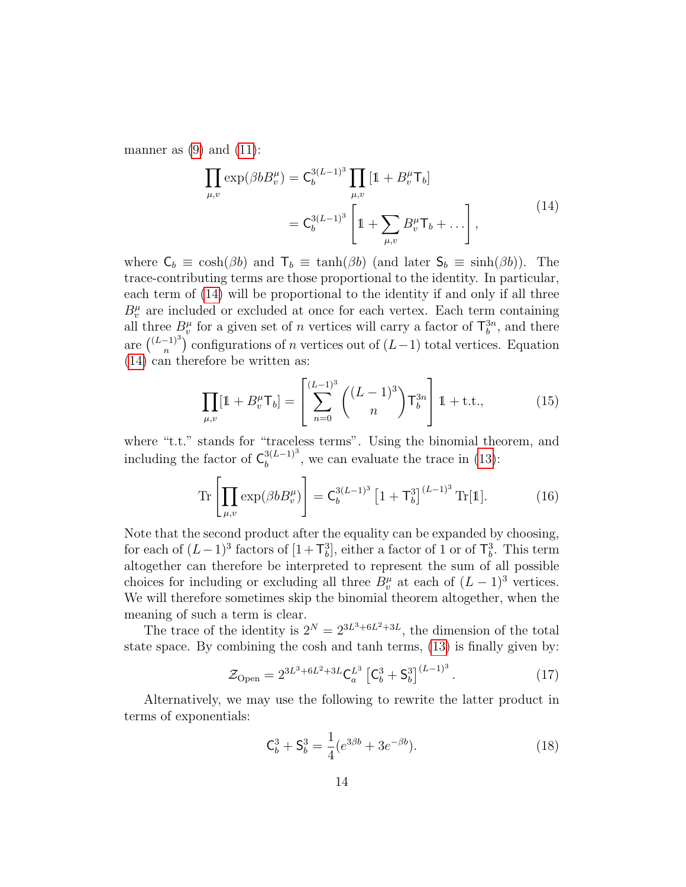<span id="page-13-1"></span>manner as  $(9)$  and  $(11)$ :

$$
\prod_{\mu,v} \exp(\beta b B_v^{\mu}) = C_b^{3(L-1)^3} \prod_{\mu,v} [1 + B_v^{\mu} \mathsf{T}_b]
$$
\n
$$
= C_b^{3(L-1)^3} \left[ 1 + \sum_{\mu,v} B_v^{\mu} \mathsf{T}_b + \dots \right],
$$
\n(14)

where  $C_b \equiv \cosh(\beta b)$  and  $T_b \equiv \tanh(\beta b)$  (and later  $S_b \equiv \sinh(\beta b)$ ). The trace-contributing terms are those proportional to the identity. In particular, each term of [\(14\)](#page-13-1) will be proportional to the identity if and only if all three  $B_v^{\mu}$  are included or excluded at once for each vertex. Each term containing all three  $B_v^{\mu}$  for a given set of *n* vertices will carry a factor of  $\mathsf{T}_{b}^{3n}$ , and there are  $\binom{(L-1)^3}{n}$  $(n<sup>-1</sup>)$  configurations of *n* vertices out of  $(L-1)$  total vertices. Equation [\(14\)](#page-13-1) can therefore be written as:

<span id="page-13-2"></span>
$$
\prod_{\mu,\nu} [\mathbb{1} + B_{\nu}^{\mu} \mathsf{T}_b] = \left[ \sum_{n=0}^{(L-1)^3} \binom{(L-1)^3}{n} \mathsf{T}_b^{3n} \right] \mathbb{1} + \text{t.t.,}
$$
 (15)

where "t.t." stands for "traceless terms". Using the binomial theorem, and including the factor of  $\mathsf{C}_b^{3(L-1)^3}$  $b_b^{3(L-1)^{\circ}}$ , we can evaluate the trace in [\(13\)](#page-12-2):

$$
\text{Tr}\left[\prod_{\mu,v}\exp(\beta b B_v^{\mu})\right] = \mathsf{C}_b^{3(L-1)^3} \left[1 + \mathsf{T}_b^3\right]^{(L-1)^3} \text{Tr}[\mathbb{1}].\tag{16}
$$

Note that the second product after the equality can be expanded by choosing, for each of  $(L-1)^3$  factors of  $[1+\mathsf{T}_b^3]$ , either a factor of 1 or of  $\mathsf{T}_b^3$ . This term altogether can therefore be interpreted to represent the sum of all possible choices for including or excluding all three  $B_v^{\mu}$  at each of  $(L-1)^3$  vertices. We will therefore sometimes skip the binomial theorem altogether, when the meaning of such a term is clear.

The trace of the identity is  $2^N = 2^{3L^3 + 6L^2 + 3L}$ , the dimension of the total state space. By combining the cosh and tanh terms, [\(13\)](#page-12-2) is finally given by:

<span id="page-13-0"></span>
$$
\mathcal{Z}_{\text{Open}} = 2^{3L^3 + 6L^2 + 3L} \mathsf{C}_a^{L^3} \left[ \mathsf{C}_b^3 + \mathsf{S}_b^3 \right]^{(L-1)^3} . \tag{17}
$$

Alternatively, we may use the following to rewrite the latter product in terms of exponentials:

<span id="page-13-3"></span>
$$
\mathbf{C}_b^3 + \mathbf{S}_b^3 = \frac{1}{4} (e^{3\beta b} + 3e^{-\beta b}).\tag{18}
$$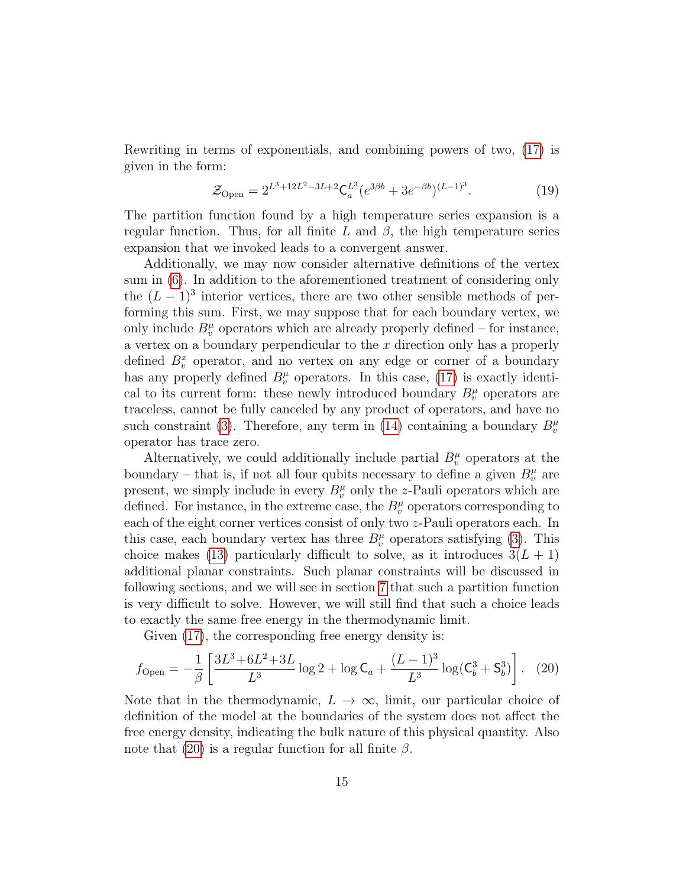Rewriting in terms of exponentials, and combining powers of two, [\(17\)](#page-13-0) is given in the form:

<span id="page-14-1"></span>
$$
\mathcal{Z}_{\text{Open}} = 2^{L^3 + 12L^2 - 3L + 2} \mathsf{C}_a^{L^3} (e^{3\beta b} + 3e^{-\beta b})^{(L-1)^3}.
$$
 (19)

The partition function found by a high temperature series expansion is a regular function. Thus, for all finite L and  $\beta$ , the high temperature series expansion that we invoked leads to a convergent answer.

Additionally, we may now consider alternative definitions of the vertex sum in [\(6\)](#page-8-1). In addition to the aforementioned treatment of considering only the  $(L-1)^3$  interior vertices, there are two other sensible methods of performing this sum. First, we may suppose that for each boundary vertex, we only include  $B_v^{\mu}$  operators which are already properly defined – for instance, a vertex on a boundary perpendicular to the x direction only has a properly defined  $B_v^x$  operator, and no vertex on any edge or corner of a boundary has any properly defined  $B_v^{\mu}$  operators. In this case, [\(17\)](#page-13-0) is exactly identical to its current form: these newly introduced boundary  $B_v^{\mu}$  operators are traceless, cannot be fully canceled by any product of operators, and have no such constraint [\(3\)](#page-8-2). Therefore, any term in [\(14\)](#page-13-1) containing a boundary  $B_v^{\mu}$ operator has trace zero.

Alternatively, we could additionally include partial  $B_v^{\mu}$  operators at the boundary – that is, if not all four qubits necessary to define a given  $B_v^{\mu}$  are present, we simply include in every  $B_v^{\mu}$  only the z-Pauli operators which are defined. For instance, in the extreme case, the  $B_v^{\mu}$  operators corresponding to each of the eight corner vertices consist of only two z-Pauli operators each. In this case, each boundary vertex has three  $B_v^{\mu}$  operators satisfying [\(3\)](#page-8-2). This choice makes [\(13\)](#page-12-2) particularly difficult to solve, as it introduces  $3(L + 1)$ additional planar constraints. Such planar constraints will be discussed in following sections, and we will see in section [7](#page-28-0) that such a partition function is very difficult to solve. However, we will still find that such a choice leads to exactly the same free energy in the thermodynamic limit.

Given [\(17\)](#page-13-0), the corresponding free energy density is:

<span id="page-14-0"></span>
$$
f_{\text{Open}} = -\frac{1}{\beta} \left[ \frac{3L^3 + 6L^2 + 3L}{L^3} \log 2 + \log \mathsf{C}_a + \frac{(L-1)^3}{L^3} \log(\mathsf{C}_b^3 + \mathsf{S}_b^3) \right]. \tag{20}
$$

Note that in the thermodynamic,  $L \to \infty$ , limit, our particular choice of definition of the model at the boundaries of the system does not affect the free energy density, indicating the bulk nature of this physical quantity. Also note that [\(20\)](#page-14-0) is a regular function for all finite  $\beta$ .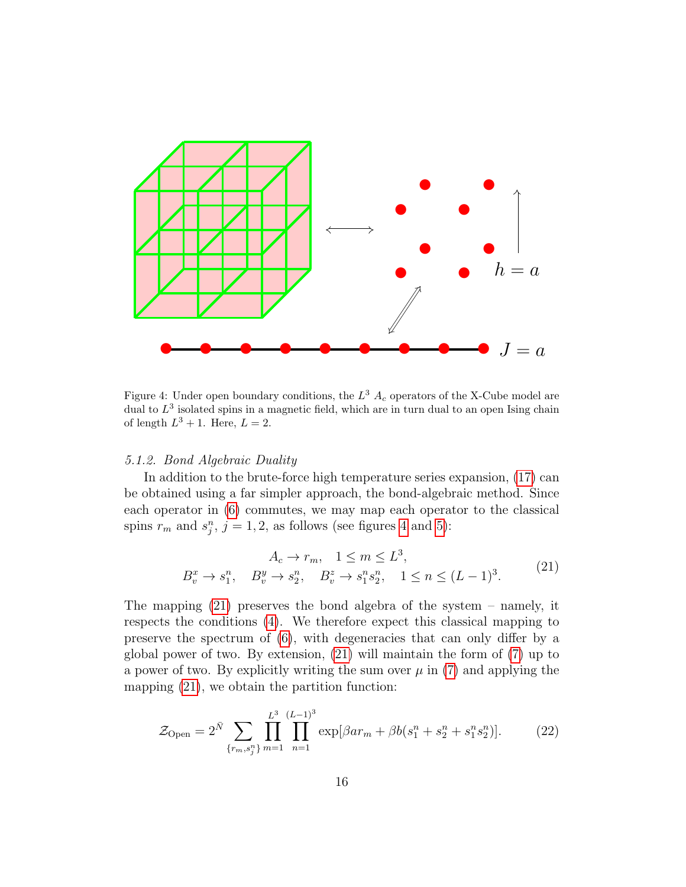

<span id="page-15-1"></span>Figure 4: Under open boundary conditions, the  $L^3$   $A_c$  operators of the X-Cube model are dual to  $L^3$  isolated spins in a magnetic field, which are in turn dual to an open Ising chain of length  $L^3 + 1$ . Here,  $L = 2$ .

# <span id="page-15-0"></span>5.1.2. Bond Algebraic Duality

In addition to the brute-force high temperature series expansion, [\(17\)](#page-13-0) can be obtained using a far simpler approach, the bond-algebraic method. Since each operator in [\(6\)](#page-8-1) commutes, we may map each operator to the classical spins  $r_m$  and  $s_j^n$ ,  $j = 1, 2$ , as follows (see figures [4](#page-15-1) and [5\)](#page-16-0):

$$
A_c \to r_m, \quad 1 \le m \le L^3,
$$
  
\n
$$
B_v^x \to s_1^n, \quad B_v^y \to s_2^n, \quad B_v^z \to s_1^n s_2^n, \quad 1 \le n \le (L-1)^3.
$$
\n(21)

<span id="page-15-2"></span>The mapping [\(21\)](#page-15-2) preserves the bond algebra of the system – namely, it respects the conditions [\(4\)](#page-8-3). We therefore expect this classical mapping to preserve the spectrum of [\(6\)](#page-8-1), with degeneracies that can only differ by a global power of two. By extension, [\(21\)](#page-15-2) will maintain the form of [\(7\)](#page-10-0) up to a power of two. By explicitly writing the sum over  $\mu$  in [\(7\)](#page-10-0) and applying the mapping [\(21\)](#page-15-2), we obtain the partition function:

$$
\mathcal{Z}_{\text{Open}} = 2^{\bar{N}} \sum_{\{r_m, s_j^n\}} \prod_{m=1}^{L^3} \prod_{n=1}^{(L-1)^3} \exp[\beta ar_m + \beta b(s_1^n + s_2^n + s_1^n s_2^n)].\tag{22}
$$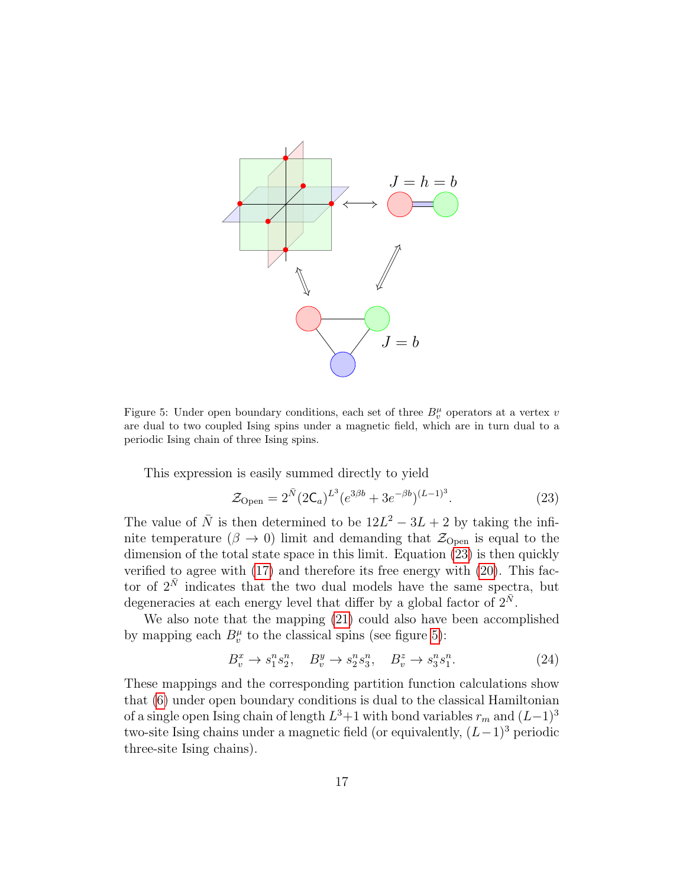

<span id="page-16-0"></span>Figure 5: Under open boundary conditions, each set of three  $B_v^{\mu}$  operators at a vertex v are dual to two coupled Ising spins under a magnetic field, which are in turn dual to a periodic Ising chain of three Ising spins.

This expression is easily summed directly to yield

<span id="page-16-1"></span>
$$
\mathcal{Z}_{\text{Open}} = 2^{\bar{N}} (2\mathsf{C}_a)^{L^3} (e^{3\beta b} + 3e^{-\beta b})^{(L-1)^3}.
$$
 (23)

The value of  $\overline{N}$  is then determined to be  $12L^2 - 3L + 2$  by taking the infinite temperature ( $\beta \rightarrow 0$ ) limit and demanding that  $\mathcal{Z}_{Open}$  is equal to the dimension of the total state space in this limit. Equation [\(23\)](#page-16-1) is then quickly verified to agree with [\(17\)](#page-13-0) and therefore its free energy with [\(20\)](#page-14-0). This factor of  $2^{\overline{N}}$  indicates that the two dual models have the same spectra, but degeneracies at each energy level that differ by a global factor of  $2^{\bar{N}}$ .

We also note that the mapping [\(21\)](#page-15-2) could also have been accomplished by mapping each  $B_v^{\mu}$  to the classical spins (see figure [5\)](#page-16-0):

<span id="page-16-2"></span>
$$
B_v^x \to s_1^n s_2^n, \quad B_v^y \to s_2^n s_3^n, \quad B_v^z \to s_3^n s_1^n. \tag{24}
$$

These mappings and the corresponding partition function calculations show that [\(6\)](#page-8-1) under open boundary conditions is dual to the classical Hamiltonian of a single open Ising chain of length  $L^3+1$  with bond variables  $r_m$  and  $(L-1)^3$ two-site Ising chains under a magnetic field (or equivalently,  $(L-1)^3$  periodic three-site Ising chains).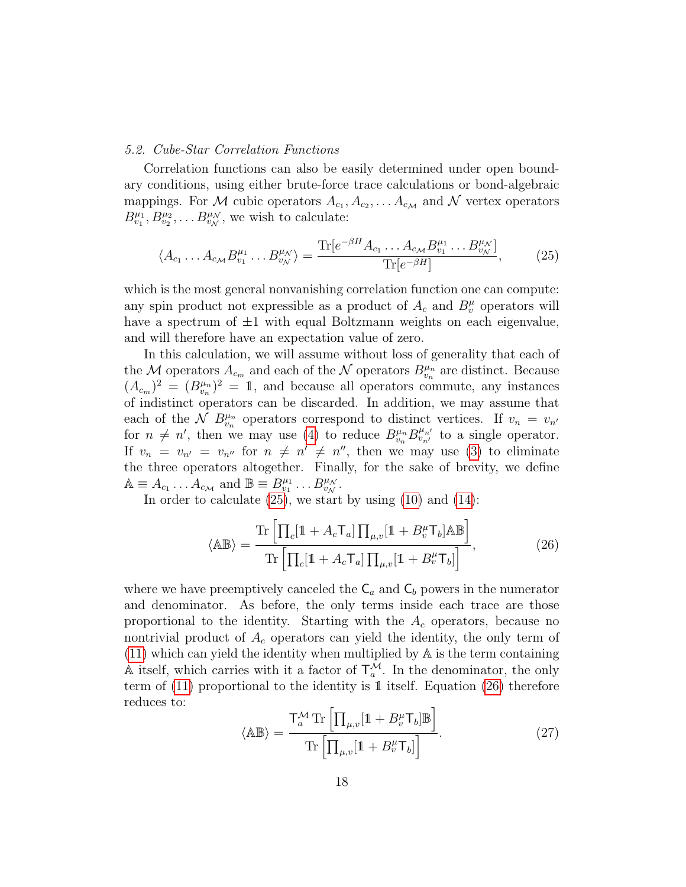### <span id="page-17-0"></span>5.2. Cube-Star Correlation Functions

Correlation functions can also be easily determined under open boundary conditions, using either brute-force trace calculations or bond-algebraic mappings. For M cubic operators  $A_{c_1}, A_{c_2}, \ldots, A_{c_M}$  and N vertex operators  $B_{v_1}^{\mu_1}, B_{v_2}^{\mu_2}, \ldots B_{v_N}^{\mu_N}$ , we wish to calculate:

<span id="page-17-1"></span>
$$
\langle A_{c_1} \dots A_{c_M} B^{\mu_1}_{v_1} \dots B^{\mu_N}_{v_N} \rangle = \frac{\text{Tr}[e^{-\beta H} A_{c_1} \dots A_{c_M} B^{\mu_1}_{v_1} \dots B^{\mu_N}_{v_N}]}{\text{Tr}[e^{-\beta H}]},\tag{25}
$$

which is the most general nonvanishing correlation function one can compute: any spin product not expressible as a product of  $A_c$  and  $B_v^{\mu}$  operators will have a spectrum of  $\pm 1$  with equal Boltzmann weights on each eigenvalue, and will therefore have an expectation value of zero.

In this calculation, we will assume without loss of generality that each of the M operators  $A_{c_m}$  and each of the N operators  $B_{v_n}^{\mu_n}$  are distinct. Because  $(A_{c_m})^2 = (B_{v_n}^{\mu_n})^2 = 1$ , and because all operators commute, any instances of indistinct operators can be discarded. In addition, we may assume that each of the  $\mathcal{N}$   $B_{v_n}^{\mu_n}$  operators correspond to distinct vertices. If  $v_n = v_{n'}$ for  $n \neq n'$ , then we may use [\(4\)](#page-8-3) to reduce  $B_{v_n}^{\mu_n} B_{v_{n'}}^{\mu_{n'}}$  to a single operator. If  $v_n = v_{n'} = v_{n''}$  for  $n \neq n' \neq n''$ , then we may use [\(3\)](#page-8-2) to eliminate the three operators altogether. Finally, for the sake of brevity, we define  $\mathbb{A} \equiv A_{c_1} \dots A_{c_M}$  and  $\mathbb{B} \equiv B_{v_1}^{\mu_1} \dots B_{v_N}^{\mu_N}$ .

In order to calculate  $(25)$ , we start by using  $(10)$  and  $(14)$ :

<span id="page-17-2"></span>
$$
\langle \mathbb{A} \mathbb{B} \rangle = \frac{\text{Tr}\left[\prod_{c} [1 + A_{c} \mathsf{T}_{a}] \prod_{\mu, v} [1 + B_{v}^{\mu} \mathsf{T}_{b}] \mathbb{A} \mathbb{B}\right]}{\text{Tr}\left[\prod_{c} [1 + A_{c} \mathsf{T}_{a}] \prod_{\mu, v} [1 + B_{v}^{\mu} \mathsf{T}_{b}]\right]},
$$
(26)

where we have preemptively canceled the  $C_a$  and  $C_b$  powers in the numerator and denominator. As before, the only terms inside each trace are those proportional to the identity. Starting with the  $A_c$  operators, because no nontrivial product of  $A_c$  operators can yield the identity, the only term of [\(11\)](#page-10-4) which can yield the identity when multiplied by A is the term containing  $\mathbb A$  itself, which carries with it a factor of  $\mathsf T_a^{\overline{\mathcal M}}$ . In the denominator, the only term of [\(11\)](#page-10-4) proportional to the identity is 1 itself. Equation [\(26\)](#page-17-2) therefore reduces to:

<span id="page-17-3"></span>
$$
\langle \mathbb{AB} \rangle = \frac{\mathsf{T}_{a}^{\mathcal{M}} \operatorname{Tr} \left[ \prod_{\mu, v} [1 + B_{v}^{\mu} \mathsf{T}_{b}] \mathbb{B} \right]}{\operatorname{Tr} \left[ \prod_{\mu, v} [1 + B_{v}^{\mu} \mathsf{T}_{b}] \right]}.
$$
 (27)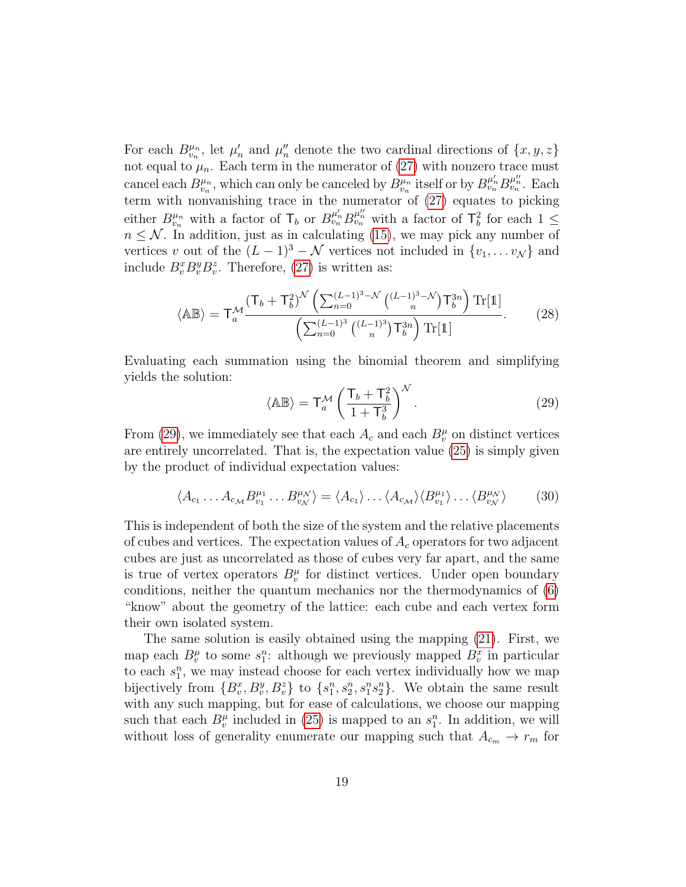For each  $B^{\mu_n}_{v_n}$ , let  $\mu'_n$  and  $\mu''_n$  denote the two cardinal directions of  $\{x, y, z\}$ not equal to  $\mu_n$ . Each term in the numerator of [\(27\)](#page-17-3) with nonzero trace must cancel each  $B_{v_n}^{\mu_n}$ , which can only be canceled by  $B_{v_n}^{\mu_n}$  itself or by  $B_{v_n}^{\mu'_n} B_{v_n}^{\mu'_n}$ . Each term with nonvanishing trace in the numerator of [\(27\)](#page-17-3) equates to picking either  $B^{\mu_n}_{v_n}$  with a factor of  $\mathsf{T}_b$  or  $B^{\mu'_n}_{v_n} B^{\mu''_n}_{v_n}$  with a factor of  $\mathsf{T}^2_b$  for each  $1 \leq$  $n \leq \mathcal{N}$ . In addition, just as in calculating [\(15\)](#page-13-2), we may pick any number of vertices v out of the  $(L-1)^3 - \mathcal{N}$  vertices not included in  $\{v_1, \ldots v_{\mathcal{N}}\}$  and include  $B_v^x B_v^y B_v^z$ . Therefore, [\(27\)](#page-17-3) is written as:

$$
\langle \mathbb{A} \mathbb{B} \rangle = \mathsf{T}_{a}^{\mathcal{M}} \frac{(\mathsf{T}_{b} + \mathsf{T}_{b}^{2})^{\mathcal{N}} \left( \sum_{n=0}^{(L-1)^{3}} - \mathcal{N} \left( \frac{(L-1)^{3}}{n} \mathsf{T}_{b}^{3n} \right) \mathsf{T}_{1}^{3n} \right)}{\left( \sum_{n=0}^{(L-1)^{3}} \left( \frac{(L-1)^{3}}{n} \right) \mathsf{T}_{b}^{3n} \right) \mathsf{T}_{1}^{3n}} . \tag{28}
$$

Evaluating each summation using the binomial theorem and simplifying yields the solution:

<span id="page-18-0"></span>
$$
\langle \mathbb{AB} \rangle = \mathsf{T}_{a}^{\mathcal{M}} \left( \frac{\mathsf{T}_{b} + \mathsf{T}_{b}^{2}}{1 + \mathsf{T}_{b}^{3}} \right)^{\mathcal{N}}.
$$
 (29)

From [\(29\)](#page-18-0), we immediately see that each  $A_c$  and each  $B_v^{\mu}$  on distinct vertices are entirely uncorrelated. That is, the expectation value [\(25\)](#page-17-1) is simply given by the product of individual expectation values:

$$
\langle A_{c_1} \dots A_{c_M} B_{v_1}^{\mu_1} \dots B_{v_N}^{\mu_N} \rangle = \langle A_{c_1} \rangle \dots \langle A_{c_M} \rangle \langle B_{v_1}^{\mu_1} \rangle \dots \langle B_{v_N}^{\mu_N} \rangle \tag{30}
$$

This is independent of both the size of the system and the relative placements of cubes and vertices. The expectation values of  $A_c$  operators for two adjacent cubes are just as uncorrelated as those of cubes very far apart, and the same is true of vertex operators  $B_v^{\mu}$  for distinct vertices. Under open boundary conditions, neither the quantum mechanics nor the thermodynamics of [\(6\)](#page-8-1) "know" about the geometry of the lattice: each cube and each vertex form their own isolated system.

The same solution is easily obtained using the mapping [\(21\)](#page-15-2). First, we map each  $B_v^{\mu}$  to some  $s_1^n$ : although we previously mapped  $B_v^x$  in particular to each  $s_1^n$ , we may instead choose for each vertex individually how we map bijectively from  $\{B_v^x, B_v^y, B_v^z\}$  to  $\{s_1^n, s_2^n, s_1^n s_2^n\}$ . We obtain the same result with any such mapping, but for ease of calculations, we choose our mapping such that each  $B_v^{\mu}$  included in [\(25\)](#page-17-1) is mapped to an  $s_1^n$ . In addition, we will without loss of generality enumerate our mapping such that  $A_{c_m} \to r_m$  for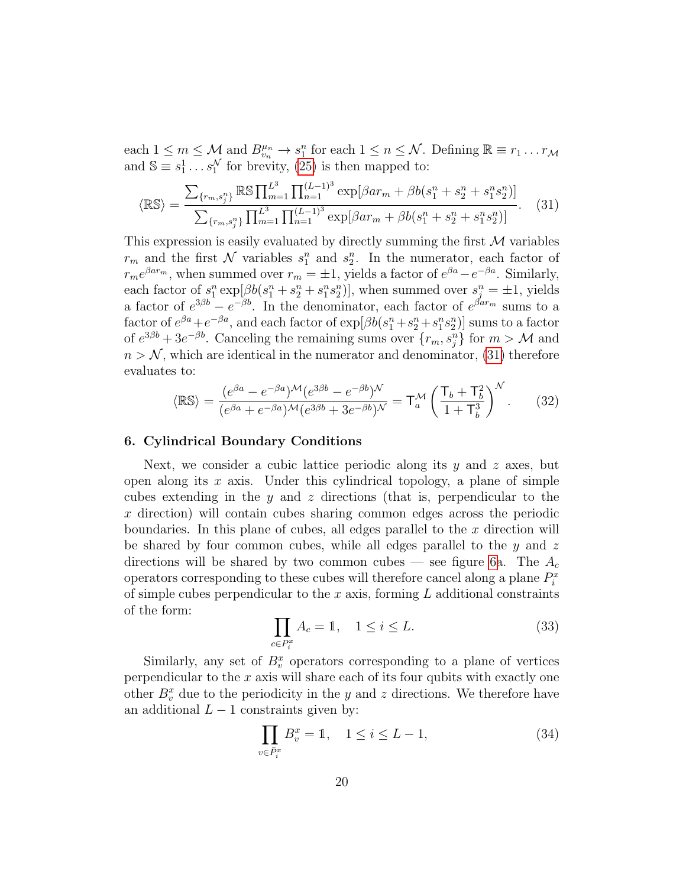each  $1 \leq m \leq M$  and  $B_{v_n}^{\mu_n} \to s_1^n$  for each  $1 \leq n \leq N$ . Defining  $\mathbb{R} \equiv r_1 \dots r_M$ and  $\mathbb{S} \equiv s_1^1 \dots s_1^N$  for brevity, [\(25\)](#page-17-1) is then mapped to:

<span id="page-19-1"></span>
$$
\langle \mathbb{RS} \rangle = \frac{\sum_{\{r_m, s_j^n\}} \mathbb{RS} \prod_{m=1}^{L^3} \prod_{n=1}^{(L-1)^3} \exp[\beta ar_m + \beta b(s_1^n + s_2^n + s_1^n s_2^n)]}{\sum_{\{r_m, s_j^n\}} \prod_{m=1}^{L^3} \prod_{n=1}^{(L-1)^3} \exp[\beta ar_m + \beta b(s_1^n + s_2^n + s_1^n s_2^n)]}.
$$
 (31)

This expression is easily evaluated by directly summing the first  $\mathcal M$  variables  $r_m$  and the first  $\mathcal N$  variables  $s_1^n$  and  $s_2^n$ . In the numerator, each factor of  $r_m e^{\beta a r_m}$ , when summed over  $r_m = \pm 1$ , yields a factor of  $e^{\beta a} - e^{-\beta a}$ . Similarly, each factor of  $s_1^n \exp[\beta b(s_1^n + s_2^n + s_1^n s_2^n)]$ , when summed over  $s_j^n = \pm 1$ , yields a factor of  $e^{3\beta b} - e^{-\beta b}$ . In the denominator, each factor of  $e^{\beta ar_m}$  sums to a factor of  $e^{\beta a}+e^{-\beta a}$ , and each factor of  $\exp[\beta b(s_1^n+s_2^n+s_1^n s_2^n)]$  sums to a factor of  $e^{3\beta b} + 3e^{-\beta b}$ . Canceling the remaining sums over  $\{r_m, s_j^n\}$  for  $m > M$  and  $n > N$ , which are identical in the numerator and denominator, [\(31\)](#page-19-1) therefore evaluates to:

$$
\langle \mathbb{RS} \rangle = \frac{(e^{\beta a} - e^{-\beta a})^{\mathcal{M}} (e^{3\beta b} - e^{-\beta b})^{\mathcal{N}}}{(e^{\beta a} + e^{-\beta a})^{\mathcal{M}} (e^{3\beta b} + 3e^{-\beta b})^{\mathcal{N}}} = \mathsf{T}_{a}^{\mathcal{M}} \left( \frac{\mathsf{T}_{b} + \mathsf{T}_{b}^{2}}{1 + \mathsf{T}_{b}^{3}} \right)^{\mathcal{N}}.
$$
 (32)

#### <span id="page-19-0"></span>6. Cylindrical Boundary Conditions

Next, we consider a cubic lattice periodic along its  $y$  and  $z$  axes, but open along its  $x$  axis. Under this cylindrical topology, a plane of simple cubes extending in the y and z directions (that is, perpendicular to the x direction) will contain cubes sharing common edges across the periodic boundaries. In this plane of cubes, all edges parallel to the  $x$  direction will be shared by four common cubes, while all edges parallel to the  $y$  and  $z$ directions will be shared by two common cubes — see figure [6a](#page-20-2). The  $A_c$ operators corresponding to these cubes will therefore cancel along a plane  $P_i^x$ of simple cubes perpendicular to the  $x$  axis, forming  $L$  additional constraints of the form:

<span id="page-19-2"></span>
$$
\prod_{c \in P_i^x} A_c = 1, \quad 1 \le i \le L. \tag{33}
$$

Similarly, any set of  $B_v^x$  operators corresponding to a plane of vertices perpendicular to the  $x$  axis will share each of its four qubits with exactly one other  $B_v^x$  due to the periodicity in the y and z directions. We therefore have an additional  $L - 1$  constraints given by:

<span id="page-19-3"></span>
$$
\prod_{v \in \bar{P}_i^x} B_v^x = 1, \quad 1 \le i \le L - 1,
$$
\n(34)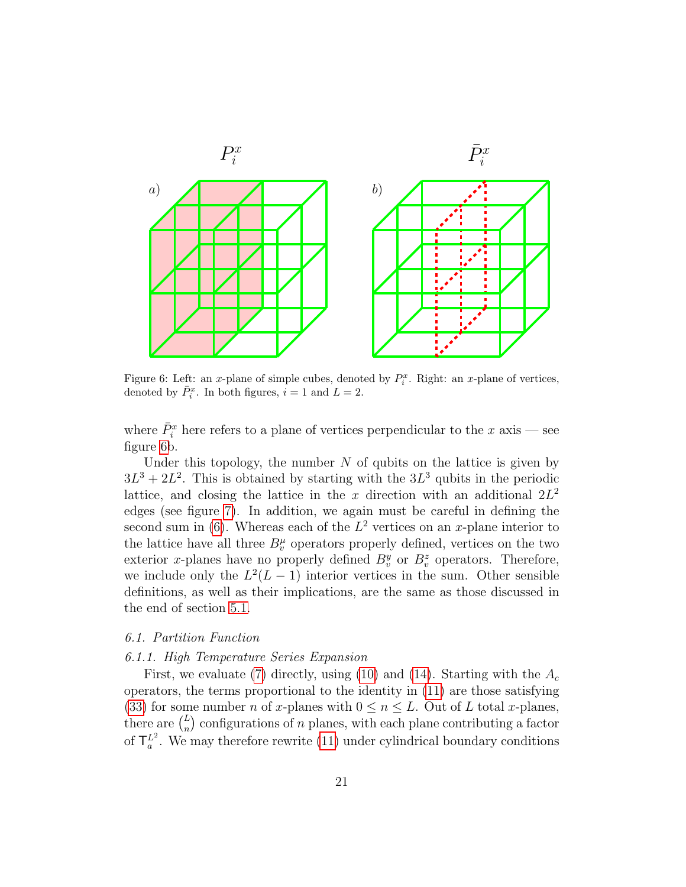

<span id="page-20-2"></span>Figure 6: Left: an x-plane of simple cubes, denoted by  $P_i^x$ . Right: an x-plane of vertices, denoted by  $\bar{P}_i^x$ . In both figures,  $i = 1$  and  $L = 2$ .

where  $\bar{P}_i^x$  here refers to a plane of vertices perpendicular to the x axis – see figure [6b](#page-20-2).

Under this topology, the number  $N$  of qubits on the lattice is given by  $3L^3 + 2L^2$ . This is obtained by starting with the  $3L^3$  qubits in the periodic lattice, and closing the lattice in the x direction with an additional  $2L^2$ edges (see figure [7\)](#page-21-0). In addition, we again must be careful in defining the second sum in [\(6\)](#page-8-1). Whereas each of the  $L^2$  vertices on an x-plane interior to the lattice have all three  $B_v^{\mu}$  operators properly defined, vertices on the two exterior x-planes have no properly defined  $B_v^y$  or  $B_v^z$  operators. Therefore, we include only the  $L^2(L-1)$  interior vertices in the sum. Other sensible definitions, as well as their implications, are the same as those discussed in the end of section [5.1.](#page-12-0)

# <span id="page-20-0"></span>6.1. Partition Function

# <span id="page-20-1"></span>6.1.1. High Temperature Series Expansion

First, we evaluate [\(7\)](#page-10-0) directly, using [\(10\)](#page-10-2) and [\(14\)](#page-13-1). Starting with the  $A_c$ operators, the terms proportional to the identity in [\(11\)](#page-10-4) are those satisfying [\(33\)](#page-19-2) for some number n of x-planes with  $0 \le n \le L$ . Out of L total x-planes, there are  $\binom{L}{n}$  $\binom{L}{n}$  configurations of n planes, with each plane contributing a factor of  $\mathsf{T}_a^{L^2}$ . We may therefore rewrite [\(11\)](#page-10-4) under cylindrical boundary conditions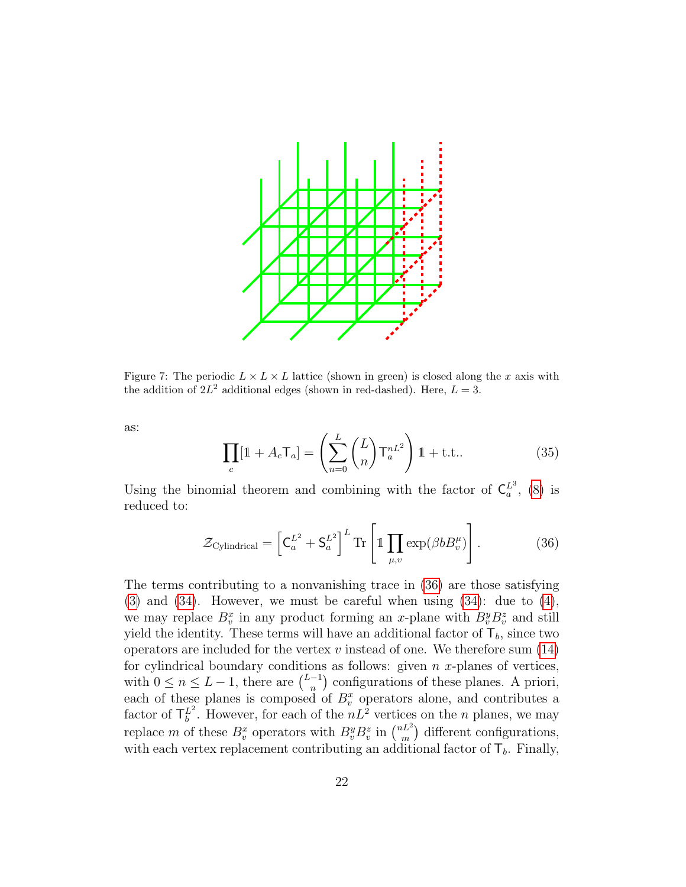

<span id="page-21-0"></span>Figure 7: The periodic  $L \times L \times L$  lattice (shown in green) is closed along the x axis with the addition of  $2L^2$  additional edges (shown in red-dashed). Here,  $L = 3$ .

as:

<span id="page-21-2"></span>
$$
\prod_{c} [\mathbb{1} + A_c \mathsf{T}_a] = \left( \sum_{n=0}^{L} {L \choose n} \mathsf{T}_a^{nL^2} \right) \mathbb{1} + \text{t.t.}.
$$
 (35)

Using the binomial theorem and combining with the factor of  $\mathsf{C}_a^{L^3}$ , [\(8\)](#page-10-1) is reduced to:

<span id="page-21-1"></span>
$$
\mathcal{Z}_{\text{Cylindrical}} = \left[ \mathsf{C}_a^{L^2} + \mathsf{S}_a^{L^2} \right]^L \text{Tr} \left[ \mathbb{1} \prod_{\mu, v} \exp(\beta b B_v^{\mu}) \right]. \tag{36}
$$

The terms contributing to a nonvanishing trace in [\(36\)](#page-21-1) are those satisfying  $(3)$  and  $(34)$ . However, we must be careful when using  $(34)$ : due to  $(4)$ , we may replace  $B_v^x$  in any product forming an x-plane with  $B_v^y B_v^z$  and still yield the identity. These terms will have an additional factor of  $\mathsf{T}_b$ , since two operators are included for the vertex  $v$  instead of one. We therefore sum  $(14)$ for cylindrical boundary conditions as follows: given  $n x$ -planes of vertices, with  $0 \leq n \leq L-1$ , there are  $\binom{L-1}{n}$  $\binom{-1}{n}$  configurations of these planes. A priori, each of these planes is composed of  $B_v^x$  operators alone, and contributes a factor of  $\mathsf{T}_{b}^{L^2}$ . However, for each of the  $nL^2$  vertices on the n planes, we may replace m of these  $B_v^x$  operators with  $B_v^y B_v^z$  in  $\binom{nL^2}{m}$  $\binom{n}{m}$  different configurations, with each vertex replacement contributing an additional factor of  $\mathsf{T}_b$ . Finally,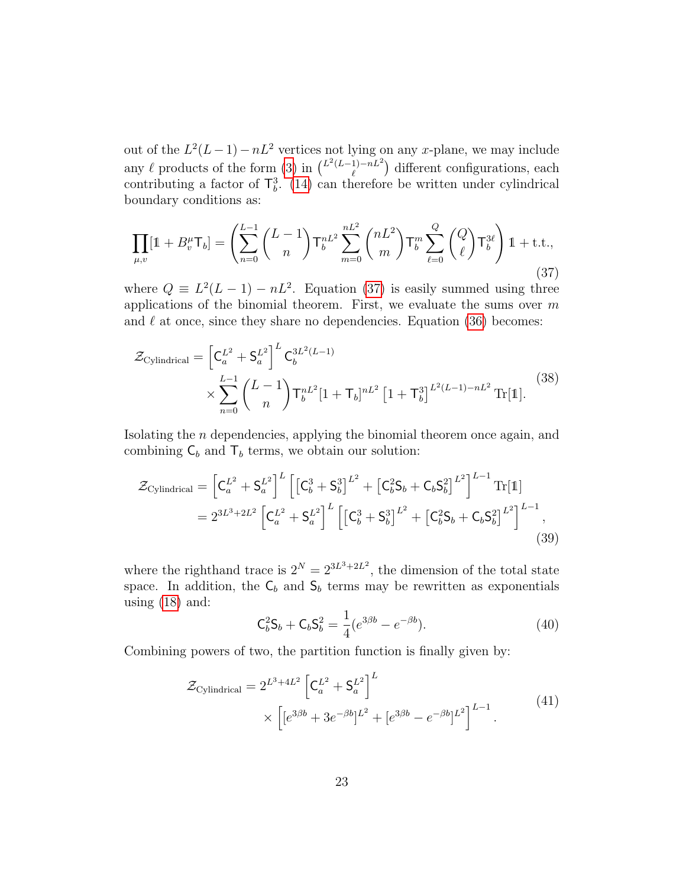out of the  $L^2(L-1)-nL^2$  vertices not lying on any x-plane, we may include any  $\ell$  products of the form [\(3\)](#page-8-2) in  $\binom{L^2(L-1)-nL^2}{\ell}$  $\binom{1}{\ell}$  different configurations, each contributing a factor of  $\mathsf{T}_{b}^{3}$ . [\(14\)](#page-13-1) can therefore be written under cylindrical boundary conditions as:

<span id="page-22-1"></span>
$$
\prod_{\mu,v} [1 + B_v^{\mu} \mathsf{T}_b] = \left( \sum_{n=0}^{L-1} {L-1 \choose n} \mathsf{T}_b^{nL^2} \sum_{m=0}^{nL^2} {nL^2 \choose m} \mathsf{T}_b^m \sum_{\ell=0}^{Q} {Q \choose \ell} \mathsf{T}_b^{3\ell} \right) 1 + \text{t.t.,}
$$
\n(37)

where  $Q \equiv L^2(L-1) - nL^2$ . Equation [\(37\)](#page-22-1) is easily summed using three applications of the binomial theorem. First, we evaluate the sums over  $m$ and  $\ell$  at once, since they share no dependencies. Equation [\(36\)](#page-21-1) becomes:

$$
\mathcal{Z}_{\text{Cylindrical}} = \left[ C_a^{L^2} + S_a^{L^2} \right]^L C_b^{3L^2(L-1)} \times \sum_{n=0}^{L-1} \binom{L-1}{n} \mathsf{T}_b^{nL^2} [1 + \mathsf{T}_b]^{nL^2} \left[ 1 + \mathsf{T}_b^3 \right]^{L^2(L-1) - nL^2} \text{Tr}[\mathbb{1}]. \tag{38}
$$

Isolating the n dependencies, applying the binomial theorem once again, and combining  $C_b$  and  $T_b$  terms, we obtain our solution:

<span id="page-22-0"></span>
$$
\mathcal{Z}_{\text{Cylindrical}} = \left[ C_a^{L^2} + S_a^{L^2} \right]^L \left[ \left[ C_b^3 + S_b^3 \right]^{L^2} + \left[ C_b^2 S_b + C_b S_b^2 \right]^{L^2} \right]^{L-1} \text{Tr}[\mathbb{1}] \n= 2^{3L^3 + 2L^2} \left[ C_a^{L^2} + S_a^{L^2} \right]^L \left[ \left[ C_b^3 + S_b^3 \right]^{L^2} + \left[ C_b^2 S_b + C_b S_b^2 \right]^{L^2} \right]^{L-1},
$$
\n(39)

where the righthand trace is  $2^N = 2^{3L^3 + 2L^2}$ , the dimension of the total state space. In addition, the  $C_b$  and  $S_b$  terms may be rewritten as exponentials using  $(18)$  and:

$$
C_b^2 S_b + C_b S_b^2 = \frac{1}{4} (e^{3\beta b} - e^{-\beta b}).
$$
\n(40)

<span id="page-22-2"></span>Combining powers of two, the partition function is finally given by:

$$
\mathcal{Z}_{\text{Cylindrical}} = 2^{L^3 + 4L^2} \left[ C_a^{L^2} + S_a^{L^2} \right]^L
$$
  
 
$$
\times \left[ [e^{3\beta b} + 3e^{-\beta b}]^{L^2} + [e^{3\beta b} - e^{-\beta b}]^{L^2} \right]^{L-1}.
$$
 (41)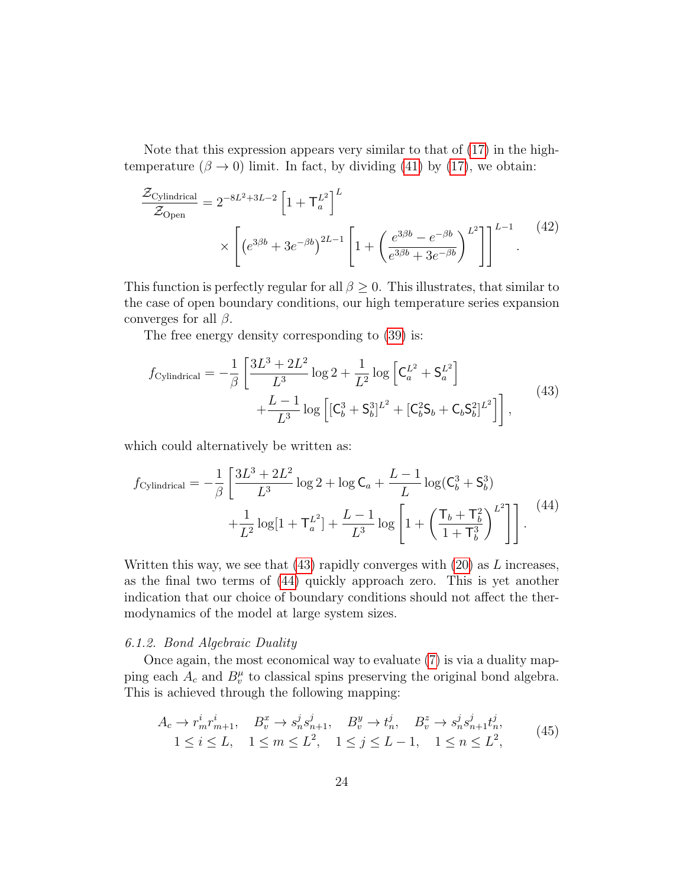Note that this expression appears very similar to that of [\(17\)](#page-13-0) in the hightemperature ( $\beta \rightarrow 0$ ) limit. In fact, by dividing [\(41\)](#page-22-2) by [\(17\)](#page-13-0), we obtain:

$$
\frac{\mathcal{Z}_{\text{Cylindrical}}}{\mathcal{Z}_{\text{Open}}} = 2^{-8L^2 + 3L - 2} \left[ 1 + \mathsf{T}_a^{L^2} \right]^L
$$
\n
$$
\times \left[ \left( e^{3\beta b} + 3e^{-\beta b} \right)^{2L - 1} \left[ 1 + \left( \frac{e^{3\beta b} - e^{-\beta b}}{e^{3\beta b} + 3e^{-\beta b}} \right)^{L^2} \right] \right]^{L - 1} . \tag{42}
$$

This function is perfectly regular for all  $\beta \geq 0$ . This illustrates, that similar to the case of open boundary conditions, our high temperature series expansion converges for all  $\beta$ .

The free energy density corresponding to [\(39\)](#page-22-0) is:

<span id="page-23-1"></span>
$$
f_{\text{Cylindrical}} = -\frac{1}{\beta} \left[ \frac{3L^3 + 2L^2}{L^3} \log 2 + \frac{1}{L^2} \log \left[ \mathbf{C}_a^{L^2} + \mathbf{S}_a^{L^2} \right] + \frac{L - 1}{L^3} \log \left[ [\mathbf{C}_b^3 + \mathbf{S}_b^3]^{L^2} + [\mathbf{C}_b^2 \mathbf{S}_b + \mathbf{C}_b \mathbf{S}_b^2]^{L^2} \right] \right], \tag{43}
$$

which could alternatively be written as:

<span id="page-23-2"></span>
$$
f_{\text{Cylindrical}} = -\frac{1}{\beta} \left[ \frac{3L^3 + 2L^2}{L^3} \log 2 + \log \mathsf{C}_a + \frac{L-1}{L} \log(\mathsf{C}_b^3 + \mathsf{S}_b^3) + \frac{1}{L^2} \log[1 + \mathsf{T}_a^{L^2}] + \frac{L-1}{L^3} \log \left[ 1 + \left( \frac{\mathsf{T}_b + \mathsf{T}_b^2}{1 + \mathsf{T}_b^3} \right)^{L^2} \right] \right]. \tag{44}
$$

Written this way, we see that  $(43)$  rapidly converges with  $(20)$  as L increases, as the final two terms of [\(44\)](#page-23-2) quickly approach zero. This is yet another indication that our choice of boundary conditions should not affect the thermodynamics of the model at large system sizes.

# <span id="page-23-0"></span>6.1.2. Bond Algebraic Duality

Once again, the most economical way to evaluate [\(7\)](#page-10-0) is via a duality mapping each  $A_c$  and  $B_v^{\mu}$  to classical spins preserving the original bond algebra. This is achieved through the following mapping:

<span id="page-23-3"></span>
$$
A_c \to r_m^i r_{m+1}^i, \quad B_v^x \to s_n^j s_{n+1}^j, \quad B_v^y \to t_n^j, \quad B_v^z \to s_n^j s_{n+1}^j t_n^j, 1 \le i \le L, \quad 1 \le m \le L^2, \quad 1 \le j \le L-1, \quad 1 \le n \le L^2,
$$
 (45)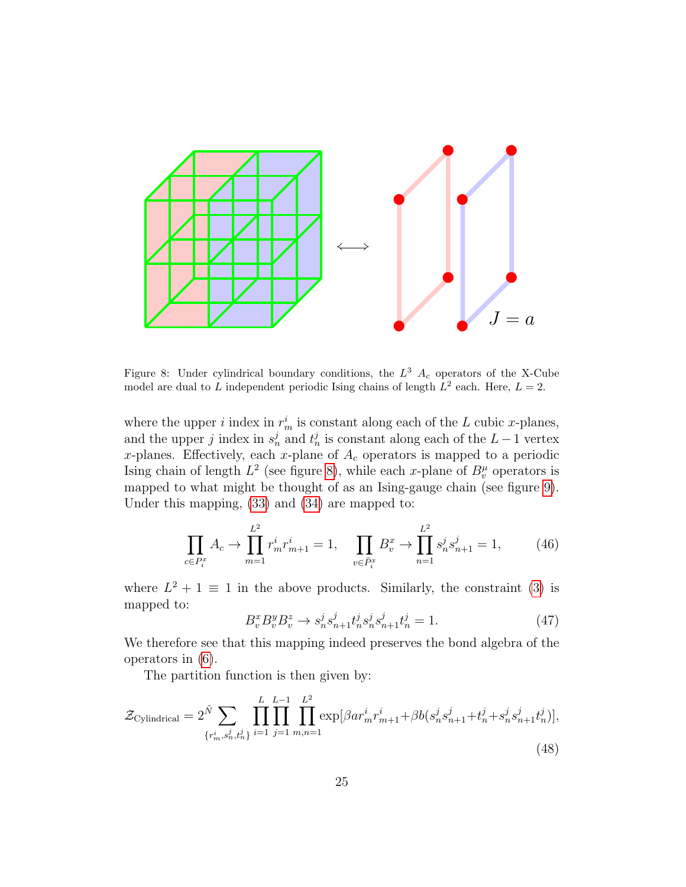

<span id="page-24-0"></span>Figure 8: Under cylindrical boundary conditions, the  $L^3$   $A_c$  operators of the X-Cube model are dual to L independent periodic Ising chains of length  $L^2$  each. Here,  $L = 2$ .

where the upper *i* index in  $r_m^i$  is constant along each of the L cubic x-planes, and the upper j index in  $s_n^j$  and  $t_n^j$  is constant along each of the  $L-1$  vertex x-planes. Effectively, each x-plane of  $A_c$  operators is mapped to a periodic Ising chain of length  $L^2$  (see figure [8\)](#page-24-0), while each x-plane of  $B_v^{\mu}$  operators is mapped to what might be thought of as an Ising-gauge chain (see figure [9\)](#page-25-0). Under this mapping, [\(33\)](#page-19-2) and [\(34\)](#page-19-3) are mapped to:

$$
\prod_{c \in P_i^x} A_c \to \prod_{m=1}^{L^2} r_m^i r_{m+1}^i = 1, \quad \prod_{v \in \bar{P}_i^x} B_v^x \to \prod_{n=1}^{L^2} s_n^j s_{n+1}^j = 1,\tag{46}
$$

where  $L^2 + 1 \equiv 1$  in the above products. Similarly, the constraint [\(3\)](#page-8-2) is mapped to:

$$
B_v^x B_v^y B_v^z \to s_n^j s_{n+1}^j t_n^j s_n^j s_{n+1}^j t_n^j = 1.
$$
 (47)

We therefore see that this mapping indeed preserves the bond algebra of the operators in [\(6\)](#page-8-1).

The partition function is then given by:

$$
\mathcal{Z}_{\text{Cylindrical}} = 2^{\tilde{N}} \sum_{\{r_m^i, s_n^j, t_n^j\}} \prod_{i=1}^L \prod_{j=1}^{L-1} \prod_{m,n=1}^{L^2} \exp[\beta ar_m^i r_{m+1}^i + \beta b(s_n^j s_{n+1}^j + t_n^j + s_n^j s_{n+1}^j t_n^j)],
$$
\n(48)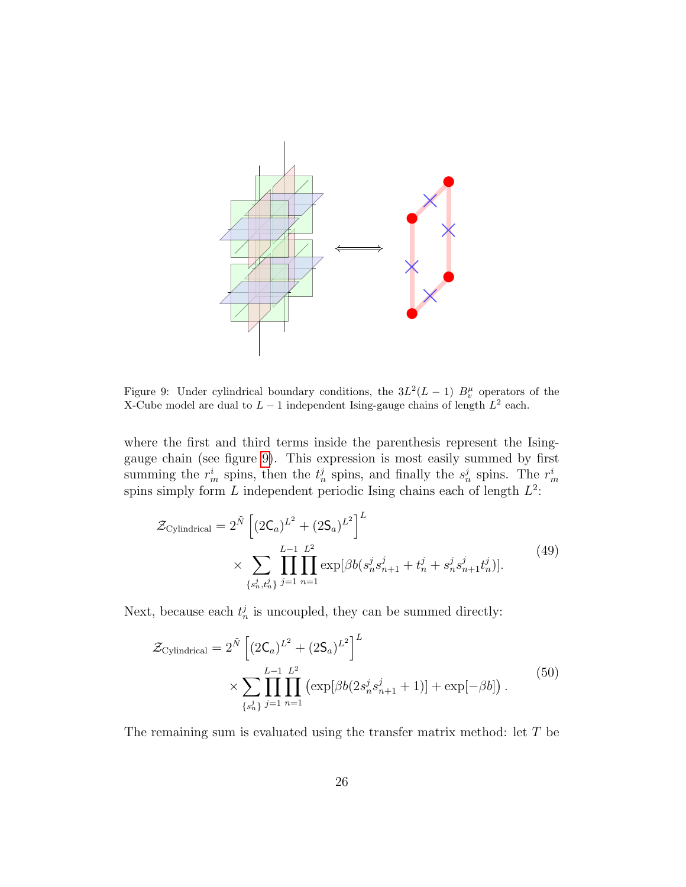

<span id="page-25-0"></span>Figure 9: Under cylindrical boundary conditions, the  $3L^2(L-1)$   $B_v^{\mu}$  operators of the X-Cube model are dual to  $L-1$  independent Ising-gauge chains of length  $L^2$  each.

where the first and third terms inside the parenthesis represent the Isinggauge chain (see figure [9\)](#page-25-0). This expression is most easily summed by first summing the  $r_m^i$  spins, then the  $t_n^j$  spins, and finally the  $s_n^j$  spins. The  $r_m^i$ spins simply form L independent periodic Ising chains each of length  $L^2$ :

$$
\mathcal{Z}_{\text{Cylindrical}} = 2^{\tilde{N}} \left[ (2\mathsf{C}_{a})^{L^{2}} + (2\mathsf{S}_{a})^{L^{2}} \right]^{L}
$$
\n
$$
\times \sum_{\{s_{n}^{j}, t_{n}^{j}\}} \prod_{j=1}^{L-1} \prod_{n=1}^{L^{2}} \exp[\beta b(s_{n}^{j} s_{n+1}^{j} + t_{n}^{j} + s_{n}^{j} s_{n+1}^{j} t_{n}^{j})].
$$
\n(49)

Next, because each  $t_n^j$  is uncoupled, they can be summed directly:

<span id="page-25-1"></span>
$$
\mathcal{Z}_{\text{Cylindrical}} = 2^{\tilde{N}} \left[ (2\mathsf{C}_{a})^{L^{2}} + (2\mathsf{S}_{a})^{L^{2}} \right]^{L}
$$
  
 
$$
\times \sum_{\{s_{n}^{j}\}} \prod_{j=1}^{L-1} \prod_{n=1}^{L^{2}} \left( \exp[\beta b(2s_{n}^{j}s_{n+1}^{j} + 1)] + \exp[-\beta b] \right). \tag{50}
$$

The remaining sum is evaluated using the transfer matrix method: let T be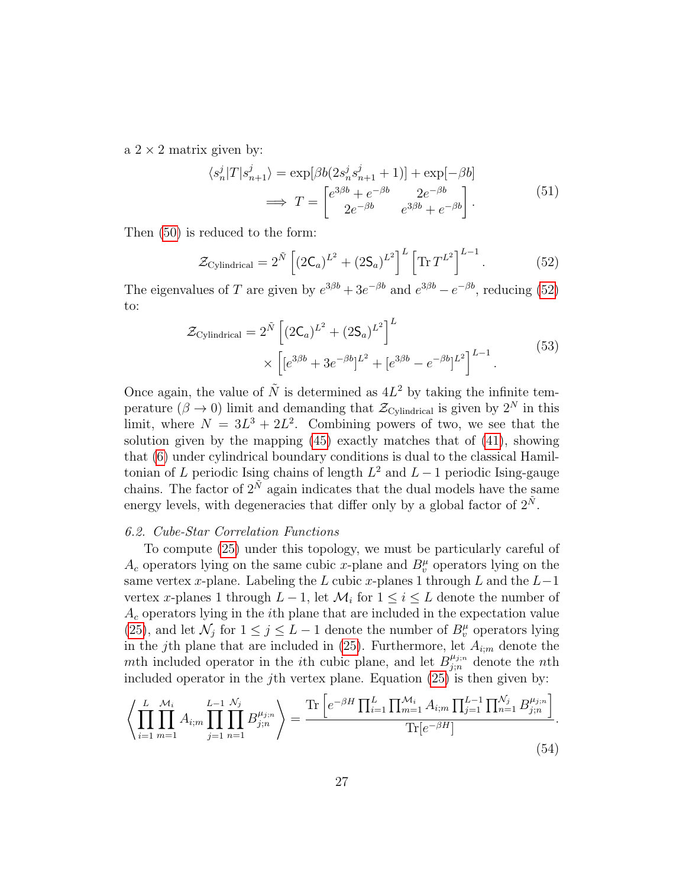a  $2 \times 2$  matrix given by:

$$
\langle s_n^j | T | s_{n+1}^j \rangle = \exp[\beta b(2s_n^j s_{n+1}^j + 1)] + \exp[-\beta b]
$$

$$
\implies T = \begin{bmatrix} e^{3\beta b} + e^{-\beta b} & 2e^{-\beta b} \\ 2e^{-\beta b} & e^{3\beta b} + e^{-\beta b} \end{bmatrix}.
$$
(51)

Then [\(50\)](#page-25-1) is reduced to the form:

<span id="page-26-1"></span>
$$
\mathcal{Z}_{\text{Cylindrical}} = 2^{\tilde{N}} \left[ (2\mathsf{C}_a)^{L^2} + (2\mathsf{S}_a)^{L^2} \right]^L \left[ \text{Tr} \, T^{L^2} \right]^{L-1} . \tag{52}
$$

The eigenvalues of T are given by  $e^{3\beta b} + 3e^{-\beta b}$  and  $e^{3\beta b} - e^{-\beta b}$ , reducing [\(52\)](#page-26-1) to:

$$
\mathcal{Z}_{\text{Cylindrical}} = 2^{\tilde{N}} \left[ (2\mathsf{C}_{a})^{L^{2}} + (2\mathsf{S}_{a})^{L^{2}} \right]^{L} \times \left[ [e^{3\beta b} + 3e^{-\beta b}]^{L^{2}} + [e^{3\beta b} - e^{-\beta b}]^{L^{2}} \right]^{L-1}.
$$
\n(53)

Once again, the value of  $\tilde{N}$  is determined as  $4L^2$  by taking the infinite temperature ( $\beta \to 0$ ) limit and demanding that  $\mathcal{Z}_{Cylindrical}$  is given by  $2^N$  in this limit, where  $N = 3L^3 + 2L^2$ . Combining powers of two, we see that the solution given by the mapping [\(45\)](#page-23-3) exactly matches that of [\(41\)](#page-22-2), showing that [\(6\)](#page-8-1) under cylindrical boundary conditions is dual to the classical Hamiltonian of L periodic Ising chains of length  $L^2$  and  $L-1$  periodic Ising-gauge chains. The factor of  $2^{\tilde{N}}$  again indicates that the dual models have the same energy levels, with degeneracies that differ only by a global factor of  $2^{\tilde{N}}$ .

#### <span id="page-26-0"></span>6.2. Cube-Star Correlation Functions

To compute [\(25\)](#page-17-1) under this topology, we must be particularly careful of  $A_c$  operators lying on the same cubic x-plane and  $B_v^{\mu}$  operators lying on the same vertex x-plane. Labeling the L cubic x-planes 1 through L and the  $L-1$ vertex x-planes 1 through  $L-1$ , let  $\mathcal{M}_i$  for  $1 \leq i \leq L$  denote the number of  $A_c$  operators lying in the *i*th plane that are included in the expectation value [\(25\)](#page-17-1), and let  $\mathcal{N}_j$  for  $1 \leq j \leq L-1$  denote the number of  $B_v^{\mu}$  operators lying in the j<sup>th</sup> plane that are included in [\(25\)](#page-17-1). Furthermore, let  $A_{i;m}$  denote the mth included operator in the *i*th cubic plane, and let  $B_{j;n}^{\mu_{j;n}}$  denote the *n*th included operator in the j<sup>th</sup> vertex plane. Equation  $(25)$  is then given by:

<span id="page-26-2"></span>
$$
\left\langle \prod_{i=1}^{L} \prod_{m=1}^{M_i} A_{i;m} \prod_{j=1}^{L-1} \prod_{n=1}^{N_j} B_{j;n}^{\mu_{j;n}} \right\rangle = \frac{\text{Tr} \left[ e^{-\beta H} \prod_{i=1}^{L} \prod_{m=1}^{M_i} A_{i;m} \prod_{j=1}^{L-1} \prod_{n=1}^{N_j} B_{j;n}^{\mu_{j;n}} \right]}{\text{Tr} \left[ e^{-\beta H} \right]}.
$$
\n(54)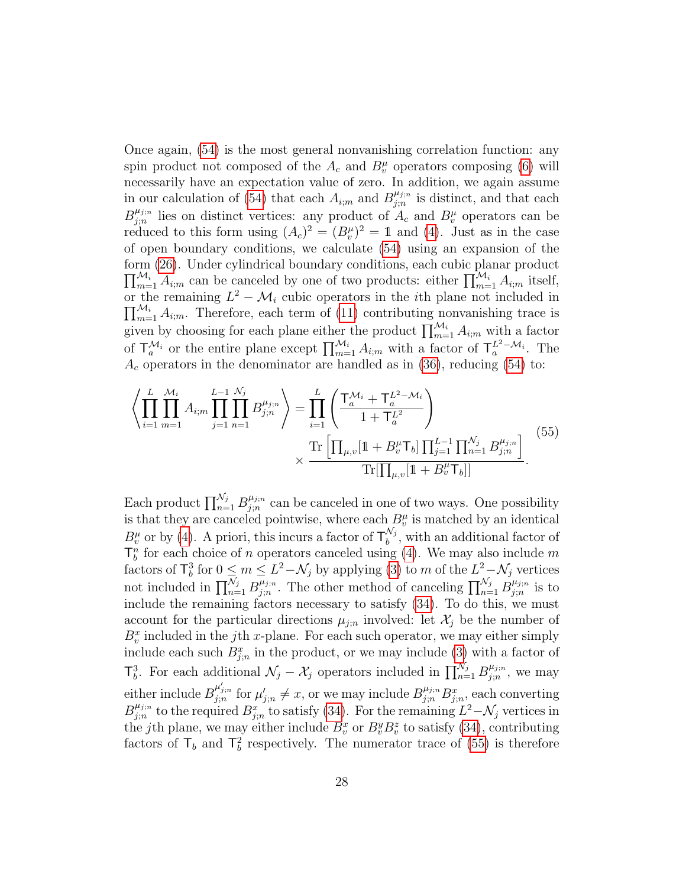Once again, [\(54\)](#page-26-2) is the most general nonvanishing correlation function: any spin product not composed of the  $A_c$  and  $B_v^{\mu}$  operators composing [\(6\)](#page-8-1) will necessarily have an expectation value of zero. In addition, we again assume in our calculation of [\(54\)](#page-26-2) that each  $A_{i;m}$  and  $B_{j;n}^{\mu_{j;n}}$  $j_{j;n}^{\mu_{j;n}}$  is distinct, and that each  $B^{\mu_{j;n}}_{i:n}$  $\mu_{j;n}^{\mu_{j;n}}$  lies on distinct vertices: any product of  $A_c$  and  $B_v^{\mu}$  operators can be reduced to this form using  $(A_c)^2 = (B_v^{\mu})^2 = 1$  and [\(4\)](#page-8-3). Just as in the case of open boundary conditions, we calculate [\(54\)](#page-26-2) using an expansion of the form [\(26\)](#page-17-2). Under cylindrical boundary conditions, each cubic planar product  $\prod_{m=1}^{\mathcal{M}_i} A_{i;m}$  can be canceled by one of two products: either  $\prod_{m=1}^{\mathcal{M}_i} A_{i;m}$  itself, or the remaining  $L^2 - \mathcal{M}_i$  cubic operators in the *i*th plane not included in  $\prod_{m=1}^{\mathcal{M}_i} A_{i;m}$ . Therefore, each term of [\(11\)](#page-10-4) contributing nonvanishing trace is given by choosing for each plane either the product  $\prod_{m=1}^{\mathcal{M}_i} A_{i,m}$  with a factor of  $\mathsf{T}_a^{\mathcal{M}_i}$  or the entire plane except  $\prod_{m=1}^{\mathcal{M}_i} A_{i;m}$  with a factor of  $\mathsf{T}_a^{L^2-\mathcal{M}_i}$ . The  $A_c$  operators in the denominator are handled as in [\(36\)](#page-21-1), reducing [\(54\)](#page-26-2) to:

<span id="page-27-0"></span>
$$
\left\langle \prod_{i=1}^{L} \prod_{m=1}^{M_i} A_{i;m} \prod_{j=1}^{L-1} \prod_{n=1}^{N_j} B_{j;n}^{\mu_{j;n}} \right\rangle = \prod_{i=1}^{L} \left( \frac{\mathsf{T}_{a}^{\mathcal{M}_i} + \mathsf{T}_{a}^{L^2 - \mathcal{M}_i}}{1 + \mathsf{T}_{a}^{L^2}} \right) \times \frac{\text{Tr} \left[ \prod_{\mu,v} [1 + B_v^{\mu} \mathsf{T}_b] \prod_{j=1}^{L-1} \prod_{n=1}^{N_j} B_{j;n}^{\mu_{j;n}} \right]}{\text{Tr} \left[ \prod_{\mu,v} [1 + B_v^{\mu} \mathsf{T}_b] \right]} . \tag{55}
$$

Each product  $\prod_{n=1}^{\mathcal{N}_j} B_{j;n}^{\mu_{j;n}}$  $\mu_{j,n}^{\mu_{j,n}}$  can be canceled in one of two ways. One possibility is that they are canceled pointwise, where each  $B_v^{\mu}$  is matched by an identical  $B_v^{\mu}$  or by [\(4\)](#page-8-3). A priori, this incurs a factor of  $\mathsf{T}_{b}^{\mathcal{N}_j}$  $b^{N_j}$ , with an additional factor of  $\mathsf{T}^n_b$  for each choice of n operators canceled using [\(4\)](#page-8-3). We may also include m factors of  $\mathsf{T}_{b}^{3}$  for  $0 \leq m \leq L^{2}-\mathcal{N}_{j}$  by applying [\(3\)](#page-8-2) to m of the  $L^{2}-\mathcal{N}_{j}$  vertices not included in  $\prod_{n=1}^{\mathcal{N}_j} B_{j;n}^{\mu_{j;n}}$  $j_{j;n}^{\mu_{j;n}}$ . The other method of canceling  $\prod_{n=1}^{\mathcal{N}_j} B_{j;n}^{\mu_{j;n}}$  $j_{j;n}^{\mu_{j;n}}$  is to include the remaining factors necessary to satisfy [\(34\)](#page-19-3). To do this, we must account for the particular directions  $\mu_{j;n}$  involved: let  $\mathcal{X}_j$  be the number of  $B_v^x$  included in the j<sup>th</sup> x-plane. For each such operator, we may either simply include each such  $B_{j;n}^x$  in the product, or we may include [\(3\)](#page-8-2) with a factor of  $\mathcal{T}_{b}^{3}$ . For each additional  $\mathcal{N}_{j} - \mathcal{X}_{j}$  operators included in  $\prod_{n=1}^{\mathcal{N}_{j}} B_{j;n}^{\mu_{j;n}}$  $\frac{\mu_{j;n}}{j;n}$ , we may either include  $B_{j;n}^{\mu'_{j;n}}$  for  $\mu'_{j;n} \neq x$ , or we may include  $B_{j;n}^{\mu_{j;n}}B_{j;n}^x$ , each converting  $B^{\mu_{j;n}}_{i:n}$  $j_{j,n}^{\mu_{j,n}}$  to the required  $B^x_{j,n}$  to satisfy [\(34\)](#page-19-3). For the remaining  $L^2 - \mathcal{N}_j$  vertices in the jth plane, we may either include  $B_v^x$  or  $B_v^y B_v^z$  to satisfy [\(34\)](#page-19-3), contributing factors of  $\mathsf{T}_b$  and  $\mathsf{T}_b^2$  respectively. The numerator trace of [\(55\)](#page-27-0) is therefore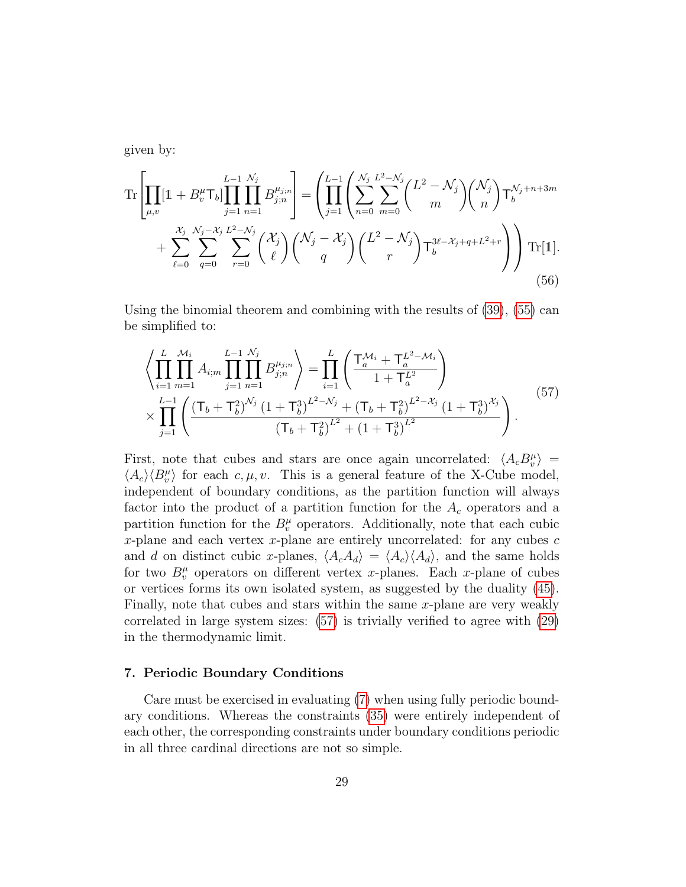given by:

$$
\operatorname{Tr}\left[\prod_{\mu,v}[1+B_v^{\mu}\mathsf{T}_b]\prod_{j=1}^{L-1}\prod_{n=1}^{N_j}B_{j;n}^{\mu_{j;n}}\right] = \left(\prod_{j=1}^{L-1}\left(\sum_{n=0}^{N_j}\sum_{m=0}^{L^2-N_j}\binom{L^2-N_j}{m}\binom{N_j}{n}\mathsf{T}_b^{N_j+n+3m}\right) + \sum_{\ell=0}^{N_j}\sum_{q=0}^{N_j-N_j}\sum_{r=0}^{L^2-N_j}\binom{X_j}{\ell}\binom{N_j-X_j}{q}\binom{L^2-N_j}{r}\mathsf{T}_b^{3\ell-X_j+q+L^2+r}\right)\right)\operatorname{Tr}[\mathbb{1}].\tag{56}
$$

Using the binomial theorem and combining with the results of [\(39\)](#page-22-0), [\(55\)](#page-27-0) can be simplified to:

<span id="page-28-1"></span>
$$
\left\langle \prod_{i=1}^{L} \prod_{m=1}^{M_i} A_{i;m} \prod_{j=1}^{L-1} \prod_{n=1}^{N_j} B_{j;n}^{\mu_{j;n}} \right\rangle = \prod_{i=1}^{L} \left( \frac{\mathsf{T}_{a}^{\mathcal{M}_i} + \mathsf{T}_{a}^{L^2 - \mathcal{M}_i}}{1 + \mathsf{T}_{a}^{L^2}} \right) \times \prod_{j=1}^{L-1} \left( \frac{(\mathsf{T}_{b} + \mathsf{T}_{b}^{2})^{N_j} (1 + \mathsf{T}_{b}^{3})^{L^2 - N_j} + (\mathsf{T}_{b} + \mathsf{T}_{b}^{2})^{L^2 - \mathcal{X}_j} (1 + \mathsf{T}_{b}^{3})^{\mathcal{X}_j}}{(\mathsf{T}_{b} + \mathsf{T}_{b}^{2})^{L^2} + (1 + \mathsf{T}_{b}^{3})^{L^2}} \right).
$$
\n
$$
(57)
$$

First, note that cubes and stars are once again uncorrelated:  $\langle A_c B_v^{\mu} \rangle =$  $\langle A_c \rangle \langle B_v^{\mu} \rangle$  for each c,  $\mu$ , v. This is a general feature of the X-Cube model, independent of boundary conditions, as the partition function will always factor into the product of a partition function for the  $A_c$  operators and a partition function for the  $B_v^{\mu}$  operators. Additionally, note that each cubic x-plane and each vertex  $x$ -plane are entirely uncorrelated: for any cubes  $c$ and d on distinct cubic x-planes,  $\langle A_c A_d \rangle = \langle A_c \rangle \langle A_d \rangle$ , and the same holds for two  $B_v^{\mu}$  operators on different vertex x-planes. Each x-plane of cubes or vertices forms its own isolated system, as suggested by the duality [\(45\)](#page-23-3). Finally, note that cubes and stars within the same  $x$ -plane are very weakly correlated in large system sizes: [\(57\)](#page-28-1) is trivially verified to agree with [\(29\)](#page-18-0) in the thermodynamic limit.

# <span id="page-28-0"></span>7. Periodic Boundary Conditions

Care must be exercised in evaluating [\(7\)](#page-10-0) when using fully periodic boundary conditions. Whereas the constraints [\(35\)](#page-21-2) were entirely independent of each other, the corresponding constraints under boundary conditions periodic in all three cardinal directions are not so simple.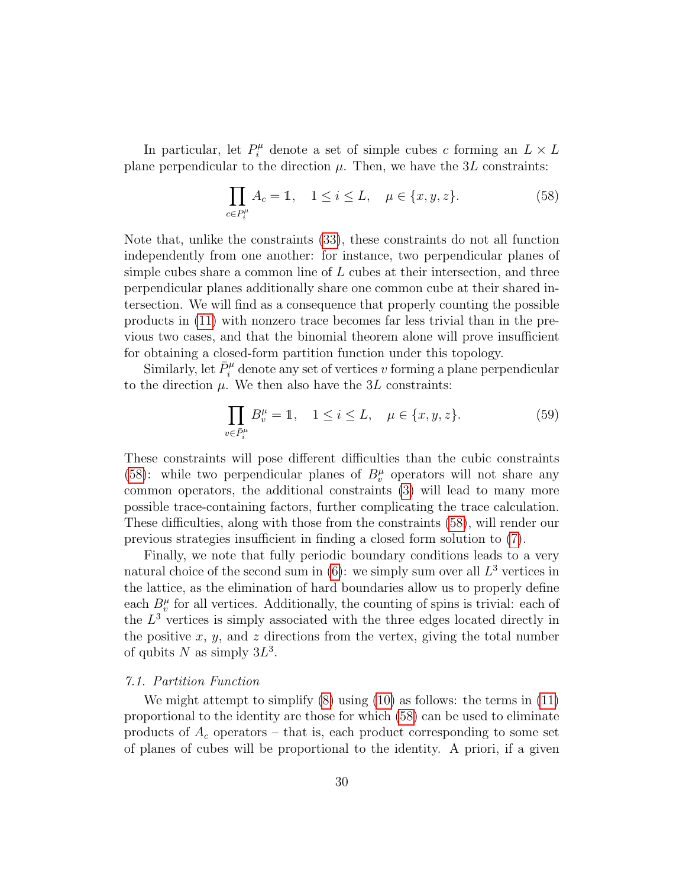In particular, let  $P_i^{\mu}$  denote a set of simple cubes c forming an  $L \times L$ plane perpendicular to the direction  $\mu$ . Then, we have the 3L constraints:

<span id="page-29-1"></span>
$$
\prod_{c \in P_i^{\mu}} A_c = 1, \quad 1 \le i \le L, \quad \mu \in \{x, y, z\}.
$$
 (58)

Note that, unlike the constraints [\(33\)](#page-19-2), these constraints do not all function independently from one another: for instance, two perpendicular planes of simple cubes share a common line of  $L$  cubes at their intersection, and three perpendicular planes additionally share one common cube at their shared intersection. We will find as a consequence that properly counting the possible products in [\(11\)](#page-10-4) with nonzero trace becomes far less trivial than in the previous two cases, and that the binomial theorem alone will prove insufficient for obtaining a closed-form partition function under this topology.

Similarly, let  $\bar{P}_i^{\mu}$  denote any set of vertices v forming a plane perpendicular to the direction  $\mu$ . We then also have the 3L constraints:

<span id="page-29-2"></span>
$$
\prod_{v \in \bar{P}_i^{\mu}} B_v^{\mu} = 1, \quad 1 \le i \le L, \quad \mu \in \{x, y, z\}.
$$
 (59)

These constraints will pose different difficulties than the cubic constraints [\(58\)](#page-29-1): while two perpendicular planes of  $B_v^{\mu}$  operators will not share any common operators, the additional constraints [\(3\)](#page-8-2) will lead to many more possible trace-containing factors, further complicating the trace calculation. These difficulties, along with those from the constraints [\(58\)](#page-29-1), will render our previous strategies insufficient in finding a closed form solution to [\(7\)](#page-10-0).

Finally, we note that fully periodic boundary conditions leads to a very natural choice of the second sum in  $(6)$ : we simply sum over all  $L^3$  vertices in the lattice, as the elimination of hard boundaries allow us to properly define each  $B_v^{\mu}$  for all vertices. Additionally, the counting of spins is trivial: each of the  $L<sup>3</sup>$  vertices is simply associated with the three edges located directly in the positive  $x, y$ , and  $z$  directions from the vertex, giving the total number of qubits N as simply  $3L^3$ .

# <span id="page-29-0"></span>7.1. Partition Function

We might attempt to simplify [\(8\)](#page-10-1) using [\(10\)](#page-10-2) as follows: the terms in [\(11\)](#page-10-4) proportional to the identity are those for which [\(58\)](#page-29-1) can be used to eliminate products of  $A_c$  operators – that is, each product corresponding to some set of planes of cubes will be proportional to the identity. A priori, if a given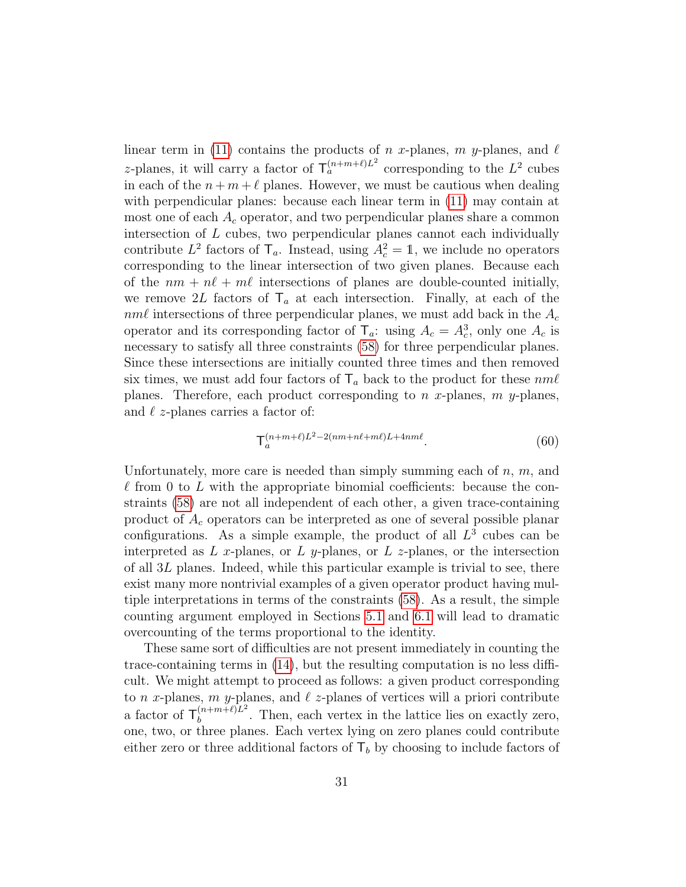linear term in [\(11\)](#page-10-4) contains the products of n x-planes, m y-planes, and  $\ell$ z-planes, it will carry a factor of  $\mathsf{T}_a^{(n+m+\ell)L^2}$  corresponding to the  $L^2$  cubes in each of the  $n + m + \ell$  planes. However, we must be cautious when dealing with perpendicular planes: because each linear term in [\(11\)](#page-10-4) may contain at most one of each  $A_c$  operator, and two perpendicular planes share a common intersection of L cubes, two perpendicular planes cannot each individually contribute  $L^2$  factors of  $\mathsf{T}_a$ . Instead, using  $A_c^2 = 1$ , we include no operators corresponding to the linear intersection of two given planes. Because each of the  $nm + n\ell + m\ell$  intersections of planes are double-counted initially, we remove 2L factors of  $\mathsf{T}_a$  at each intersection. Finally, at each of the  $nm\ell$  intersections of three perpendicular planes, we must add back in the  $A_c$ operator and its corresponding factor of  $\mathsf{T}_a$ : using  $A_c = A_c^3$ , only one  $A_c$  is necessary to satisfy all three constraints [\(58\)](#page-29-1) for three perpendicular planes. Since these intersections are initially counted three times and then removed six times, we must add four factors of  $\mathsf{T}_a$  back to the product for these  $nm\ell$ planes. Therefore, each product corresponding to n x-planes,  $m$  y-planes, and  $\ell$  z-planes carries a factor of:

$$
\mathsf{T}_a^{(n+m+\ell)L^2-2(nm+n\ell+m\ell)L+4nm\ell}.\tag{60}
$$

Unfortunately, more care is needed than simply summing each of  $n, m$ , and  $\ell$  from 0 to L with the appropriate binomial coefficients: because the constraints [\(58\)](#page-29-1) are not all independent of each other, a given trace-containing product of  $A_c$  operators can be interpreted as one of several possible planar configurations. As a simple example, the product of all  $L^3$  cubes can be interpreted as L x-planes, or L y-planes, or L z-planes, or the intersection of all 3L planes. Indeed, while this particular example is trivial to see, there exist many more nontrivial examples of a given operator product having multiple interpretations in terms of the constraints [\(58\)](#page-29-1). As a result, the simple counting argument employed in Sections [5.1](#page-12-0) and [6.1](#page-20-0) will lead to dramatic overcounting of the terms proportional to the identity.

These same sort of difficulties are not present immediately in counting the trace-containing terms in [\(14\)](#page-13-1), but the resulting computation is no less difficult. We might attempt to proceed as follows: a given product corresponding to n x-planes, m y-planes, and  $\ell$  z-planes of vertices will a priori contribute a factor of  $\mathsf{T}_{h}^{(n+m+\ell)L^{2}}$  $b_b^{(n+m+\ell)L^2}$ . Then, each vertex in the lattice lies on exactly zero, one, two, or three planes. Each vertex lying on zero planes could contribute either zero or three additional factors of  $\mathsf{T}_b$  by choosing to include factors of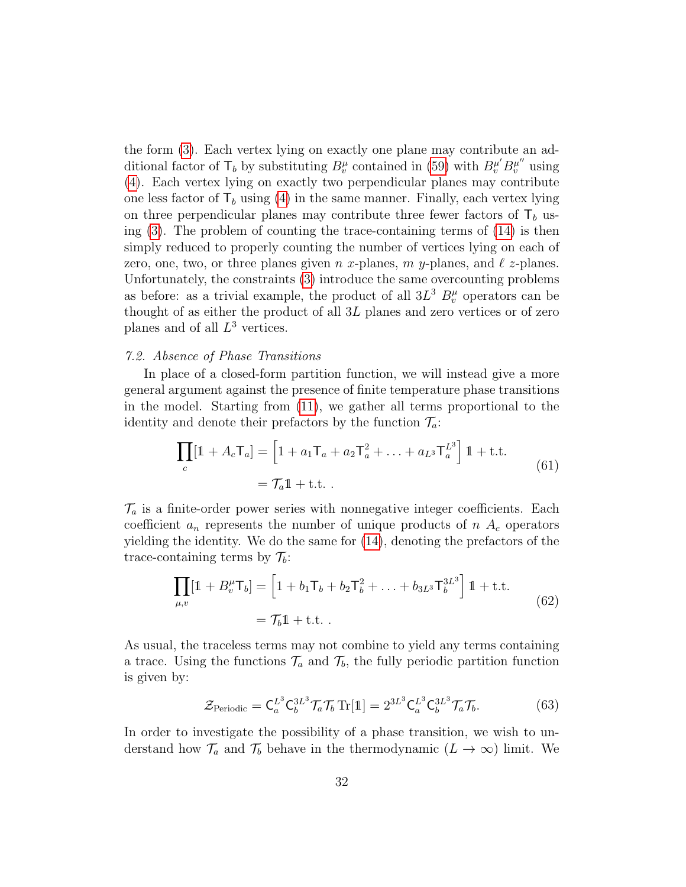the form [\(3\)](#page-8-2). Each vertex lying on exactly one plane may contribute an additional factor of  $\mathsf{T}_b$  by substituting  $B_v^{\mu}$  contained in [\(59\)](#page-29-2) with  $B_v^{\mu'}B_v^{\mu''}$  using [\(4\)](#page-8-3). Each vertex lying on exactly two perpendicular planes may contribute one less factor of  $\mathsf{T}_b$  using [\(4\)](#page-8-3) in the same manner. Finally, each vertex lying on three perpendicular planes may contribute three fewer factors of  $\mathsf{T}_b$  using  $(3)$ . The problem of counting the trace-containing terms of  $(14)$  is then simply reduced to properly counting the number of vertices lying on each of zero, one, two, or three planes given n x-planes, m y-planes, and  $\ell$  z-planes. Unfortunately, the constraints [\(3\)](#page-8-2) introduce the same overcounting problems as before: as a trivial example, the product of all  $3L^3 B_v^{\mu}$  operators can be thought of as either the product of all 3L planes and zero vertices or of zero planes and of all  $L^3$  vertices.

# <span id="page-31-0"></span>7.2. Absence of Phase Transitions

In place of a closed-form partition function, we will instead give a more general argument against the presence of finite temperature phase transitions in the model. Starting from [\(11\)](#page-10-4), we gather all terms proportional to the identity and denote their prefactors by the function  $\mathcal{T}_a$ :

$$
\prod_{c} [1 + A_c \mathsf{T}_a] = \left[ 1 + a_1 \mathsf{T}_a + a_2 \mathsf{T}_a^2 + \dots + a_{L^3} \mathsf{T}_a^{L^3} \right] 1 + \text{t.t.}
$$
\n
$$
= \mathsf{T}_a 1 + \text{t.t.} \tag{61}
$$

 $\mathcal{T}_a$  is a finite-order power series with nonnegative integer coefficients. Each coefficient  $a_n$  represents the number of unique products of  $n A_c$  operators yielding the identity. We do the same for [\(14\)](#page-13-1), denoting the prefactors of the trace-containing terms by  $\mathcal{T}_b$ :

$$
\prod_{\mu,v} [1 + B_v^{\mu} \mathsf{T}_b] = \left[ 1 + b_1 \mathsf{T}_b + b_2 \mathsf{T}_b^2 + \ldots + b_{3L^3} \mathsf{T}_b^{3L^3} \right] 1 + \text{t.t.}
$$
\n
$$
= \mathcal{T}_b 1 + \text{t.t.} \tag{62}
$$

As usual, the traceless terms may not combine to yield any terms containing a trace. Using the functions  $\mathcal{T}_a$  and  $\mathcal{T}_b$ , the fully periodic partition function is given by:

$$
\mathcal{Z}_{\text{Periodic}} = \mathsf{C}_a^{L^3} \mathsf{C}_b^{3L^3} \mathcal{T}_a \mathcal{T}_b \operatorname{Tr}[\mathbb{1}] = 2^{3L^3} \mathsf{C}_a^{L^3} \mathsf{C}_b^{3L^3} \mathcal{T}_a \mathcal{T}_b. \tag{63}
$$

In order to investigate the possibility of a phase transition, we wish to understand how  $\mathcal{T}_a$  and  $\mathcal{T}_b$  behave in the thermodynamic  $(L \to \infty)$  limit. We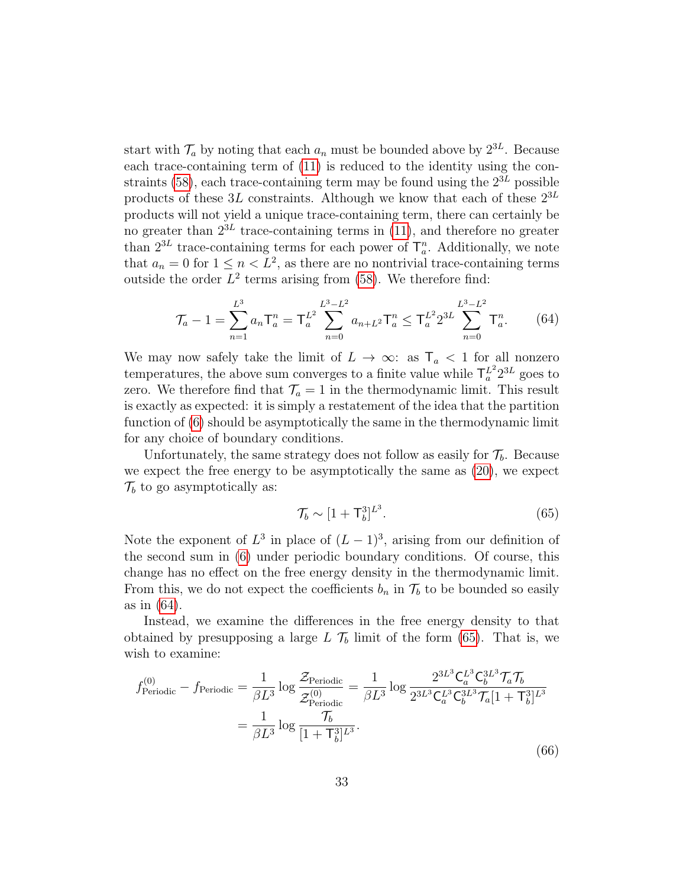start with  $\mathcal{T}_a$  by noting that each  $a_n$  must be bounded above by  $2^{3L}$ . Because each trace-containing term of [\(11\)](#page-10-4) is reduced to the identity using the con-straints [\(58\)](#page-29-1), each trace-containing term may be found using the  $2^{3L}$  possible products of these  $3L$  constraints. Although we know that each of these  $2^{3L}$ products will not yield a unique trace-containing term, there can certainly be no greater than  $2^{3L}$  trace-containing terms in [\(11\)](#page-10-4), and therefore no greater than  $2^{3L}$  trace-containing terms for each power of  $\mathsf{T}_a^n$ . Additionally, we note that  $a_n = 0$  for  $1 \leq n < L^2$ , as there are no nontrivial trace-containing terms outside the order  $L^2$  terms arising from [\(58\)](#page-29-1). We therefore find:

$$
\mathcal{T}_a - 1 = \sum_{n=1}^{L^3} a_n \mathsf{T}_a^n = \mathsf{T}_a^{L^2} \sum_{n=0}^{L^3 - L^2} a_{n+L^2} \mathsf{T}_a^n \le \mathsf{T}_a^{L^2} 2^{3L} \sum_{n=0}^{L^3 - L^2} \mathsf{T}_a^n. \tag{64}
$$

<span id="page-32-0"></span>We may now safely take the limit of  $L \to \infty$ : as  $\mathsf{T}_a < 1$  for all nonzero temperatures, the above sum converges to a finite value while  $\mathsf{T}_a^{L^2} 2^{3L}$  goes to zero. We therefore find that  $\mathcal{T}_a = 1$  in the thermodynamic limit. This result is exactly as expected: it is simply a restatement of the idea that the partition function of [\(6\)](#page-8-1) should be asymptotically the same in the thermodynamic limit for any choice of boundary conditions.

Unfortunately, the same strategy does not follow as easily for  $\mathcal{T}_b$ . Because we expect the free energy to be asymptotically the same as [\(20\)](#page-14-0), we expect  $\mathcal{T}_b$  to go asymptotically as:

<span id="page-32-1"></span>
$$
\mathcal{T}_b \sim [1 + \mathsf{T}_b^3]^{L^3}.\tag{65}
$$

Note the exponent of  $L^3$  in place of  $(L-1)^3$ , arising from our definition of the second sum in [\(6\)](#page-8-1) under periodic boundary conditions. Of course, this change has no effect on the free energy density in the thermodynamic limit. From this, we do not expect the coefficients  $b_n$  in  $\mathcal{T}_b$  to be bounded so easily as in [\(64\)](#page-32-0).

Instead, we examine the differences in the free energy density to that obtained by presupposing a large  $L \mathcal{T}_b$  limit of the form [\(65\)](#page-32-1). That is, we wish to examine:

<span id="page-32-2"></span>
$$
f_{\text{Periodic}}^{(0)} - f_{\text{Periodic}} = \frac{1}{\beta L^3} \log \frac{\mathcal{Z}_{\text{Periodic}}}{\mathcal{Z}_{\text{Periodic}}^{(0)}} = \frac{1}{\beta L^3} \log \frac{2^{3L^3} \mathsf{C}_a^{L^3} \mathsf{C}_b^{3L^3} \mathcal{T}_a \mathsf{T}_b}{2^{3L^3} \mathsf{C}_a^{L^3} \mathsf{C}_b^{3L^3} \mathcal{T}_a [1 + \mathsf{T}_b^3]^{L^3}}
$$

$$
= \frac{1}{\beta L^3} \log \frac{\mathcal{T}_b}{[1 + \mathsf{T}_b^3]^{L^3}}.
$$
(66)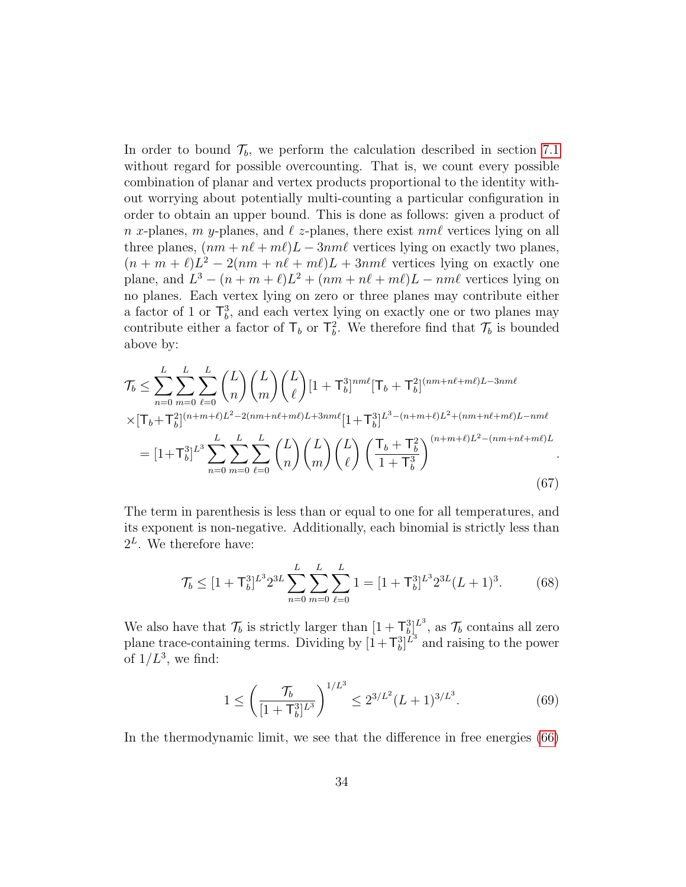In order to bound  $\mathcal{T}_b$ , we perform the calculation described in section [7.1](#page-29-0) without regard for possible overcounting. That is, we count every possible combination of planar and vertex products proportional to the identity without worrying about potentially multi-counting a particular configuration in order to obtain an upper bound. This is done as follows: given a product of n x-planes, m y-planes, and  $\ell$  z-planes, there exist nm $\ell$  vertices lying on all three planes,  $(nm + n\ell + m\ell)L - 3nm\ell$  vertices lying on exactly two planes,  $(n + m + \ell)L^2 - 2(nm + n\ell + m\ell)L + 3nm\ell$  vertices lying on exactly one plane, and  $L^3 - (n + m + \ell)L^2 + (nm + n\ell + m\ell)L - nm\ell$  vertices lying on no planes. Each vertex lying on zero or three planes may contribute either a factor of 1 or  $\mathsf{T}_{b}^{3}$ , and each vertex lying on exactly one or two planes may contribute either a factor of  $\mathsf{T}_b$  or  $\mathsf{T}_b^2$ . We therefore find that  $\mathcal{T}_b$  is bounded above by:

$$
\mathcal{T}_{b} \leq \sum_{n=0}^{L} \sum_{m=0}^{L} \sum_{\ell=0}^{L} {L \choose n} {L \choose \ell} [1 + T_{b}^{3}]^{nm\ell} [T_{b} + T_{b}^{2}]^{(nm+n\ell+m\ell)L-3nm\ell} \times [T_{b} + T_{b}^{2}]^{(n+m+\ell)L^{2} - 2(m+n\ell+n\ell)L+3nm\ell} [1 + T_{b}^{3}]^{L^{3} - (n+m+\ell)L^{2} + (nm+n\ell+m\ell)L-nm\ell} = [1 + T_{b}^{3}]^{L^{3}} \sum_{n=0}^{L} \sum_{m=0}^{L} {L \choose n} {L \choose m} {L \choose \ell} \left( \frac{T_{b} + T_{b}^{2}}{1 + T_{b}^{3}} \right)^{(n+m+\ell)L^{2} - (nm+n\ell+m\ell)L}
$$
\n(67)

The term in parenthesis is less than or equal to one for all temperatures, and its exponent is non-negative. Additionally, each binomial is strictly less than  $2^L$ . We therefore have:

$$
\mathcal{T}_b \le [1 + \mathsf{T}_b^3]^{L^3} 2^{3L} \sum_{n=0}^L \sum_{m=0}^L \sum_{\ell=0}^L 1 = [1 + \mathsf{T}_b^3]^{L^3} 2^{3L} (L+1)^3. \tag{68}
$$

We also have that  $\mathcal{T}_b$  is strictly larger than  $[1 + \mathsf{T}_{b}^{3}]^{L^3}$ , as  $\mathcal{T}_b$  contains all zero plane trace-containing terms. Dividing by  $[1+\mathsf{T}_{b}^{3}]^{\tilde{L}^{3}}$  and raising to the power of  $1/L^3$ , we find:

$$
1 \le \left(\frac{\mathcal{T}_b}{[1+\mathsf{T}_b^3]^{L^3}}\right)^{1/L^3} \le 2^{3/L^2} (L+1)^{3/L^3}.\tag{69}
$$

In the thermodynamic limit, we see that the difference in free energies [\(66\)](#page-32-2)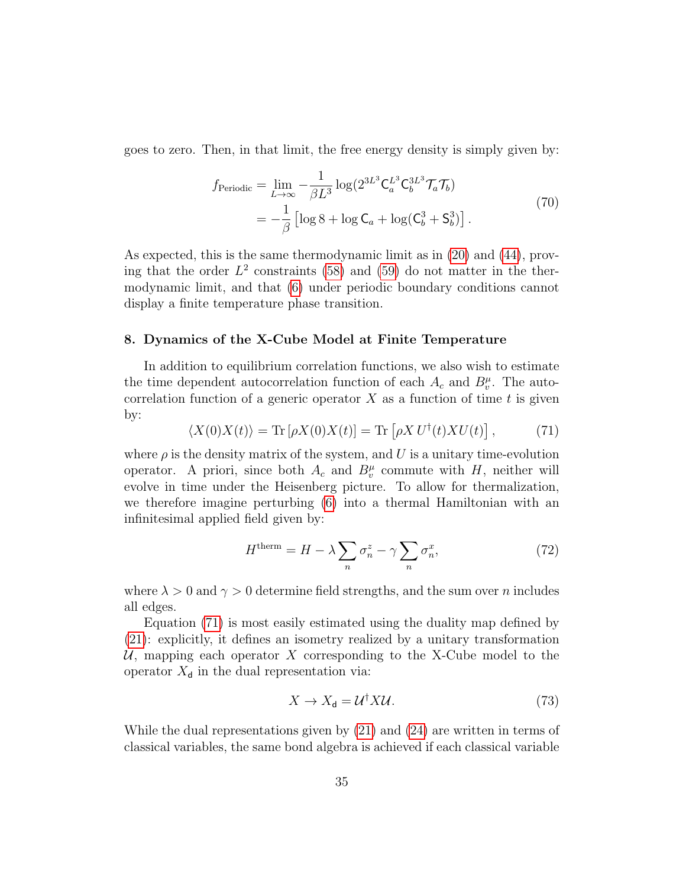goes to zero. Then, in that limit, the free energy density is simply given by:

$$
f_{\text{Periodic}} = \lim_{L \to \infty} -\frac{1}{\beta L^3} \log(2^{3L^3} \mathsf{C}_a^{L^3} \mathsf{C}_b^{3L^3} \mathcal{T}_a \mathcal{T}_b)
$$
  
= 
$$
-\frac{1}{\beta} \left[ \log 8 + \log \mathsf{C}_a + \log(\mathsf{C}_b^3 + \mathsf{S}_b^3) \right].
$$
 (70)

As expected, this is the same thermodynamic limit as in [\(20\)](#page-14-0) and [\(44\)](#page-23-2), proving that the order  $L^2$  constraints [\(58\)](#page-29-1) and [\(59\)](#page-29-2) do not matter in the thermodynamic limit, and that [\(6\)](#page-8-1) under periodic boundary conditions cannot display a finite temperature phase transition.

## <span id="page-34-0"></span>8. Dynamics of the X-Cube Model at Finite Temperature

In addition to equilibrium correlation functions, we also wish to estimate the time dependent autocorrelation function of each  $A_c$  and  $B_v^{\mu}$ . The autocorrelation function of a generic operator  $X$  as a function of time t is given by:

<span id="page-34-1"></span>
$$
\langle X(0)X(t)\rangle = \text{Tr}\left[\rho X(0)X(t)\right] = \text{Tr}\left[\rho X U^{\dagger}(t)X U(t)\right],\tag{71}
$$

where  $\rho$  is the density matrix of the system, and U is a unitary time-evolution operator. A priori, since both  $A_c$  and  $B_v^{\mu}$  commute with H, neither will evolve in time under the Heisenberg picture. To allow for thermalization, we therefore imagine perturbing [\(6\)](#page-8-1) into a thermal Hamiltonian with an infinitesimal applied field given by:

$$
H^{\text{therm}} = H - \lambda \sum_{n} \sigma_n^z - \gamma \sum_{n} \sigma_n^x,\tag{72}
$$

where  $\lambda > 0$  and  $\gamma > 0$  determine field strengths, and the sum over n includes all edges.

Equation [\(71\)](#page-34-1) is most easily estimated using the duality map defined by [\(21\)](#page-15-2): explicitly, it defines an isometry realized by a unitary transformation U, mapping each operator X corresponding to the X-Cube model to the operator  $X_{d}$  in the dual representation via:

$$
X \to X_{\mathsf{d}} = \mathcal{U}^{\dagger} X \mathcal{U}.
$$
 (73)

While the dual representations given by [\(21\)](#page-15-2) and [\(24\)](#page-16-2) are written in terms of classical variables, the same bond algebra is achieved if each classical variable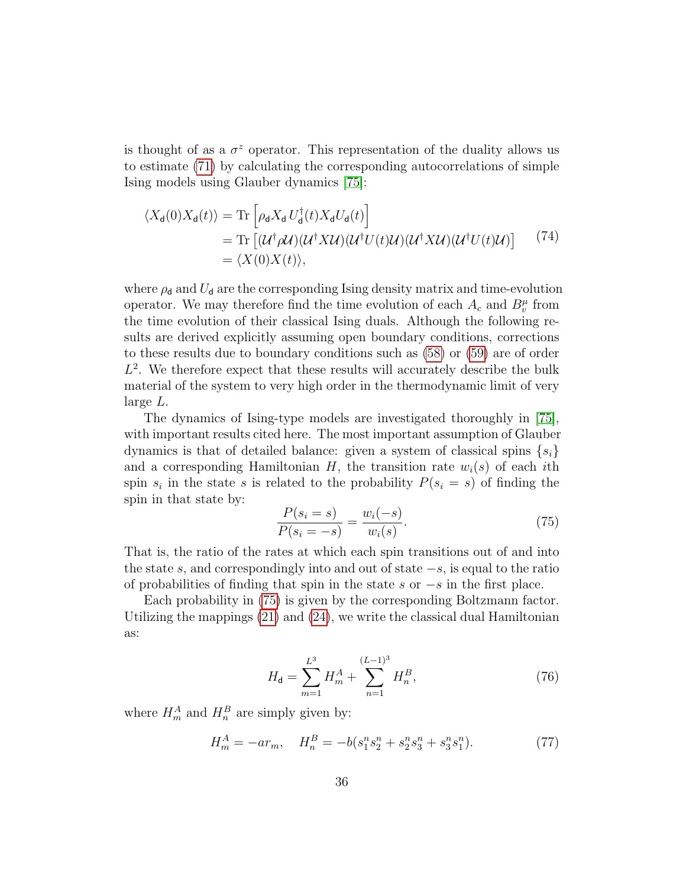is thought of as a  $\sigma^z$  operator. This representation of the duality allows us to estimate [\(71\)](#page-34-1) by calculating the corresponding autocorrelations of simple Ising models using Glauber dynamics [\[75\]](#page-65-6):

$$
\langle X_{d}(0)X_{d}(t)\rangle = \text{Tr}\left[\rho_{d}X_{d}U_{d}^{\dagger}(t)X_{d}U_{d}(t)\right]
$$
  
\n
$$
= \text{Tr}\left[(\mathcal{U}^{\dagger}\rho\mathcal{U})(\mathcal{U}^{\dagger}X\mathcal{U})(\mathcal{U}^{\dagger}U(t)\mathcal{U})(\mathcal{U}^{\dagger}X\mathcal{U})(\mathcal{U}^{\dagger}U(t)\mathcal{U})\right]
$$
(74)  
\n
$$
= \langle X(0)X(t)\rangle,
$$

where  $\rho_d$  and  $U_d$  are the corresponding Ising density matrix and time-evolution operator. We may therefore find the time evolution of each  $A_c$  and  $B_v^{\mu}$  from the time evolution of their classical Ising duals. Although the following results are derived explicitly assuming open boundary conditions, corrections to these results due to boundary conditions such as [\(58\)](#page-29-1) or [\(59\)](#page-29-2) are of order  $L^2$ . We therefore expect that these results will accurately describe the bulk material of the system to very high order in the thermodynamic limit of very large L.

The dynamics of Ising-type models are investigated thoroughly in [\[75\]](#page-65-6), with important results cited here. The most important assumption of Glauber dynamics is that of detailed balance: given a system of classical spins  $\{s_i\}$ and a corresponding Hamiltonian  $H$ , the transition rate  $w_i(s)$  of each ith spin  $s_i$  in the state s is related to the probability  $P(s_i = s)$  of finding the spin in that state by:

<span id="page-35-0"></span>
$$
\frac{P(s_i = s)}{P(s_i = -s)} = \frac{w_i(-s)}{w_i(s)}.
$$
\n(75)

That is, the ratio of the rates at which each spin transitions out of and into the state s, and correspondingly into and out of state  $-s$ , is equal to the ratio of probabilities of finding that spin in the state s or  $-s$  in the first place.

Each probability in [\(75\)](#page-35-0) is given by the corresponding Boltzmann factor. Utilizing the mappings  $(21)$  and  $(24)$ , we write the classical dual Hamiltonian as:

$$
H_{\mathbf{d}} = \sum_{m=1}^{L^3} H_m^A + \sum_{n=1}^{(L-1)^3} H_n^B,
$$
 (76)

where  $H_m^A$  and  $H_n^B$  are simply given by:

$$
H_m^A = -ar_m, \quad H_n^B = -b(s_1^n s_2^n + s_2^n s_3^n + s_3^n s_1^n). \tag{77}
$$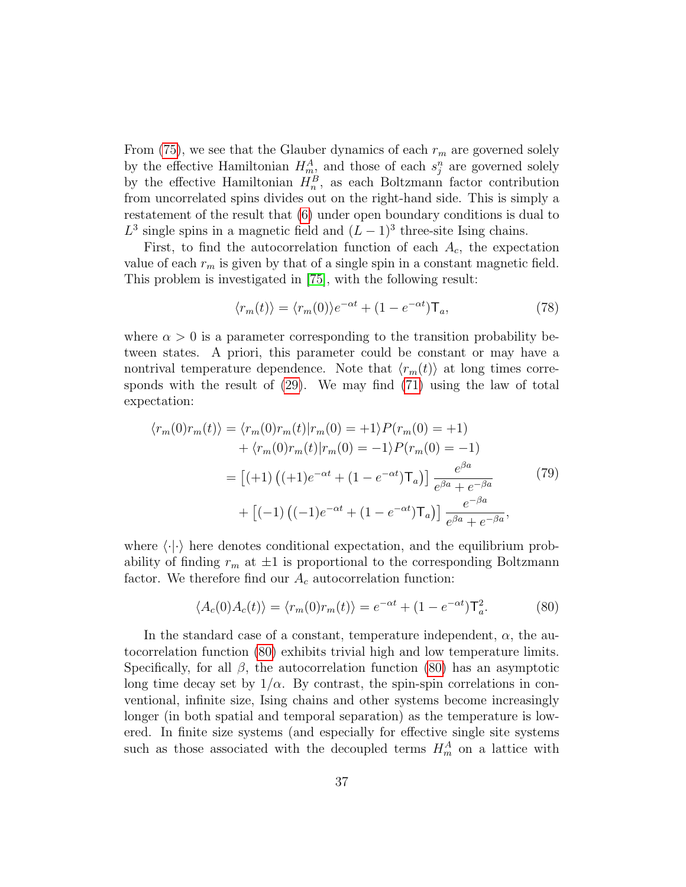From [\(75\)](#page-35-0), we see that the Glauber dynamics of each  $r_m$  are governed solely by the effective Hamiltonian  $H_m^A$ , and those of each  $s_j^n$  are governed solely by the effective Hamiltonian  $H_n^B$ , as each Boltzmann factor contribution from uncorrelated spins divides out on the right-hand side. This is simply a restatement of the result that [\(6\)](#page-8-1) under open boundary conditions is dual to  $L^3$  single spins in a magnetic field and  $(L-1)^3$  three-site Ising chains.

First, to find the autocorrelation function of each  $A_c$ , the expectation value of each  $r_m$  is given by that of a single spin in a constant magnetic field. This problem is investigated in [\[75\]](#page-65-6), with the following result:

$$
\langle r_m(t) \rangle = \langle r_m(0) \rangle e^{-\alpha t} + (1 - e^{-\alpha t}) \mathsf{T}_a,\tag{78}
$$

where  $\alpha > 0$  is a parameter corresponding to the transition probability between states. A priori, this parameter could be constant or may have a nontrival temperature dependence. Note that  $\langle r_m(t) \rangle$  at long times corresponds with the result of [\(29\)](#page-18-0). We may find [\(71\)](#page-34-1) using the law of total expectation:

$$
\langle r_m(0)r_m(t)\rangle = \langle r_m(0)r_m(t)|r_m(0) = +1\rangle P(r_m(0) = +1)
$$

$$
+ \langle r_m(0)r_m(t)|r_m(0) = -1\rangle P(r_m(0) = -1)
$$

$$
= [(+1) ((+1)e^{-\alpha t} + (1 - e^{-\alpha t})\mathsf{T}_a)] \frac{e^{\beta a}}{e^{\beta a} + e^{-\beta a}}
$$
(79)
$$
+ [(-1) ((-1)e^{-\alpha t} + (1 - e^{-\alpha t})\mathsf{T}_a)] \frac{e^{-\beta a}}{e^{\beta a} + e^{-\beta a}},
$$

where  $\langle \cdot | \cdot \rangle$  here denotes conditional expectation, and the equilibrium probability of finding  $r_m$  at  $\pm 1$  is proportional to the corresponding Boltzmann factor. We therefore find our  $A_c$  autocorrelation function:

<span id="page-36-0"></span>
$$
\langle A_c(0)A_c(t)\rangle = \langle r_m(0)r_m(t)\rangle = e^{-\alpha t} + (1 - e^{-\alpha t})\mathsf{T}_a^2.
$$
 (80)

In the standard case of a constant, temperature independent,  $\alpha$ , the autocorrelation function [\(80\)](#page-36-0) exhibits trivial high and low temperature limits. Specifically, for all  $\beta$ , the autocorrelation function [\(80\)](#page-36-0) has an asymptotic long time decay set by  $1/\alpha$ . By contrast, the spin-spin correlations in conventional, infinite size, Ising chains and other systems become increasingly longer (in both spatial and temporal separation) as the temperature is lowered. In finite size systems (and especially for effective single site systems such as those associated with the decoupled terms  $H_m^A$  on a lattice with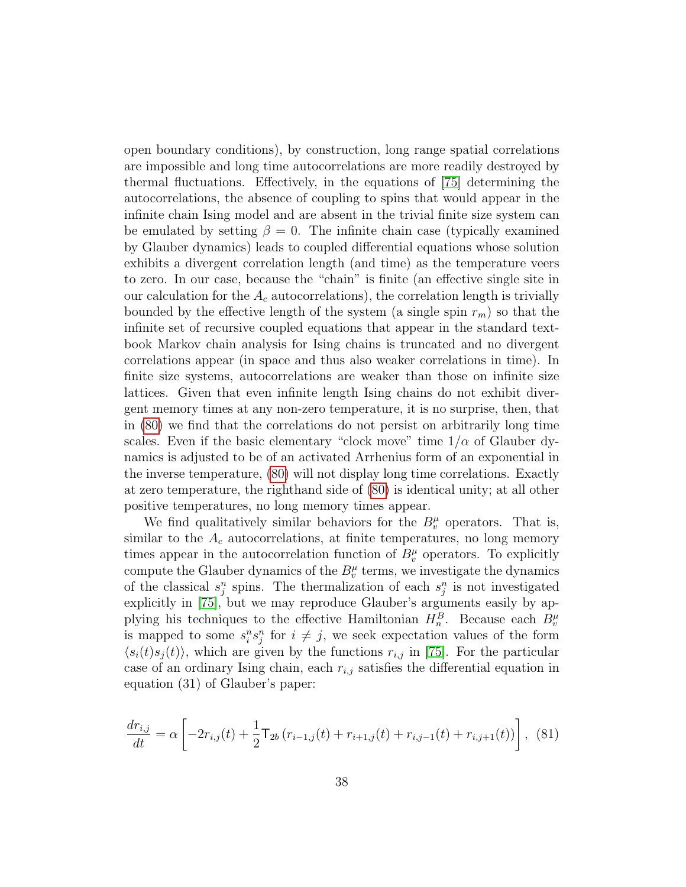open boundary conditions), by construction, long range spatial correlations are impossible and long time autocorrelations are more readily destroyed by thermal fluctuations. Effectively, in the equations of [\[75\]](#page-65-6) determining the autocorrelations, the absence of coupling to spins that would appear in the infinite chain Ising model and are absent in the trivial finite size system can be emulated by setting  $\beta = 0$ . The infinite chain case (typically examined by Glauber dynamics) leads to coupled differential equations whose solution exhibits a divergent correlation length (and time) as the temperature veers to zero. In our case, because the "chain" is finite (an effective single site in our calculation for the  $A_c$  autocorrelations), the correlation length is trivially bounded by the effective length of the system (a single spin  $r_m$ ) so that the infinite set of recursive coupled equations that appear in the standard textbook Markov chain analysis for Ising chains is truncated and no divergent correlations appear (in space and thus also weaker correlations in time). In finite size systems, autocorrelations are weaker than those on infinite size lattices. Given that even infinite length Ising chains do not exhibit divergent memory times at any non-zero temperature, it is no surprise, then, that in [\(80\)](#page-36-0) we find that the correlations do not persist on arbitrarily long time scales. Even if the basic elementary "clock move" time  $1/\alpha$  of Glauber dynamics is adjusted to be of an activated Arrhenius form of an exponential in the inverse temperature, [\(80\)](#page-36-0) will not display long time correlations. Exactly at zero temperature, the righthand side of [\(80\)](#page-36-0) is identical unity; at all other positive temperatures, no long memory times appear.

We find qualitatively similar behaviors for the  $B_v^{\mu}$  operators. That is, similar to the  $A_c$  autocorrelations, at finite temperatures, no long memory times appear in the autocorrelation function of  $B_v^{\mu}$  operators. To explicitly compute the Glauber dynamics of the  $B_v^{\mu}$  terms, we investigate the dynamics of the classical  $s_j^n$  spins. The thermalization of each  $s_j^n$  is not investigated explicitly in [\[75\]](#page-65-6), but we may reproduce Glauber's arguments easily by applying his techniques to the effective Hamiltonian  $H_n^B$ . Because each  $B_v^{\mu}$ is mapped to some  $s_i^n s_j^n$  for  $i \neq j$ , we seek expectation values of the form  $\langle s_i(t)s_j(t)\rangle$ , which are given by the functions  $r_{i,j}$  in [\[75\]](#page-65-6). For the particular case of an ordinary Ising chain, each  $r_{i,j}$  satisfies the differential equation in equation (31) of Glauber's paper:

$$
\frac{dr_{i,j}}{dt} = \alpha \left[ -2r_{i,j}(t) + \frac{1}{2}\mathsf{T}_{2b}(r_{i-1,j}(t) + r_{i+1,j}(t) + r_{i,j-1}(t) + r_{i,j+1}(t)) \right], \tag{81}
$$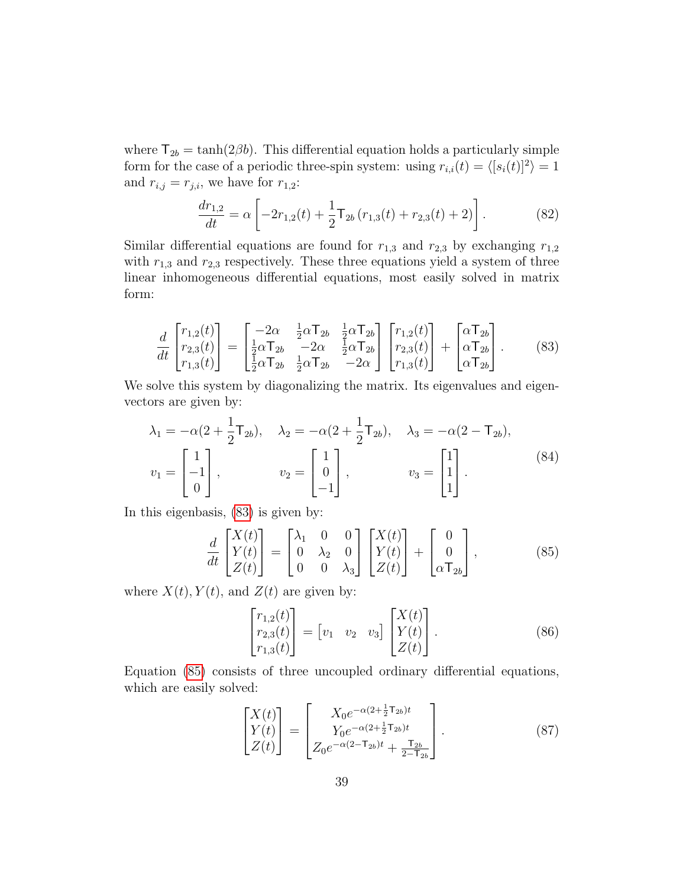where  $T_{2b} = \tanh(2\beta b)$ . This differential equation holds a particularly simple form for the case of a periodic three-spin system: using  $r_{i,i}(t) = \langle [s_i(t)]^2 \rangle = 1$ and  $r_{i,j} = r_{j,i}$ , we have for  $r_{1,2}$ :

$$
\frac{dr_{1,2}}{dt} = \alpha \left[ -2r_{1,2}(t) + \frac{1}{2}\mathsf{T}_{2b}\left(r_{1,3}(t) + r_{2,3}(t) + 2\right) \right].\tag{82}
$$

Similar differential equations are found for  $r_{1,3}$  and  $r_{2,3}$  by exchanging  $r_{1,2}$ with  $r_{1,3}$  and  $r_{2,3}$  respectively. These three equations yield a system of three linear inhomogeneous differential equations, most easily solved in matrix form:

<span id="page-38-0"></span>
$$
\frac{d}{dt} \begin{bmatrix} r_{1,2}(t) \\ r_{2,3}(t) \\ r_{1,3}(t) \end{bmatrix} = \begin{bmatrix} -2\alpha & \frac{1}{2}\alpha \mathsf{T}_{2b} & \frac{1}{2}\alpha \mathsf{T}_{2b} \\ \frac{1}{2}\alpha \mathsf{T}_{2b} & -2\alpha & \frac{1}{2}\alpha \mathsf{T}_{2b} \\ \frac{1}{2}\alpha \mathsf{T}_{2b} & \frac{1}{2}\alpha \mathsf{T}_{2b} & -2\alpha \end{bmatrix} \begin{bmatrix} r_{1,2}(t) \\ r_{2,3}(t) \\ r_{1,3}(t) \end{bmatrix} + \begin{bmatrix} \alpha \mathsf{T}_{2b} \\ \alpha \mathsf{T}_{2b} \\ \alpha \mathsf{T}_{2b} \end{bmatrix} . \tag{83}
$$

We solve this system by diagonalizing the matrix. Its eigenvalues and eigenvectors are given by:

$$
\lambda_1 = -\alpha (2 + \frac{1}{2} \mathsf{T}_{2b}), \quad \lambda_2 = -\alpha (2 + \frac{1}{2} \mathsf{T}_{2b}), \quad \lambda_3 = -\alpha (2 - \mathsf{T}_{2b}),
$$
\n
$$
v_1 = \begin{bmatrix} 1 \\ -1 \\ 0 \end{bmatrix}, \qquad v_2 = \begin{bmatrix} 1 \\ 0 \\ -1 \end{bmatrix}, \qquad v_3 = \begin{bmatrix} 1 \\ 1 \\ 1 \end{bmatrix}.
$$
\n(84)

In this eigenbasis, [\(83\)](#page-38-0) is given by:

<span id="page-38-1"></span>
$$
\frac{d}{dt} \begin{bmatrix} X(t) \\ Y(t) \\ Z(t) \end{bmatrix} = \begin{bmatrix} \lambda_1 & 0 & 0 \\ 0 & \lambda_2 & 0 \\ 0 & 0 & \lambda_3 \end{bmatrix} \begin{bmatrix} X(t) \\ Y(t) \\ Z(t) \end{bmatrix} + \begin{bmatrix} 0 \\ 0 \\ \alpha \mathsf{T}_{2b} \end{bmatrix},
$$
\n(85)

where  $X(t)$ ,  $Y(t)$ , and  $Z(t)$  are given by:

$$
\begin{bmatrix} r_{1,2}(t) \\ r_{2,3}(t) \\ r_{1,3}(t) \end{bmatrix} = \begin{bmatrix} v_1 & v_2 & v_3 \end{bmatrix} \begin{bmatrix} X(t) \\ Y(t) \\ Z(t) \end{bmatrix} . \tag{86}
$$

Equation [\(85\)](#page-38-1) consists of three uncoupled ordinary differential equations, which are easily solved:

$$
\begin{bmatrix} X(t) \\ Y(t) \\ Z(t) \end{bmatrix} = \begin{bmatrix} X_0 e^{-\alpha(2 + \frac{1}{2}\mathsf{T}_{2b})t} \\ Y_0 e^{-\alpha(2 + \frac{1}{2}\mathsf{T}_{2b})t} \\ Z_0 e^{-\alpha(2 - \mathsf{T}_{2b})t} + \frac{\mathsf{T}_{2b}}{2 - \mathsf{T}_{2b}} \end{bmatrix} . \tag{87}
$$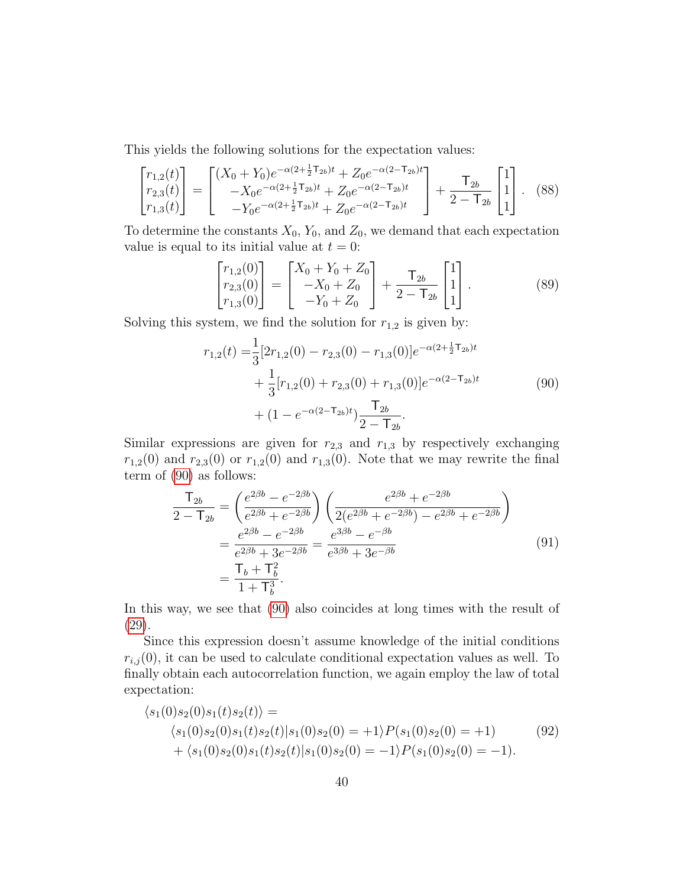This yields the following solutions for the expectation values:

$$
\begin{bmatrix} r_{1,2}(t) \\ r_{2,3}(t) \\ r_{1,3}(t) \end{bmatrix} = \begin{bmatrix} (X_0 + Y_0)e^{-\alpha(2 + \frac{1}{2}\mathbf{T}_{2b})t} + Z_0e^{-\alpha(2 - \mathbf{T}_{2b})t} \\ -X_0e^{-\alpha(2 + \frac{1}{2}\mathbf{T}_{2b})t} + Z_0e^{-\alpha(2 - \mathbf{T}_{2b})t} \\ -Y_0e^{-\alpha(2 + \frac{1}{2}\mathbf{T}_{2b})t} + Z_0e^{-\alpha(2 - \mathbf{T}_{2b})t} \end{bmatrix} + \frac{\mathbf{T}_{2b}}{2 - \mathbf{T}_{2b}} \begin{bmatrix} 1 \\ 1 \\ 1 \end{bmatrix}.
$$
 (88)

To determine the constants  $X_0$ ,  $Y_0$ , and  $Z_0$ , we demand that each expectation value is equal to its initial value at  $t = 0$ :

$$
\begin{bmatrix} r_{1,2}(0) \\ r_{2,3}(0) \\ r_{1,3}(0) \end{bmatrix} = \begin{bmatrix} X_0 + Y_0 + Z_0 \\ -X_0 + Z_0 \\ -Y_0 + Z_0 \end{bmatrix} + \frac{\mathsf{T}_{2b}}{2 - \mathsf{T}_{2b}} \begin{bmatrix} 1 \\ 1 \\ 1 \end{bmatrix} . \tag{89}
$$

<span id="page-39-0"></span>Solving this system, we find the solution for  $r_{1,2}$  is given by:

$$
r_{1,2}(t) = \frac{1}{3} [2r_{1,2}(0) - r_{2,3}(0) - r_{1,3}(0)]e^{-\alpha(2 + \frac{1}{2}\mathsf{T}_{2b})t} + \frac{1}{3} [r_{1,2}(0) + r_{2,3}(0) + r_{1,3}(0)]e^{-\alpha(2 - \mathsf{T}_{2b})t} + (1 - e^{-\alpha(2 - \mathsf{T}_{2b})t})\frac{\mathsf{T}_{2b}}{2 - \mathsf{T}_{2b}}.
$$
\n(90)

Similar expressions are given for  $r_{2,3}$  and  $r_{1,3}$  by respectively exchanging  $r_{1,2}(0)$  and  $r_{2,3}(0)$  or  $r_{1,2}(0)$  and  $r_{1,3}(0)$ . Note that we may rewrite the final term of [\(90\)](#page-39-0) as follows:

<span id="page-39-1"></span>
$$
\frac{\mathsf{T}_{2b}}{2-\mathsf{T}_{2b}} = \left(\frac{e^{2\beta b} - e^{-2\beta b}}{e^{2\beta b} + e^{-2\beta b}}\right) \left(\frac{e^{2\beta b} + e^{-2\beta b}}{2(e^{2\beta b} + e^{-2\beta b}) - e^{2\beta b} + e^{-2\beta b}}\right)
$$
\n
$$
= \frac{e^{2\beta b} - e^{-2\beta b}}{e^{2\beta b} + 3e^{-2\beta b}} = \frac{e^{3\beta b} - e^{-\beta b}}{e^{3\beta b} + 3e^{-\beta b}}
$$
\n
$$
= \frac{\mathsf{T}_b + \mathsf{T}_b^2}{1 + \mathsf{T}_b^3}.
$$
\n(91)

In this way, we see that [\(90\)](#page-39-0) also coincides at long times with the result of [\(29\)](#page-18-0).

Since this expression doesn't assume knowledge of the initial conditions  $r_{i,j}(0)$ , it can be used to calculate conditional expectation values as well. To finally obtain each autocorrelation function, we again employ the law of total expectation:

<span id="page-39-2"></span>
$$
\langle s_1(0)s_2(0)s_1(t)s_2(t) \rangle =
$$
  
\n
$$
\langle s_1(0)s_2(0)s_1(t)s_2(t)|s_1(0)s_2(0) = +1 \rangle P(s_1(0)s_2(0) = +1)
$$
  
\n
$$
+ \langle s_1(0)s_2(0)s_1(t)s_2(t)|s_1(0)s_2(0) = -1 \rangle P(s_1(0)s_2(0) = -1).
$$
\n(92)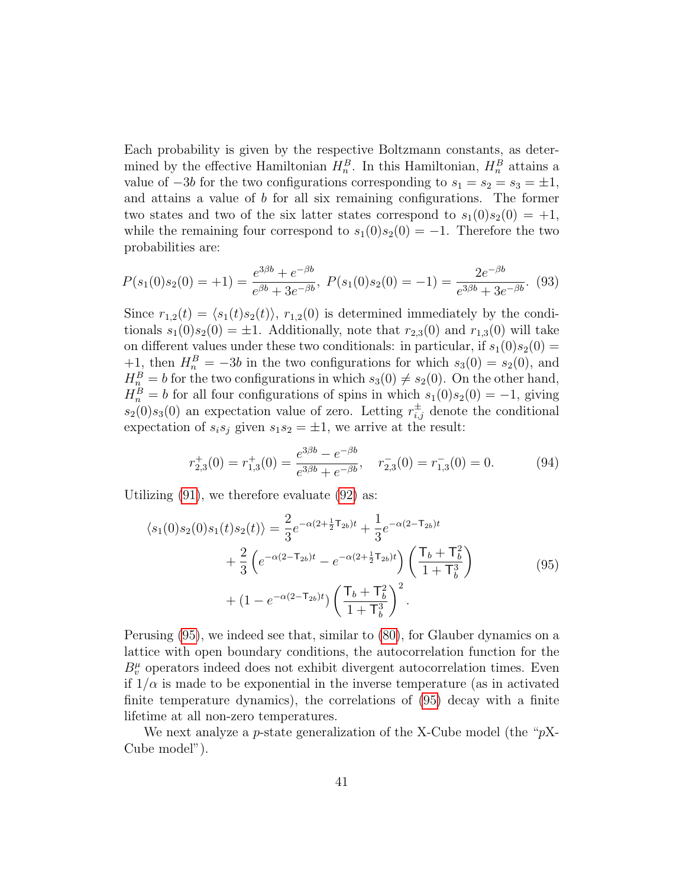Each probability is given by the respective Boltzmann constants, as determined by the effective Hamiltonian  $H_n^B$ . In this Hamiltonian,  $H_n^B$  attains a value of  $-3b$  for the two configurations corresponding to  $s_1 = s_2 = s_3 = \pm 1$ , and attains a value of b for all six remaining configurations. The former two states and two of the six latter states correspond to  $s_1(0)s_2(0) = +1$ , while the remaining four correspond to  $s_1(0)s_2(0) = -1$ . Therefore the two probabilities are:

$$
P(s_1(0)s_2(0) = +1) = \frac{e^{3\beta b} + e^{-\beta b}}{e^{\beta b} + 3e^{-\beta b}}, \ P(s_1(0)s_2(0) = -1) = \frac{2e^{-\beta b}}{e^{3\beta b} + 3e^{-\beta b}}. \tag{93}
$$

Since  $r_{1,2}(t) = \langle s_1(t)s_2(t)\rangle$ ,  $r_{1,2}(0)$  is determined immediately by the conditionals  $s_1(0)s_2(0) = \pm 1$ . Additionally, note that  $r_{2,3}(0)$  and  $r_{1,3}(0)$  will take on different values under these two conditionals: in particular, if  $s_1(0)s_2(0) =$ +1, then  $H_n^B = -3b$  in the two configurations for which  $s_3(0) = s_2(0)$ , and  $H_n^B = b$  for the two configurations in which  $s_3(0) \neq s_2(0)$ . On the other hand,  $H_n^B = b$  for all four configurations of spins in which  $s_1(0)s_2(0) = -1$ , giving  $s_2(0)s_3(0)$  an expectation value of zero. Letting  $r_{i,j}^{\pm}$  denote the conditional expectation of  $s_i s_j$  given  $s_1 s_2 = \pm 1$ , we arrive at the result:

$$
r_{2,3}^+(0) = r_{1,3}^+(0) = \frac{e^{3\beta b} - e^{-\beta b}}{e^{3\beta b} + e^{-\beta b}}, \quad r_{2,3}^-(0) = r_{1,3}^-(0) = 0.
$$
 (94)

Utilizing [\(91\)](#page-39-1), we therefore evaluate [\(92\)](#page-39-2) as:

<span id="page-40-0"></span>
$$
\langle s_1(0)s_2(0)s_1(t)s_2(t)\rangle = \frac{2}{3}e^{-\alpha(2+\frac{1}{2}\mathsf{T}_{2b})t} + \frac{1}{3}e^{-\alpha(2-\mathsf{T}_{2b})t} + \frac{2}{3}\left(e^{-\alpha(2-\mathsf{T}_{2b})t} - e^{-\alpha(2+\frac{1}{2}\mathsf{T}_{2b})t}\right)\left(\frac{\mathsf{T}_b + \mathsf{T}_b^2}{1+\mathsf{T}_b^3}\right) + (1 - e^{-\alpha(2-\mathsf{T}_{2b})t})\left(\frac{\mathsf{T}_b + \mathsf{T}_b^2}{1+\mathsf{T}_b^3}\right)^2.
$$
 (95)

Perusing [\(95\)](#page-40-0), we indeed see that, similar to [\(80\)](#page-36-0), for Glauber dynamics on a lattice with open boundary conditions, the autocorrelation function for the  $B_v^{\mu}$  operators indeed does not exhibit divergent autocorrelation times. Even if  $1/\alpha$  is made to be exponential in the inverse temperature (as in activated finite temperature dynamics), the correlations of [\(95\)](#page-40-0) decay with a finite lifetime at all non-zero temperatures.

We next analyze a p-state generalization of the X-Cube model (the " $pX$ -Cube model").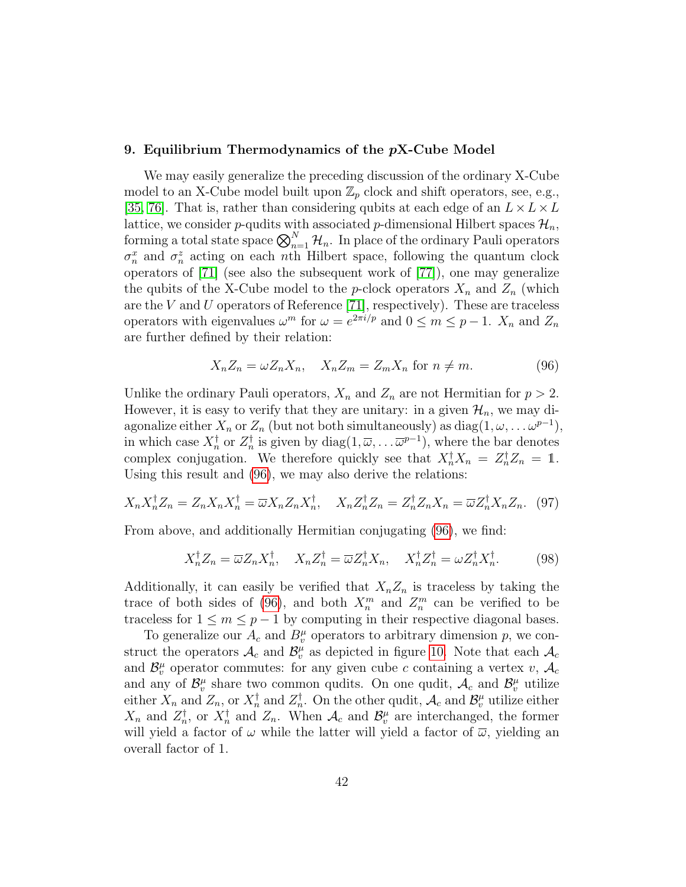# <span id="page-41-0"></span>9. Equilibrium Thermodynamics of the  $pX$ -Cube Model

We may easily generalize the preceding discussion of the ordinary X-Cube model to an X-Cube model built upon  $\mathbb{Z}_p$  clock and shift operators, see, e.g., [\[35,](#page-61-11) [76\]](#page-65-7). That is, rather than considering qubits at each edge of an  $L \times L \times L$ lattice, we consider p-qudits with associated p-dimensional Hilbert spaces  $\mathcal{H}_n$ , forming a total state space  $\bigotimes_{n=1}^{N} \mathcal{H}_n$ . In place of the ordinary Pauli operators  $\sigma_n^x$  and  $\sigma_n^z$  acting on each *n*th Hilbert space, following the quantum clock operators of [\[71\]](#page-65-2) (see also the subsequent work of [\[77\]](#page-65-8)), one may generalize the qubits of the X-Cube model to the *p*-clock operators  $X_n$  and  $Z_n$  (which are the V and U operators of Reference [\[71\]](#page-65-2), respectively). These are traceless operators with eigenvalues  $\omega^m$  for  $\omega = e^{2\pi i/p}$  and  $0 \le m \le p-1$ .  $X_n$  and  $Z_n$ are further defined by their relation:

<span id="page-41-1"></span>
$$
X_n Z_n = \omega Z_n X_n, \quad X_n Z_m = Z_m X_n \text{ for } n \neq m. \tag{96}
$$

Unlike the ordinary Pauli operators,  $X_n$  and  $Z_n$  are not Hermitian for  $p > 2$ . However, it is easy to verify that they are unitary: in a given  $\mathcal{H}_n$ , we may diagonalize either  $X_n$  or  $Z_n$  (but not both simultaneously) as  $diag(1, \omega, \ldots \omega^{p-1}),$ in which case  $X_n^{\dagger}$  or  $Z_n^{\dagger}$  is given by  $diag(1,\overline{\omega},\ldots \overline{\omega}^{p-1}),$  where the bar denotes complex conjugation. We therefore quickly see that  $X_n^{\dagger} X_n = Z_n^{\dagger} Z_n = 1$ . Using this result and [\(96\)](#page-41-1), we may also derive the relations:

$$
X_n X_n^{\dagger} Z_n = Z_n X_n X_n^{\dagger} = \overline{\omega} X_n Z_n X_n^{\dagger}, \quad X_n Z_n^{\dagger} Z_n = Z_n^{\dagger} Z_n X_n = \overline{\omega} Z_n^{\dagger} X_n Z_n. \tag{97}
$$

From above, and additionally Hermitian conjugating [\(96\)](#page-41-1), we find:

$$
X_n^{\dagger} Z_n = \overline{\omega} Z_n X_n^{\dagger}, \quad X_n Z_n^{\dagger} = \overline{\omega} Z_n^{\dagger} X_n, \quad X_n^{\dagger} Z_n^{\dagger} = \omega Z_n^{\dagger} X_n^{\dagger}.
$$
 (98)

Additionally, it can easily be verified that  $X_n Z_n$  is traceless by taking the trace of both sides of [\(96\)](#page-41-1), and both  $X_n^m$  and  $Z_n^m$  can be verified to be traceless for  $1 \leq m \leq p-1$  by computing in their respective diagonal bases.

To generalize our  $A_c$  and  $B_v^{\mu}$  operators to arbitrary dimension p, we construct the operators  $\mathcal{A}_c$  and  $\mathcal{B}_v^{\mu}$  as depicted in figure [10.](#page-42-0) Note that each  $\mathcal{A}_c$ and  $\mathcal{B}_{v}^{\mu}$  operator commutes: for any given cube c containing a vertex v,  $\mathcal{A}_{c}$ and any of  $\mathcal{B}_{v}^{\mu}$  share two common qudits. On one qudit,  $\mathcal{A}_{c}$  and  $\mathcal{B}_{v}^{\mu}$  utilize either  $X_n$  and  $Z_n$ , or  $X_n^{\dagger}$  and  $Z_n^{\dagger}$ . On the other qudit,  $\mathcal{A}_c$  and  $\mathcal{B}_v^{\mu}$  utilize either  $X_n$  and  $Z_n^{\dagger}$ , or  $X_n^{\dagger}$  and  $Z_n$ . When  $\mathcal{A}_c$  and  $\mathcal{B}_v^{\mu}$  are interchanged, the former will yield a factor of  $\omega$  while the latter will yield a factor of  $\overline{\omega}$ , yielding an overall factor of 1.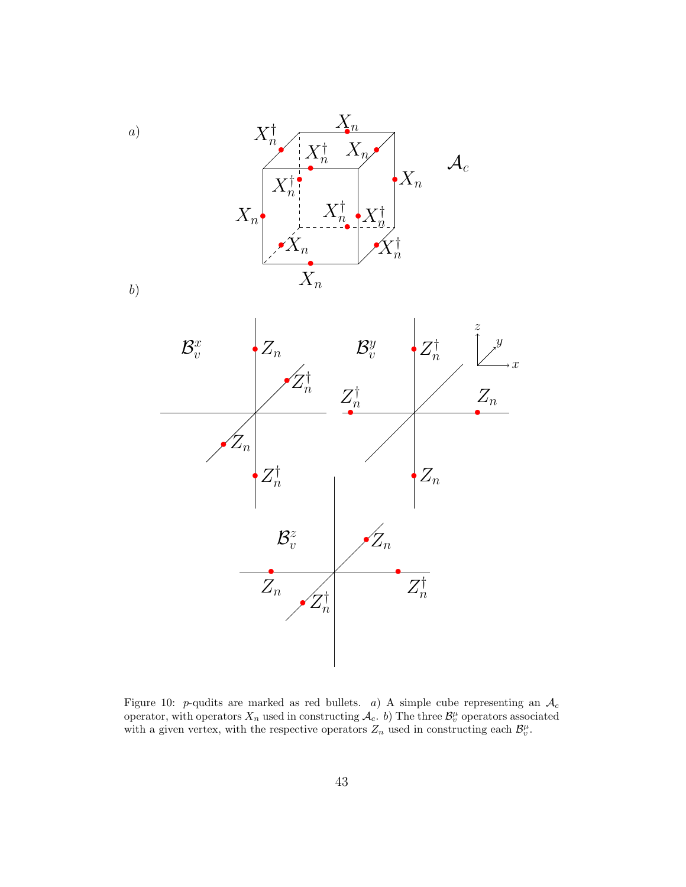

<span id="page-42-0"></span>Figure 10: p-qudits are marked as red bullets. a) A simple cube representing an  $A_c$ operator, with operators  $X_n$  used in constructing  $\mathcal{A}_c$ . b) The three  $\mathcal{B}_v^{\mu}$  operators associated with a given vertex, with the respective operators  $Z_n$  used in constructing each  $\mathcal{B}_v^{\mu}$ .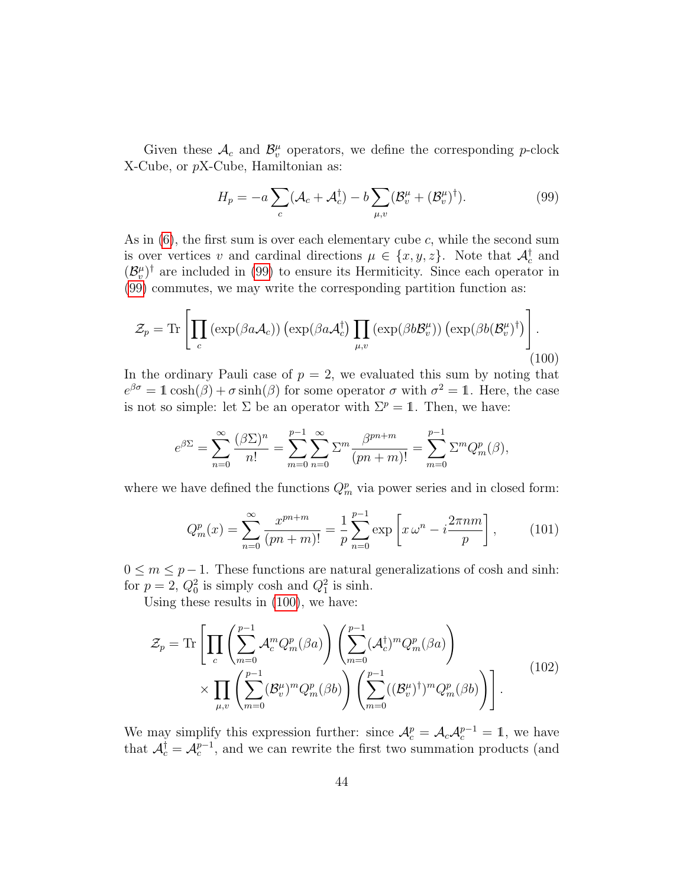Given these  $\mathcal{A}_c$  and  $\mathcal{B}_v^{\mu}$  operators, we define the corresponding p-clock X-Cube, or pX-Cube, Hamiltonian as:

<span id="page-43-0"></span>
$$
H_p = -a \sum_c (\mathcal{A}_c + \mathcal{A}_c^{\dagger}) - b \sum_{\mu, v} (\mathcal{B}_v^{\mu} + (\mathcal{B}_v^{\mu})^{\dagger}). \tag{99}
$$

As in  $(6)$ , the first sum is over each elementary cube c, while the second sum is over vertices v and cardinal directions  $\mu \in \{x, y, z\}$ . Note that  $\mathcal{A}_c^{\dagger}$  and  $(\mathcal{B}_{v}^{\mu})^{\dagger}$  are included in [\(99\)](#page-43-0) to ensure its Hermiticity. Since each operator in [\(99\)](#page-43-0) commutes, we may write the corresponding partition function as:

<span id="page-43-1"></span>
$$
\mathcal{Z}_p = \text{Tr}\left[\prod_c \left(\exp(\beta a \mathcal{A}_c)\right) \left(\exp(\beta a \mathcal{A}_c^{\dagger}) \prod_{\mu, v} \left(\exp(\beta b \mathcal{B}_v^{\mu})\right) \left(\exp(\beta b (\mathcal{B}_v^{\mu})^{\dagger})\right)\right].
$$
\n(100)

In the ordinary Pauli case of  $p = 2$ , we evaluated this sum by noting that  $e^{\beta \sigma} = 1 \cosh(\beta) + \sigma \sinh(\beta)$  for some operator  $\sigma$  with  $\sigma^2 = 1$ . Here, the case is not so simple: let  $\Sigma$  be an operator with  $\Sigma^p = \mathbb{1}$ . Then, we have:

$$
e^{\beta \Sigma} = \sum_{n=0}^{\infty} \frac{(\beta \Sigma)^n}{n!} = \sum_{m=0}^{p-1} \sum_{n=0}^{\infty} \Sigma^m \frac{\beta^{pn+m}}{(pn+m)!} = \sum_{m=0}^{p-1} \Sigma^m Q_m^p(\beta),
$$

where we have defined the functions  $Q_m^p$  via power series and in closed form:

<span id="page-43-3"></span>
$$
Q_m^p(x) = \sum_{n=0}^{\infty} \frac{x^{pn+m}}{(pn+m)!} = \frac{1}{p} \sum_{n=0}^{p-1} \exp\left[x \omega^n - i \frac{2\pi nm}{p}\right],\qquad(101)
$$

 $0 \leq m \leq p-1$ . These functions are natural generalizations of cosh and sinh: for  $p = 2$ ,  $Q_0^2$  is simply cosh and  $Q_1^2$  is sinh.

Using these results in [\(100\)](#page-43-1), we have:

<span id="page-43-2"></span>
$$
\mathcal{Z}_p = \text{Tr}\left[\prod_c \left(\sum_{m=0}^{p-1} \mathcal{A}_c^m Q_m^p(\beta a)\right) \left(\sum_{m=0}^{p-1} (\mathcal{A}_c^{\dagger})^m Q_m^p(\beta a)\right) \times \prod_{m=0}^{p-1} \left(\sum_{m=0}^{p-1} (\mathcal{B}_v^{\mu})^m Q_m^p(\beta b)\right) \left(\sum_{m=0}^{p-1} ((\mathcal{B}_v^{\mu})^{\dagger})^m Q_m^p(\beta b)\right)\right].
$$
\n(102)

We may simplify this expression further: since  $\mathcal{A}_c^p = \mathcal{A}_c \mathcal{A}_c^{p-1} = \mathbb{1}$ , we have that  $\mathcal{A}_c^{\dagger} = \mathcal{A}_c^{p-1}$ , and we can rewrite the first two summation products (and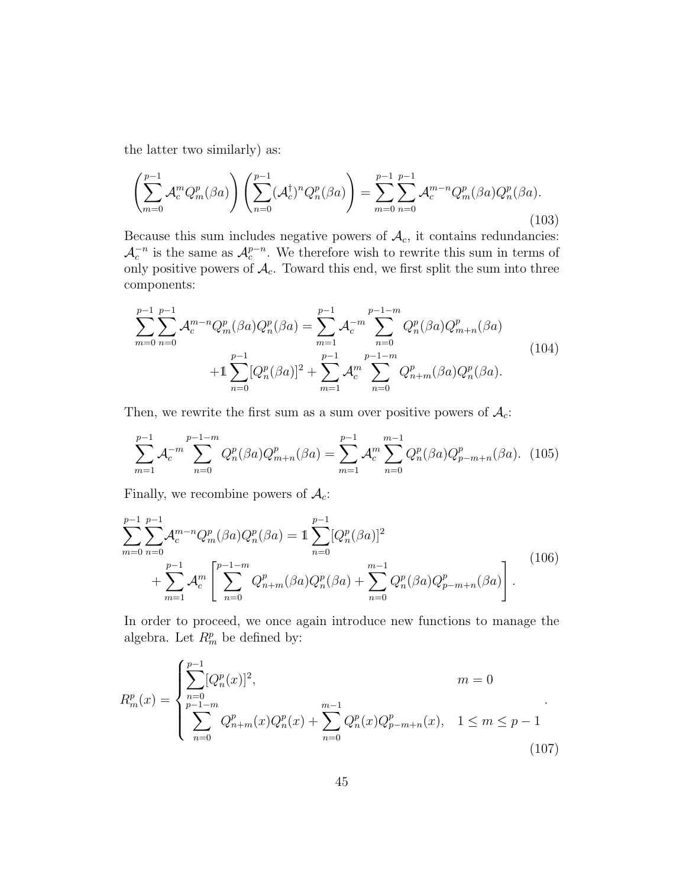the latter two similarly) as:

$$
\left(\sum_{m=0}^{p-1} \mathcal{A}_c^m Q_m^p(\beta a)\right) \left(\sum_{n=0}^{p-1} (\mathcal{A}_c^{\dagger})^n Q_n^p(\beta a)\right) = \sum_{m=0}^{p-1} \sum_{n=0}^{p-1} \mathcal{A}_c^{m-n} Q_m^p(\beta a) Q_n^p(\beta a). \tag{103}
$$

Because this sum includes negative powers of  $A_c$ , it contains redundancies:  $\mathcal{A}_c^{-n}$  is the same as  $\mathcal{A}_c^{p-n}$ . We therefore wish to rewrite this sum in terms of only positive powers of  $\mathcal{A}_c$ . Toward this end, we first split the sum into three components:

$$
\sum_{m=0}^{p-1} \sum_{n=0}^{p-1} \mathcal{A}_c^{m-n} Q_m^p(\beta a) Q_n^p(\beta a) = \sum_{m=1}^{p-1} \mathcal{A}_c^{-m} \sum_{n=0}^{p-1-m} Q_n^p(\beta a) Q_{m+n}^p(\beta a)
$$
  
+1
$$
\sum_{n=0}^{p-1} [Q_n^p(\beta a)]^2 + \sum_{m=1}^{p-1} \mathcal{A}_c^{m} \sum_{n=0}^{p-1-m} Q_{n+m}^p(\beta a) Q_n^p(\beta a).
$$
 (104)

Then, we rewrite the first sum as a sum over positive powers of  $A_c$ :

$$
\sum_{m=1}^{p-1} \mathcal{A}_c^{-m} \sum_{n=0}^{p-1-m} Q_n^p(\beta a) Q_{m+n}^p(\beta a) = \sum_{m=1}^{p-1} \mathcal{A}_c^m \sum_{n=0}^{m-1} Q_n^p(\beta a) Q_{p-m+n}^p(\beta a). \tag{105}
$$

Finally, we recombine powers of  $\mathcal{A}_c$ :

$$
\sum_{m=0}^{p-1} \sum_{n=0}^{p-1} \mathcal{A}_c^{m-n} Q_m^p(\beta a) Q_n^p(\beta a) = 1 \sum_{n=0}^{p-1} [Q_n^p(\beta a)]^2 + \sum_{m=1}^{p-1} \mathcal{A}_c^m \left[ \sum_{n=0}^{p-1-m} Q_{n+m}^p(\beta a) Q_n^p(\beta a) + \sum_{n=0}^{m-1} Q_n^p(\beta a) Q_{p-m+n}^p(\beta a) \right].
$$
\n(106)

In order to proceed, we once again introduce new functions to manage the algebra. Let  $R_m^p$  be defined by:

$$
R_m^p(x) = \begin{cases} \sum_{n=0}^{p-1} [Q_n^p(x)]^2, & m = 0\\ \sum_{n=0}^{p-1-m} Q_{n+m}^p(x) Q_n^p(x) + \sum_{n=0}^{m-1} Q_n^p(x) Q_{p-m+n}^p(x), & 1 \le m \le p-1\\ 107) \end{cases}
$$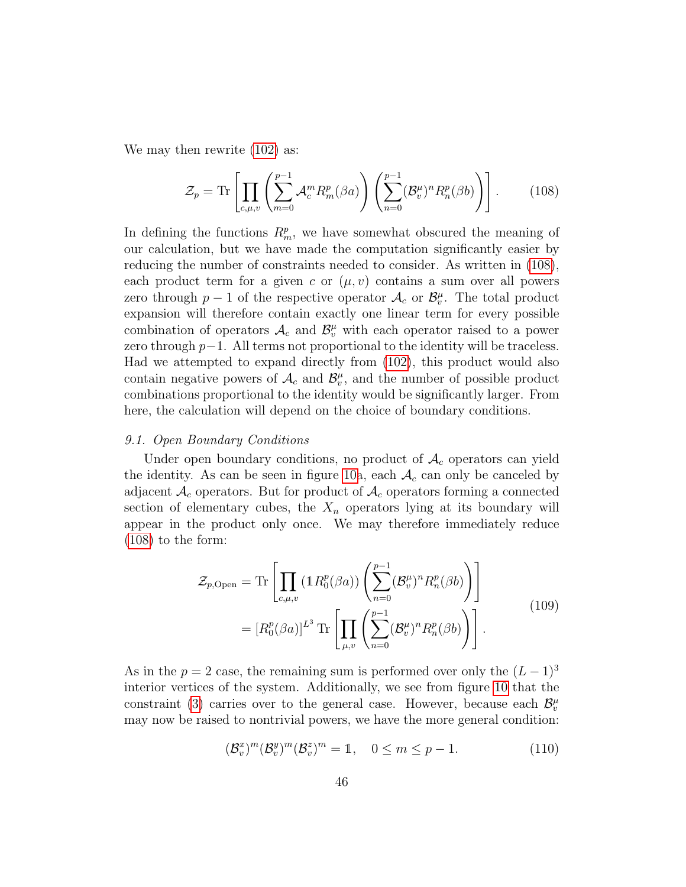We may then rewrite  $(102)$  as:

<span id="page-45-1"></span>
$$
\mathcal{Z}_p = \text{Tr}\left[\prod_{c,\mu,v} \left(\sum_{m=0}^{p-1} \mathcal{A}_c^m R_m^p(\beta a)\right) \left(\sum_{n=0}^{p-1} (\mathcal{B}_v^{\mu})^n R_n^p(\beta b)\right)\right].\tag{108}
$$

In defining the functions  $R_m^p$ , we have somewhat obscured the meaning of our calculation, but we have made the computation significantly easier by reducing the number of constraints needed to consider. As written in [\(108\)](#page-45-1), each product term for a given c or  $(\mu, v)$  contains a sum over all powers zero through  $p-1$  of the respective operator  $\mathcal{A}_c$  or  $\mathcal{B}_v^{\mu}$ . The total product expansion will therefore contain exactly one linear term for every possible combination of operators  $\mathcal{A}_c$  and  $\mathcal{B}_v^{\mu}$  with each operator raised to a power zero through  $p-1$ . All terms not proportional to the identity will be traceless. Had we attempted to expand directly from [\(102\)](#page-43-2), this product would also contain negative powers of  $\mathcal{A}_c$  and  $\mathcal{B}_v^{\mu}$ , and the number of possible product combinations proportional to the identity would be significantly larger. From here, the calculation will depend on the choice of boundary conditions.

#### <span id="page-45-0"></span>9.1. Open Boundary Conditions

Under open boundary conditions, no product of  $A_c$  operators can yield the identity. As can be seen in figure [10a](#page-42-0), each  $A_c$  can only be canceled by adjacent  $A_c$  operators. But for product of  $A_c$  operators forming a connected section of elementary cubes, the  $X_n$  operators lying at its boundary will appear in the product only once. We may therefore immediately reduce [\(108\)](#page-45-1) to the form:

$$
\mathcal{Z}_{p,\text{Open}} = \text{Tr}\left[\prod_{c,\mu,v} \left(\mathbb{1}R_0^p(\beta a)\right) \left(\sum_{n=0}^{p-1} (\mathcal{B}_v^{\mu})^n R_n^p(\beta b)\right)\right]
$$

$$
= [R_0^p(\beta a)]^{L^3} \text{Tr}\left[\prod_{\mu,v} \left(\sum_{n=0}^{p-1} (\mathcal{B}_v^{\mu})^n R_n^p(\beta b)\right)\right].
$$
(109)

<span id="page-45-3"></span>As in the  $p = 2$  case, the remaining sum is performed over only the  $(L-1)^3$ interior vertices of the system. Additionally, we see from figure [10](#page-42-0) that the constraint [\(3\)](#page-8-2) carries over to the general case. However, because each  $\mathcal{B}_{v}^{\mu}$ may now be raised to nontrivial powers, we have the more general condition:

<span id="page-45-2"></span>
$$
(\mathcal{B}_v^x)^m (\mathcal{B}_v^y)^m (\mathcal{B}_v^z)^m = 1, \quad 0 \le m \le p - 1.
$$
 (110)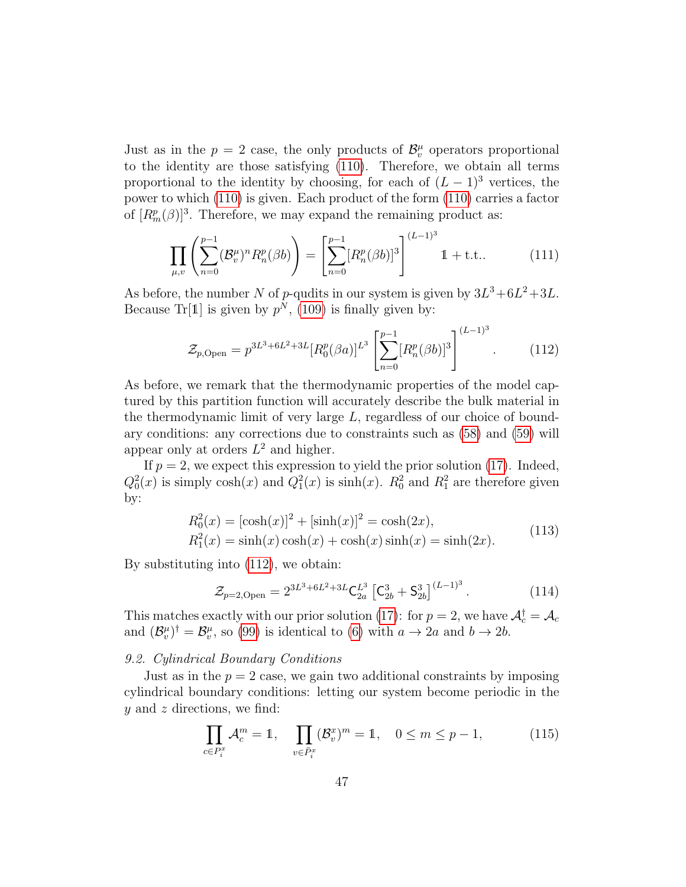Just as in the  $p = 2$  case, the only products of  $\mathcal{B}_{v}^{\mu}$  operators proportional to the identity are those satisfying [\(110\)](#page-45-2). Therefore, we obtain all terms proportional to the identity by choosing, for each of  $(L-1)^3$  vertices, the power to which [\(110\)](#page-45-2) is given. Each product of the form [\(110\)](#page-45-2) carries a factor of  $[R_m^p(\beta)]^3$ . Therefore, we may expand the remaining product as:

$$
\prod_{\mu,v} \left( \sum_{n=0}^{p-1} (\mathcal{B}_v^{\mu})^n R_n^p(\beta b) \right) = \left[ \sum_{n=0}^{p-1} [R_n^p(\beta b)]^3 \right]^{(L-1)^3} \mathbb{1} + \text{t.t..}
$$
 (111)

As before, the number N of p-qudits in our system is given by  $3L^3 + 6L^2 + 3L$ . Because Tr[1] is given by  $p^N$ , [\(109\)](#page-45-3) is finally given by:

<span id="page-46-1"></span>
$$
\mathcal{Z}_{p,\text{Open}} = p^{3L^3 + 6L^2 + 3L} [R_0^p(\beta a)]^{L^3} \left[ \sum_{n=0}^{p-1} [R_n^p(\beta b)]^3 \right]^{(L-1)^3}.
$$
 (112)

As before, we remark that the thermodynamic properties of the model captured by this partition function will accurately describe the bulk material in the thermodynamic limit of very large  $L$ , regardless of our choice of boundary conditions: any corrections due to constraints such as [\(58\)](#page-29-1) and [\(59\)](#page-29-2) will appear only at orders  $L^2$  and higher.

If  $p = 2$ , we expect this expression to yield the prior solution [\(17\)](#page-13-0). Indeed,  $Q_0^2(x)$  is simply  $\cosh(x)$  and  $Q_1^2(x)$  is  $\sinh(x)$ .  $R_0^2$  and  $R_1^2$  are therefore given by:

$$
R_0^2(x) = [\cosh(x)]^2 + [\sinh(x)]^2 = \cosh(2x),
$$
  
\n
$$
R_1^2(x) = \sinh(x)\cosh(x) + \cosh(x)\sinh(x) = \sinh(2x).
$$
\n(113)

<span id="page-46-3"></span>By substituting into [\(112\)](#page-46-1), we obtain:

$$
\mathcal{Z}_{p=2,\text{Open}} = 2^{3L^3 + 6L^2 + 3L} \mathsf{C}_{2a}^{L^3} \left[ \mathsf{C}_{2b}^3 + \mathsf{S}_{2b}^3 \right]^{(L-1)^3} . \tag{114}
$$

This matches exactly with our prior solution [\(17\)](#page-13-0): for  $p = 2$ , we have  $\mathcal{A}_c^{\dagger} = \mathcal{A}_c$ and  $(\mathcal{B}_{v}^{\mu})^{\dagger} = \mathcal{B}_{v}^{\mu}$ , so [\(99\)](#page-43-0) is identical to [\(6\)](#page-8-1) with  $a \to 2a$  and  $b \to 2b$ .

#### <span id="page-46-0"></span>9.2. Cylindrical Boundary Conditions

Just as in the  $p = 2$  case, we gain two additional constraints by imposing cylindrical boundary conditions: letting our system become periodic in the  $y$  and  $z$  directions, we find:

<span id="page-46-2"></span>
$$
\prod_{c \in P_i^x} \mathcal{A}_c^m = 1, \quad \prod_{v \in \bar{P}_i^x} (\mathcal{B}_v^x)^m = 1, \quad 0 \le m \le p - 1,
$$
 (115)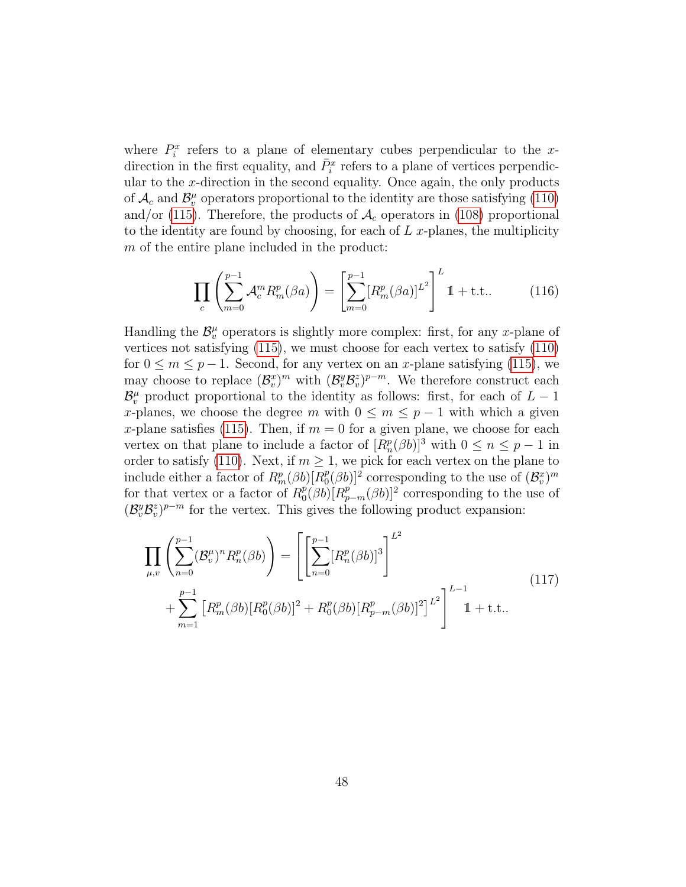where  $P_i^x$  refers to a plane of elementary cubes perpendicular to the xdirection in the first equality, and  $\bar{P}_i^x$  refers to a plane of vertices perpendicular to the x-direction in the second equality. Once again, the only products of  $\mathcal{A}_c$  and  $\mathcal{B}_v^{\mu}$  operators proportional to the identity are those satisfying [\(110\)](#page-45-2) and/or [\(115\)](#page-46-2). Therefore, the products of  $\mathcal{A}_c$  operators in [\(108\)](#page-45-1) proportional to the identity are found by choosing, for each of  $L$  x-planes, the multiplicity m of the entire plane included in the product:

$$
\prod_{c} \left( \sum_{m=0}^{p-1} \mathcal{A}_c^m R_m^p(\beta a) \right) = \left[ \sum_{m=0}^{p-1} [R_m^p(\beta a)]^{L^2} \right]^L 1 + \text{t.t..}
$$
 (116)

Handling the  $\mathcal{B}_{v}^{\mu}$  operators is slightly more complex: first, for any x-plane of vertices not satisfying [\(115\)](#page-46-2), we must choose for each vertex to satisfy [\(110\)](#page-45-2) for  $0 \le m \le p-1$ . Second, for any vertex on an x-plane satisfying [\(115\)](#page-46-2), we may choose to replace  $(\mathcal{B}_v^x)^m$  with  $(\mathcal{B}_v^y \mathcal{B}_v^z)^{p-m}$ . We therefore construct each  $\mathcal{B}_{v}^{\mu}$  product proportional to the identity as follows: first, for each of  $L-1$ x-planes, we choose the degree m with  $0 \leq m \leq p-1$  with which a given x-plane satisfies [\(115\)](#page-46-2). Then, if  $m = 0$  for a given plane, we choose for each vertex on that plane to include a factor of  $[R_n^p(\beta b)]^3$  with  $0 \le n \le p-1$  in order to satisfy [\(110\)](#page-45-2). Next, if  $m \geq 1$ , we pick for each vertex on the plane to include either a factor of  $R_m^p(\beta b)[R_0^p]$  $\mathbb{P}^p_0(\beta b)]^2$  corresponding to the use of  $(\mathcal{B}_v^x)^m$ for that vertex or a factor of  $R_0^p$  $p_0^p(\beta b)[R_{p-m}^p(\beta b)]^2$  corresponding to the use of  $(\mathcal{B}_{v}^{y} \mathcal{B}_{v}^{z})^{p-m}$  for the vertex. This gives the following product expansion:

$$
\prod_{\mu,v} \left( \sum_{n=0}^{p-1} (\mathcal{B}_v^{\mu})^n R_n^p(\beta b) \right) = \left[ \left[ \sum_{n=0}^{p-1} [R_n^p(\beta b)]^3 \right]^{L^2} + \sum_{m=1}^{p-1} [R_m^p(\beta b) [R_0^p(\beta b)]^2 + R_0^p(\beta b) [R_{p-m}^p(\beta b)]^2 \right]^{L^2} \right]^{L-1} + \text{t.t..}
$$
\n(117)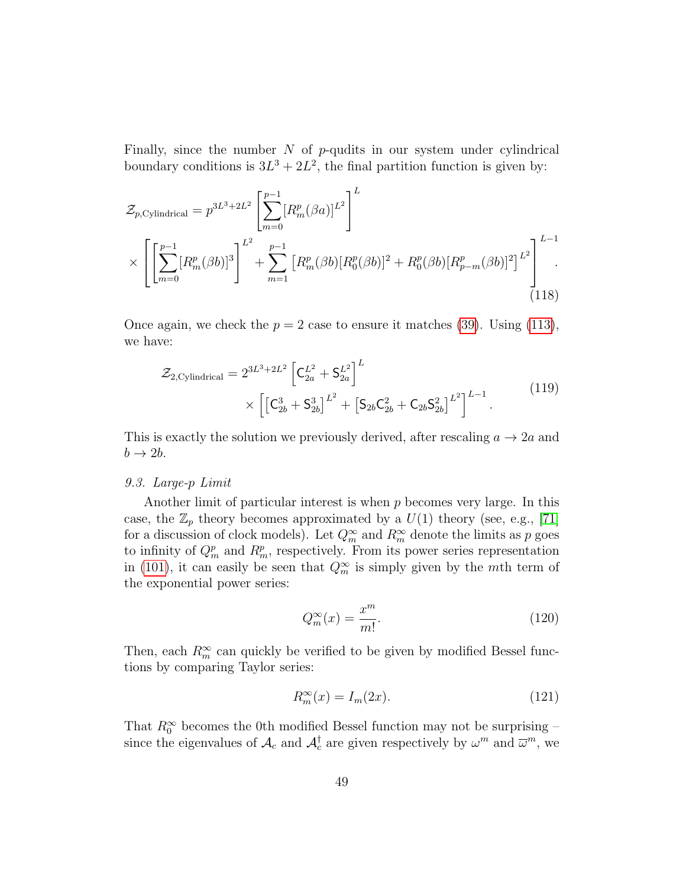Finally, since the number  $N$  of  $p$ -qudits in our system under cylindrical boundary conditions is  $3L^3 + 2L^2$ , the final partition function is given by:

$$
\mathcal{Z}_{p,\text{Cylindrical}} = p^{3L^3 + 2L^2} \left[ \sum_{m=0}^{p-1} [R_m^p(\beta a)]^{L^2} \right]^L
$$
  
 
$$
\times \left[ \left[ \sum_{m=0}^{p-1} [R_m^p(\beta b)]^3 \right]^{L^2} + \sum_{m=1}^{p-1} [R_m^p(\beta b)[R_0^p(\beta b)]^2 + R_0^p(\beta b)[R_{p-m}^p(\beta b)]^2 \right]^{L^2} \right]^{L-1}.
$$
(118)

Once again, we check the  $p = 2$  case to ensure it matches [\(39\)](#page-22-0). Using [\(113\)](#page-46-3), we have:

$$
\mathcal{Z}_{2,\text{Cylindrical}} = 2^{3L^3 + 2L^2} \left[ C_{2a}^{L^2} + S_{2a}^{L^2} \right]^L
$$
\n
$$
\times \left[ \left[ C_{2b}^3 + S_{2b}^3 \right]^{L^2} + \left[ S_{2b} C_{2b}^2 + C_{2b} S_{2b}^2 \right]^{L^2} \right]^{L-1} . \tag{119}
$$

This is exactly the solution we previously derived, after rescaling  $a \to 2a$  and  $b \rightarrow 2b$ .

# <span id="page-48-0"></span>9.3. Large-p Limit

Another limit of particular interest is when  $p$  becomes very large. In this case, the  $\mathbb{Z}_p$  theory becomes approximated by a  $U(1)$  theory (see, e.g., [\[71\]](#page-65-2) for a discussion of clock models). Let  $Q_m^{\infty}$  and  $R_m^{\infty}$  denote the limits as p goes to infinity of  $Q_m^p$  and  $R_m^p$ , respectively. From its power series representation in [\(101\)](#page-43-3), it can easily be seen that  $Q_m^{\infty}$  is simply given by the mth term of the exponential power series:

$$
Q_m^{\infty}(x) = \frac{x^m}{m!}.
$$
\n(120)

Then, each  $R_m^{\infty}$  can quickly be verified to be given by modified Bessel functions by comparing Taylor series:

$$
R_m^{\infty}(x) = I_m(2x). \tag{121}
$$

That  $R_0^{\infty}$  becomes the 0th modified Bessel function may not be surprising – since the eigenvalues of  $\mathcal{A}_c$  and  $\mathcal{A}_c^{\dagger}$  are given respectively by  $\omega^m$  and  $\overline{\omega}^m$ , we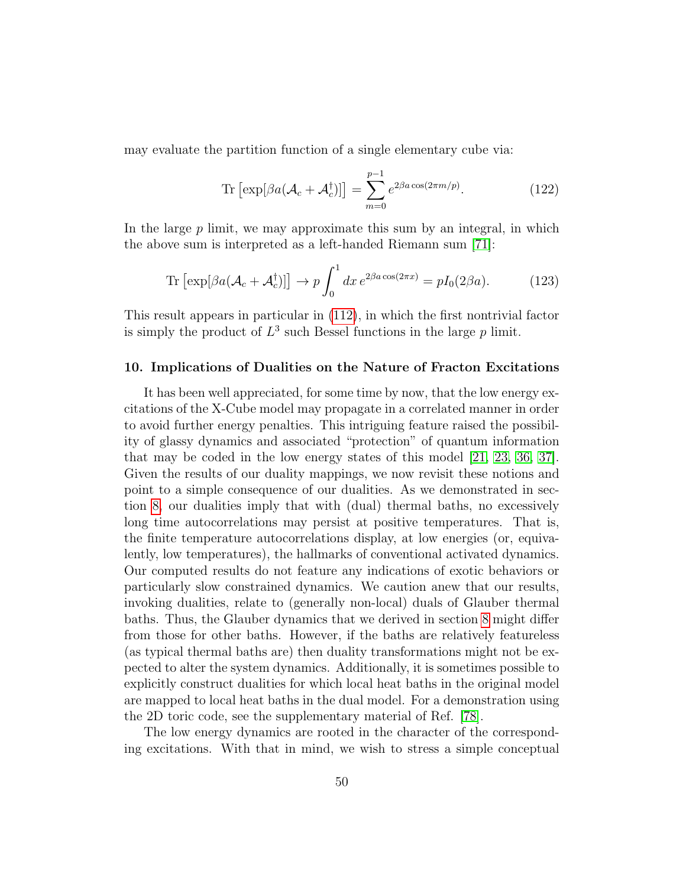may evaluate the partition function of a single elementary cube via:

$$
\operatorname{Tr}\left[\exp[\beta a(\mathcal{A}_c + \mathcal{A}_c^\dagger)]\right] = \sum_{m=0}^{p-1} e^{2\beta a \cos(2\pi m/p)}.\tag{122}
$$

In the large  $p$  limit, we may approximate this sum by an integral, in which the above sum is interpreted as a left-handed Riemann sum [\[71\]](#page-65-2):

$$
\operatorname{Tr}\left[\exp[\beta a(\mathcal{A}_c + \mathcal{A}_c^{\dagger})]\right] \to p \int_0^1 dx \, e^{2\beta a \cos(2\pi x)} = pI_0(2\beta a). \tag{123}
$$

This result appears in particular in [\(112\)](#page-46-1), in which the first nontrivial factor is simply the product of  $L^3$  such Bessel functions in the large  $p$  limit.

# <span id="page-49-0"></span>10. Implications of Dualities on the Nature of Fracton Excitations

It has been well appreciated, for some time by now, that the low energy excitations of the X-Cube model may propagate in a correlated manner in order to avoid further energy penalties. This intriguing feature raised the possibility of glassy dynamics and associated "protection" of quantum information that may be coded in the low energy states of this model [\[21,](#page-60-9) [23,](#page-60-11) [36,](#page-62-0) [37\]](#page-62-1). Given the results of our duality mappings, we now revisit these notions and point to a simple consequence of our dualities. As we demonstrated in section [8,](#page-34-0) our dualities imply that with (dual) thermal baths, no excessively long time autocorrelations may persist at positive temperatures. That is, the finite temperature autocorrelations display, at low energies (or, equivalently, low temperatures), the hallmarks of conventional activated dynamics. Our computed results do not feature any indications of exotic behaviors or particularly slow constrained dynamics. We caution anew that our results, invoking dualities, relate to (generally non-local) duals of Glauber thermal baths. Thus, the Glauber dynamics that we derived in section [8](#page-34-0) might differ from those for other baths. However, if the baths are relatively featureless (as typical thermal baths are) then duality transformations might not be expected to alter the system dynamics. Additionally, it is sometimes possible to explicitly construct dualities for which local heat baths in the original model are mapped to local heat baths in the dual model. For a demonstration using the 2D toric code, see the supplementary material of Ref. [\[78\]](#page-65-9).

The low energy dynamics are rooted in the character of the corresponding excitations. With that in mind, we wish to stress a simple conceptual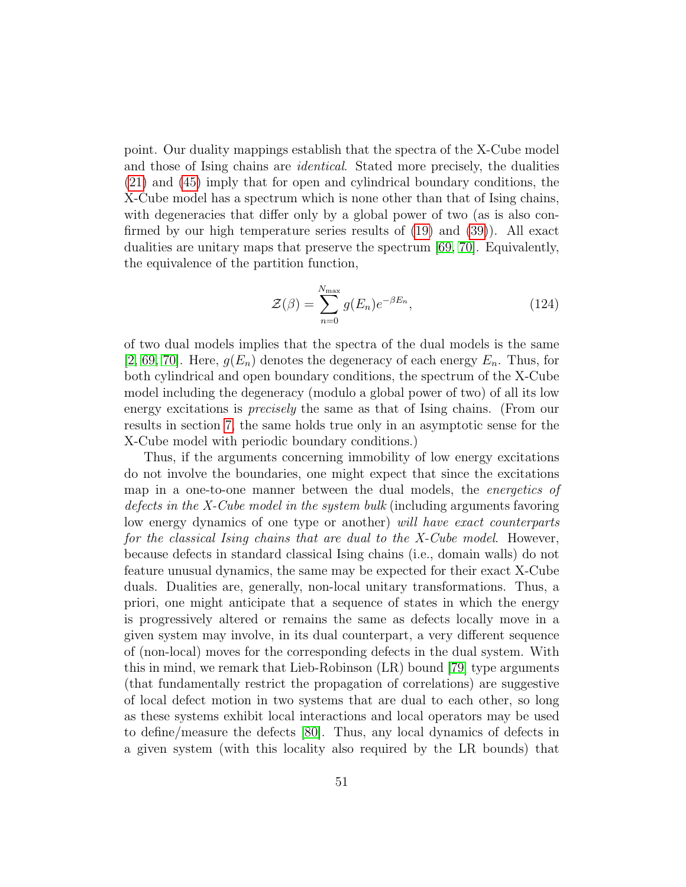point. Our duality mappings establish that the spectra of the X-Cube model and those of Ising chains are *identical*. Stated more precisely, the dualities [\(21\)](#page-15-2) and [\(45\)](#page-23-3) imply that for open and cylindrical boundary conditions, the X-Cube model has a spectrum which is none other than that of Ising chains, with degeneracies that differ only by a global power of two (as is also confirmed by our high temperature series results of [\(19\)](#page-14-1) and [\(39\)](#page-22-0)). All exact dualities are unitary maps that preserve the spectrum [\[69,](#page-65-0) [70\]](#page-65-1). Equivalently, the equivalence of the partition function,

$$
\mathcal{Z}(\beta) = \sum_{n=0}^{N_{\text{max}}} g(E_n) e^{-\beta E_n}, \qquad (124)
$$

of two dual models implies that the spectra of the dual models is the same [\[2,](#page-59-1) [69,](#page-65-0) [70\]](#page-65-1). Here,  $g(E_n)$  denotes the degeneracy of each energy  $E_n$ . Thus, for both cylindrical and open boundary conditions, the spectrum of the X-Cube model including the degeneracy (modulo a global power of two) of all its low energy excitations is precisely the same as that of Ising chains. (From our results in section [7,](#page-28-0) the same holds true only in an asymptotic sense for the X-Cube model with periodic boundary conditions.)

Thus, if the arguments concerning immobility of low energy excitations do not involve the boundaries, one might expect that since the excitations map in a one-to-one manner between the dual models, the *energetics of* defects in the X-Cube model in the system bulk (including arguments favoring low energy dynamics of one type or another) will have exact counterparts for the classical Ising chains that are dual to the X-Cube model. However, because defects in standard classical Ising chains (i.e., domain walls) do not feature unusual dynamics, the same may be expected for their exact X-Cube duals. Dualities are, generally, non-local unitary transformations. Thus, a priori, one might anticipate that a sequence of states in which the energy is progressively altered or remains the same as defects locally move in a given system may involve, in its dual counterpart, a very different sequence of (non-local) moves for the corresponding defects in the dual system. With this in mind, we remark that Lieb-Robinson (LR) bound [\[79\]](#page-65-10) type arguments (that fundamentally restrict the propagation of correlations) are suggestive of local defect motion in two systems that are dual to each other, so long as these systems exhibit local interactions and local operators may be used to define/measure the defects [\[80\]](#page-66-0). Thus, any local dynamics of defects in a given system (with this locality also required by the LR bounds) that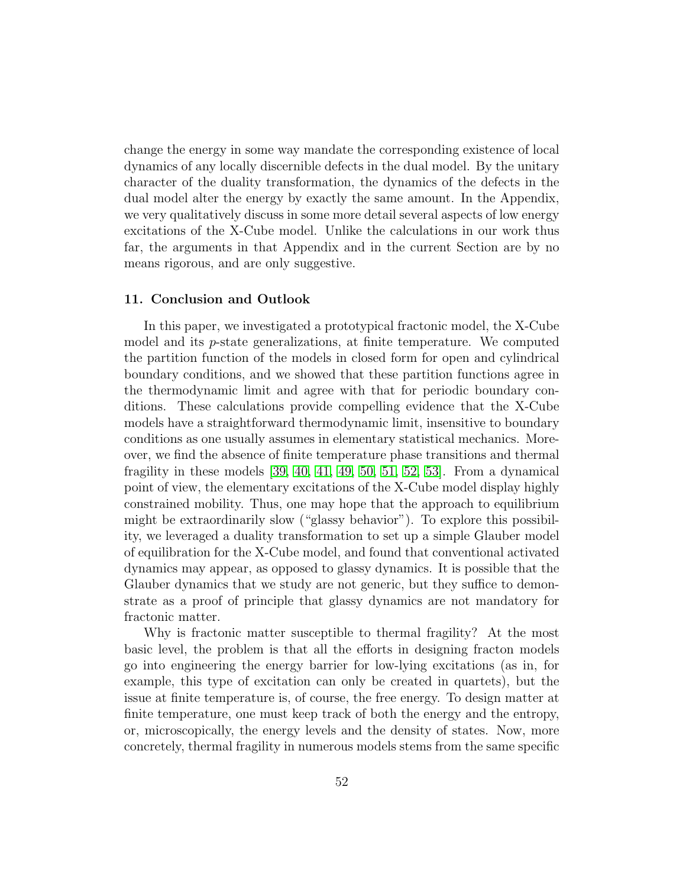change the energy in some way mandate the corresponding existence of local dynamics of any locally discernible defects in the dual model. By the unitary character of the duality transformation, the dynamics of the defects in the dual model alter the energy by exactly the same amount. In the Appendix, we very qualitatively discuss in some more detail several aspects of low energy excitations of the X-Cube model. Unlike the calculations in our work thus far, the arguments in that Appendix and in the current Section are by no means rigorous, and are only suggestive.

# <span id="page-51-0"></span>11. Conclusion and Outlook

In this paper, we investigated a prototypical fractonic model, the X-Cube model and its p-state generalizations, at finite temperature. We computed the partition function of the models in closed form for open and cylindrical boundary conditions, and we showed that these partition functions agree in the thermodynamic limit and agree with that for periodic boundary conditions. These calculations provide compelling evidence that the X-Cube models have a straightforward thermodynamic limit, insensitive to boundary conditions as one usually assumes in elementary statistical mechanics. Moreover, we find the absence of finite temperature phase transitions and thermal fragility in these models  $[39, 40, 41, 49, 50, 51, 52, 53]$  $[39, 40, 41, 49, 50, 51, 52, 53]$  $[39, 40, 41, 49, 50, 51, 52, 53]$  $[39, 40, 41, 49, 50, 51, 52, 53]$  $[39, 40, 41, 49, 50, 51, 52, 53]$  $[39, 40, 41, 49, 50, 51, 52, 53]$  $[39, 40, 41, 49, 50, 51, 52, 53]$  $[39, 40, 41, 49, 50, 51, 52, 53]$ . From a dynamical point of view, the elementary excitations of the X-Cube model display highly constrained mobility. Thus, one may hope that the approach to equilibrium might be extraordinarily slow ("glassy behavior"). To explore this possibility, we leveraged a duality transformation to set up a simple Glauber model of equilibration for the X-Cube model, and found that conventional activated dynamics may appear, as opposed to glassy dynamics. It is possible that the Glauber dynamics that we study are not generic, but they suffice to demonstrate as a proof of principle that glassy dynamics are not mandatory for fractonic matter.

Why is fractonic matter susceptible to thermal fragility? At the most basic level, the problem is that all the efforts in designing fracton models go into engineering the energy barrier for low-lying excitations (as in, for example, this type of excitation can only be created in quartets), but the issue at finite temperature is, of course, the free energy. To design matter at finite temperature, one must keep track of both the energy and the entropy, or, microscopically, the energy levels and the density of states. Now, more concretely, thermal fragility in numerous models stems from the same specific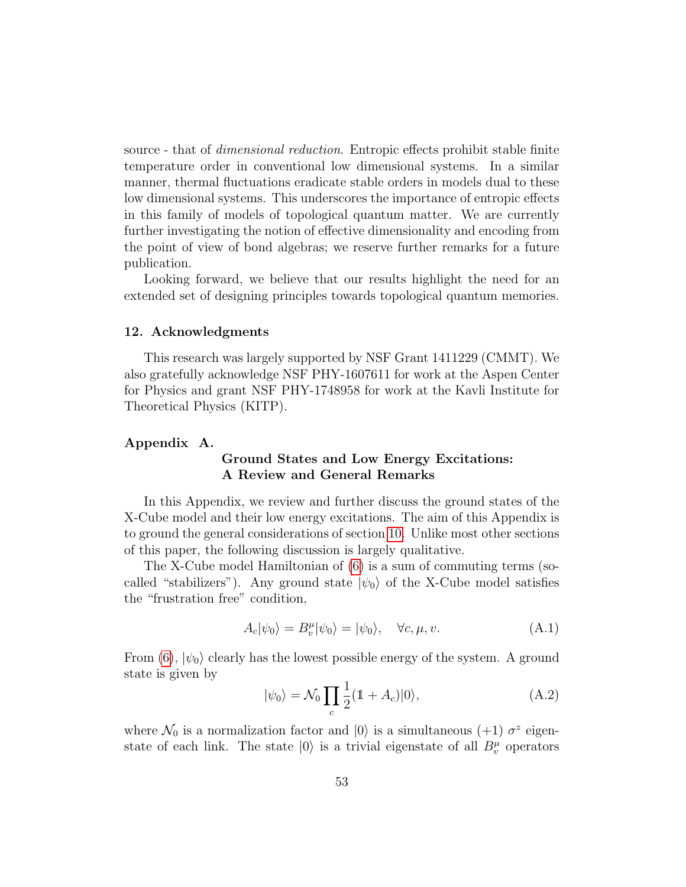source - that of *dimensional reduction*. Entropic effects prohibit stable finite temperature order in conventional low dimensional systems. In a similar manner, thermal fluctuations eradicate stable orders in models dual to these low dimensional systems. This underscores the importance of entropic effects in this family of models of topological quantum matter. We are currently further investigating the notion of effective dimensionality and encoding from the point of view of bond algebras; we reserve further remarks for a future publication.

Looking forward, we believe that our results highlight the need for an extended set of designing principles towards topological quantum memories.

# <span id="page-52-0"></span>12. Acknowledgments

This research was largely supported by NSF Grant 1411229 (CMMT). We also gratefully acknowledge NSF PHY-1607611 for work at the Aspen Center for Physics and grant NSF PHY-1748958 for work at the Kavli Institute for Theoretical Physics (KITP).

# <span id="page-52-1"></span>Appendix A.

# Ground States and Low Energy Excitations: A Review and General Remarks

In this Appendix, we review and further discuss the ground states of the X-Cube model and their low energy excitations. The aim of this Appendix is to ground the general considerations of section [10.](#page-49-0) Unlike most other sections of this paper, the following discussion is largely qualitative.

The X-Cube model Hamiltonian of [\(6\)](#page-8-1) is a sum of commuting terms (socalled "stabilizers"). Any ground state  $|\psi_0\rangle$  of the X-Cube model satisfies the "frustration free" condition,

<span id="page-52-2"></span>
$$
A_c|\psi_0\rangle = B_v^{\mu}|\psi_0\rangle = |\psi_0\rangle, \quad \forall c, \mu, v.
$$
 (A.1)

From [\(6\)](#page-8-1),  $|\psi_0\rangle$  clearly has the lowest possible energy of the system. A ground state is given by

$$
|\psi_0\rangle = \mathcal{N}_0 \prod_c \frac{1}{2} (1 + A_c)|0\rangle, \tag{A.2}
$$

where  $\mathcal{N}_0$  is a normalization factor and  $|0\rangle$  is a simultaneous  $(+1)$   $\sigma^z$  eigenstate of each link. The state  $|0\rangle$  is a trivial eigenstate of all  $B_v^{\mu}$  operators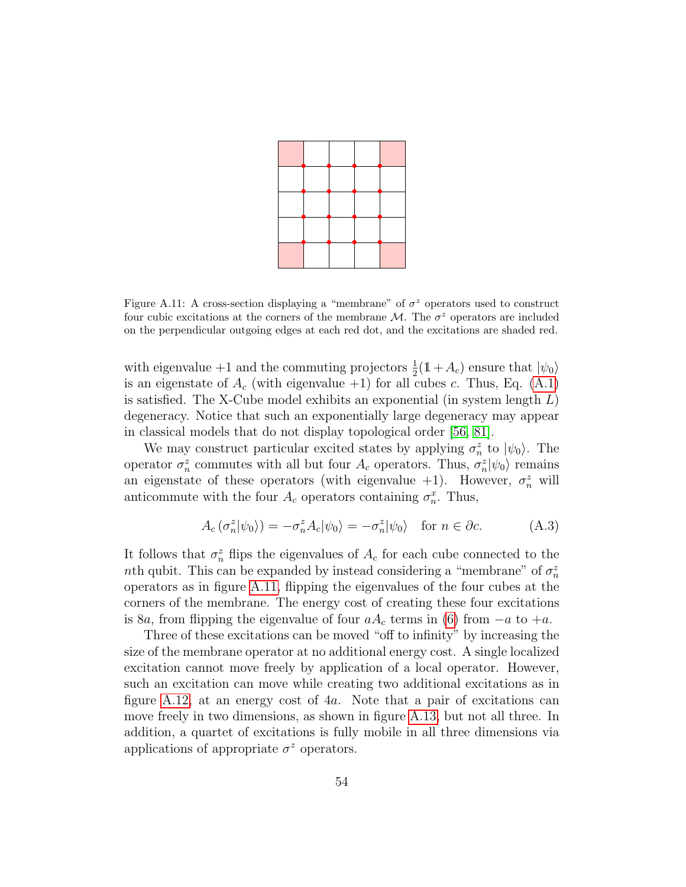

<span id="page-53-0"></span>Figure A.11: A cross-section displaying a "membrane" of  $\sigma^z$  operators used to construct four cubic excitations at the corners of the membrane  $\mathcal{M}$ . The  $\sigma^z$  operators are included on the perpendicular outgoing edges at each red dot, and the excitations are shaded red.

with eigenvalue +1 and the commuting projectors  $\frac{1}{2}(\mathbb{1}+A_c)$  ensure that  $|\psi_0\rangle$ is an eigenstate of  $A_c$  (with eigenvalue +1) for all cubes c. Thus, Eq. [\(A.1\)](#page-52-2) is satisfied. The X-Cube model exhibits an exponential (in system length  $L$ ) degeneracy. Notice that such an exponentially large degeneracy may appear in classical models that do not display topological order [\[56,](#page-63-8) [81\]](#page-66-1).

We may construct particular excited states by applying  $\sigma_n^z$  to  $|\psi_0\rangle$ . The operator  $\sigma_n^z$  commutes with all but four  $A_c$  operators. Thus,  $\sigma_n^z|\psi_0\rangle$  remains an eigenstate of these operators (with eigenvalue  $+1$ ). However,  $\sigma_n^z$  will anticommute with the four  $A_c$  operators containing  $\sigma_n^x$ . Thus,

$$
A_c(\sigma_n^z|\psi_0\rangle) = -\sigma_n^z A_c|\psi_0\rangle = -\sigma_n^z|\psi_0\rangle \quad \text{for } n \in \partial c. \tag{A.3}
$$

It follows that  $\sigma_n^z$  flips the eigenvalues of  $A_c$  for each cube connected to the nth qubit. This can be expanded by instead considering a "membrane" of  $\sigma_n^z$ operators as in figure [A.11,](#page-53-0) flipping the eigenvalues of the four cubes at the corners of the membrane. The energy cost of creating these four excitations is 8a, from flipping the eigenvalue of four  $aA_c$  terms in [\(6\)](#page-8-1) from  $-a$  to  $+a$ .

Three of these excitations can be moved "off to infinity" by increasing the size of the membrane operator at no additional energy cost. A single localized excitation cannot move freely by application of a local operator. However, such an excitation can move while creating two additional excitations as in figure [A.12,](#page-54-0) at an energy cost of 4a. Note that a pair of excitations can move freely in two dimensions, as shown in figure [A.13,](#page-55-0) but not all three. In addition, a quartet of excitations is fully mobile in all three dimensions via applications of appropriate  $\sigma^z$  operators.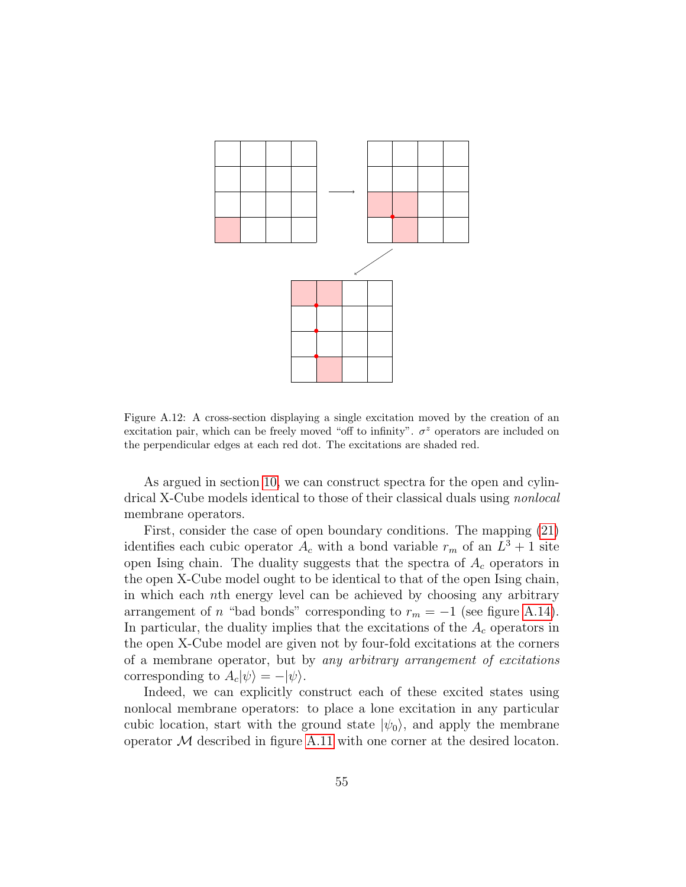

<span id="page-54-0"></span>Figure A.12: A cross-section displaying a single excitation moved by the creation of an excitation pair, which can be freely moved "off to infinity".  $\sigma^z$  operators are included on the perpendicular edges at each red dot. The excitations are shaded red.

As argued in section [10,](#page-49-0) we can construct spectra for the open and cylindrical X-Cube models identical to those of their classical duals using nonlocal membrane operators.

First, consider the case of open boundary conditions. The mapping [\(21\)](#page-15-2) identifies each cubic operator  $A_c$  with a bond variable  $r_m$  of an  $L^3 + 1$  site open Ising chain. The duality suggests that the spectra of  $A_c$  operators in the open X-Cube model ought to be identical to that of the open Ising chain, in which each nth energy level can be achieved by choosing any arbitrary arrangement of n "bad bonds" corresponding to  $r_m = -1$  (see figure [A.14\)](#page-56-0). In particular, the duality implies that the excitations of the  $A_c$  operators in the open X-Cube model are given not by four-fold excitations at the corners of a membrane operator, but by any arbitrary arrangement of excitations corresponding to  $A_c|\psi\rangle = -|\psi\rangle$ .

Indeed, we can explicitly construct each of these excited states using nonlocal membrane operators: to place a lone excitation in any particular cubic location, start with the ground state  $|\psi_0\rangle$ , and apply the membrane operator  $M$  described in figure [A.11](#page-53-0) with one corner at the desired locaton.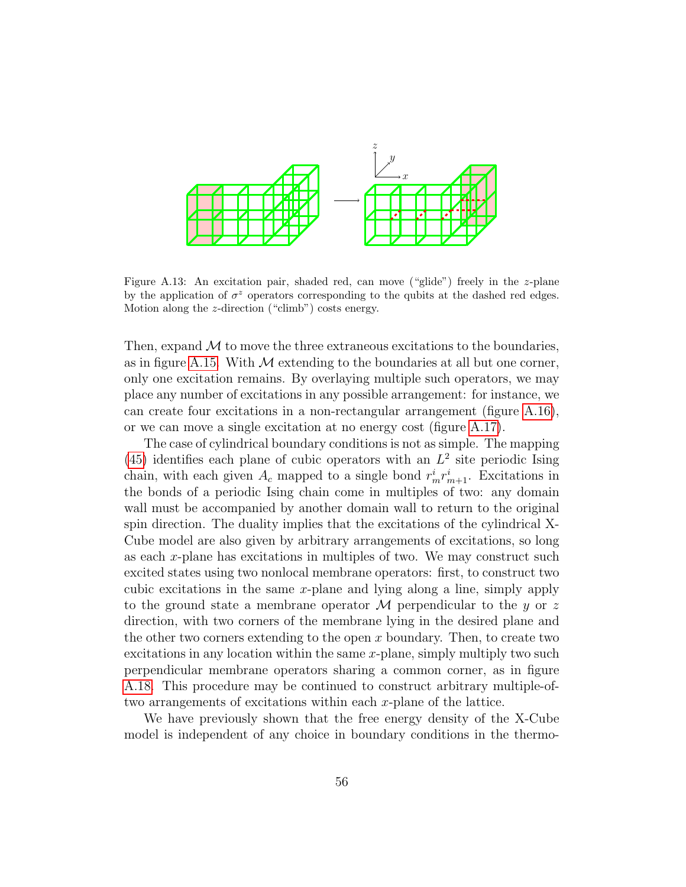

<span id="page-55-0"></span>Figure A.13: An excitation pair, shaded red, can move ("glide") freely in the z-plane by the application of  $\sigma^z$  operators corresponding to the qubits at the dashed red edges. Motion along the z-direction ("climb") costs energy.

Then, expand  $\mathcal M$  to move the three extraneous excitations to the boundaries, as in figure [A.15.](#page-57-0) With  $M$  extending to the boundaries at all but one corner, only one excitation remains. By overlaying multiple such operators, we may place any number of excitations in any possible arrangement: for instance, we can create four excitations in a non-rectangular arrangement (figure [A.16\)](#page-57-1), or we can move a single excitation at no energy cost (figure [A.17\)](#page-58-0).

The case of cylindrical boundary conditions is not as simple. The mapping  $(45)$  identifies each plane of cubic operators with an  $L<sup>2</sup>$  site periodic Ising chain, with each given  $A_c$  mapped to a single bond  $r_m^i r_{m+1}^i$ . Excitations in the bonds of a periodic Ising chain come in multiples of two: any domain wall must be accompanied by another domain wall to return to the original spin direction. The duality implies that the excitations of the cylindrical X-Cube model are also given by arbitrary arrangements of excitations, so long as each  $x$ -plane has excitations in multiples of two. We may construct such excited states using two nonlocal membrane operators: first, to construct two cubic excitations in the same x-plane and lying along a line, simply apply to the ground state a membrane operator M perpendicular to the y or z direction, with two corners of the membrane lying in the desired plane and the other two corners extending to the open  $x$  boundary. Then, to create two excitations in any location within the same  $x$ -plane, simply multiply two such perpendicular membrane operators sharing a common corner, as in figure [A.18.](#page-58-1) This procedure may be continued to construct arbitrary multiple-oftwo arrangements of excitations within each x-plane of the lattice.

We have previously shown that the free energy density of the X-Cube model is independent of any choice in boundary conditions in the thermo-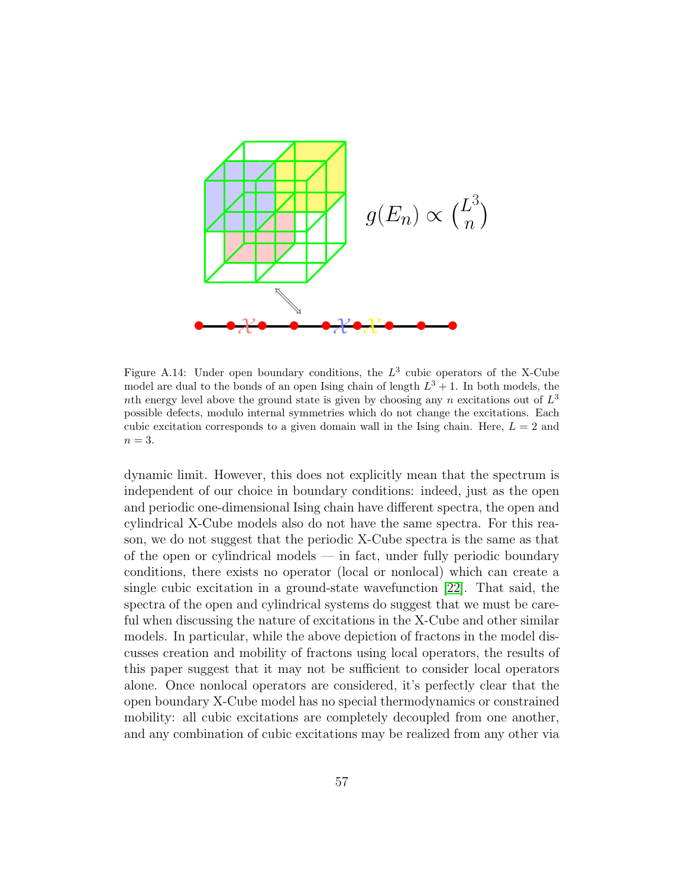

<span id="page-56-0"></span>Figure A.14: Under open boundary conditions, the  $L^3$  cubic operators of the X-Cube model are dual to the bonds of an open Ising chain of length  $L^3 + 1$ . In both models, the nth energy level above the ground state is given by choosing any n excitations out of  $L^3$ possible defects, modulo internal symmetries which do not change the excitations. Each cubic excitation corresponds to a given domain wall in the Ising chain. Here,  $L = 2$  and  $n=3$ .

dynamic limit. However, this does not explicitly mean that the spectrum is independent of our choice in boundary conditions: indeed, just as the open and periodic one-dimensional Ising chain have different spectra, the open and cylindrical X-Cube models also do not have the same spectra. For this reason, we do not suggest that the periodic X-Cube spectra is the same as that of the open or cylindrical models — in fact, under fully periodic boundary conditions, there exists no operator (local or nonlocal) which can create a single cubic excitation in a ground-state wavefunction [\[22\]](#page-60-10). That said, the spectra of the open and cylindrical systems do suggest that we must be careful when discussing the nature of excitations in the X-Cube and other similar models. In particular, while the above depiction of fractons in the model discusses creation and mobility of fractons using local operators, the results of this paper suggest that it may not be sufficient to consider local operators alone. Once nonlocal operators are considered, it's perfectly clear that the open boundary X-Cube model has no special thermodynamics or constrained mobility: all cubic excitations are completely decoupled from one another, and any combination of cubic excitations may be realized from any other via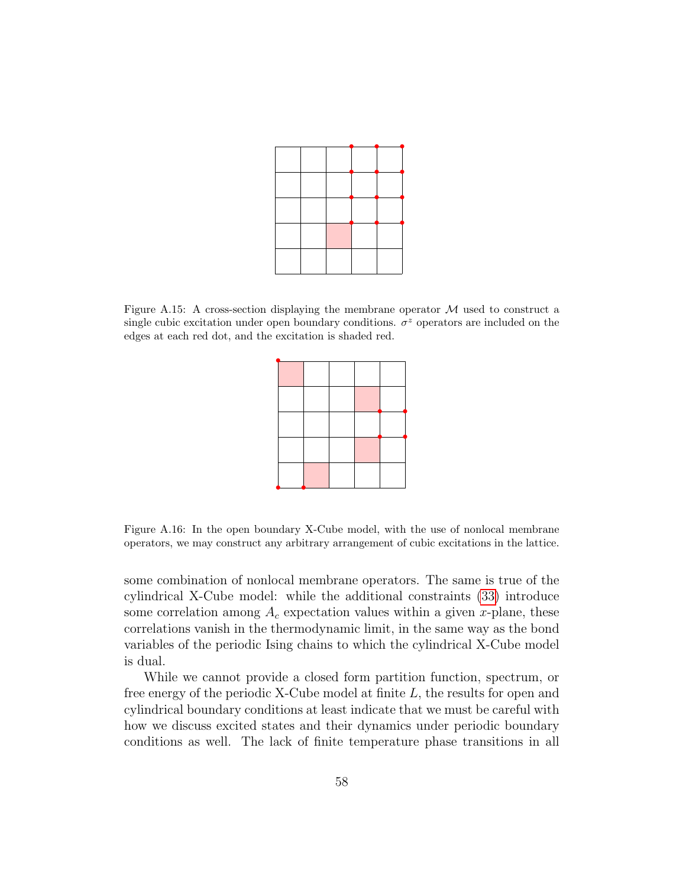

<span id="page-57-0"></span>Figure A.15: A cross-section displaying the membrane operator  $\mathcal M$  used to construct a single cubic excitation under open boundary conditions.  $\sigma^z$  operators are included on the edges at each red dot, and the excitation is shaded red.



<span id="page-57-1"></span>Figure A.16: In the open boundary X-Cube model, with the use of nonlocal membrane operators, we may construct any arbitrary arrangement of cubic excitations in the lattice.

some combination of nonlocal membrane operators. The same is true of the cylindrical X-Cube model: while the additional constraints [\(33\)](#page-19-2) introduce some correlation among  $A_c$  expectation values within a given x-plane, these correlations vanish in the thermodynamic limit, in the same way as the bond variables of the periodic Ising chains to which the cylindrical X-Cube model is dual.

While we cannot provide a closed form partition function, spectrum, or free energy of the periodic X-Cube model at finite L, the results for open and cylindrical boundary conditions at least indicate that we must be careful with how we discuss excited states and their dynamics under periodic boundary conditions as well. The lack of finite temperature phase transitions in all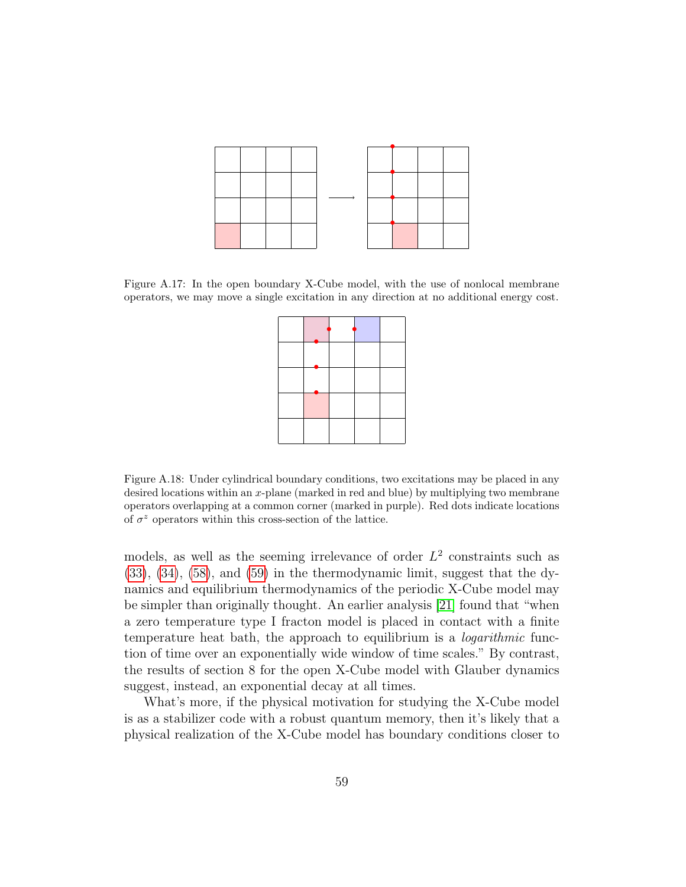

<span id="page-58-0"></span>Figure A.17: In the open boundary X-Cube model, with the use of nonlocal membrane operators, we may move a single excitation in any direction at no additional energy cost.

<span id="page-58-1"></span>Figure A.18: Under cylindrical boundary conditions, two excitations may be placed in any desired locations within an x-plane (marked in red and blue) by multiplying two membrane operators overlapping at a common corner (marked in purple). Red dots indicate locations of  $\sigma^z$  operators within this cross-section of the lattice.

models, as well as the seeming irrelevance of order  $L^2$  constraints such as [\(33\)](#page-19-2), [\(34\)](#page-19-3), [\(58\)](#page-29-1), and [\(59\)](#page-29-2) in the thermodynamic limit, suggest that the dynamics and equilibrium thermodynamics of the periodic X-Cube model may be simpler than originally thought. An earlier analysis [\[21\]](#page-60-9) found that "when a zero temperature type I fracton model is placed in contact with a finite temperature heat bath, the approach to equilibrium is a logarithmic function of time over an exponentially wide window of time scales." By contrast, the results of section 8 for the open X-Cube model with Glauber dynamics suggest, instead, an exponential decay at all times.

What's more, if the physical motivation for studying the X-Cube model is as a stabilizer code with a robust quantum memory, then it's likely that a physical realization of the X-Cube model has boundary conditions closer to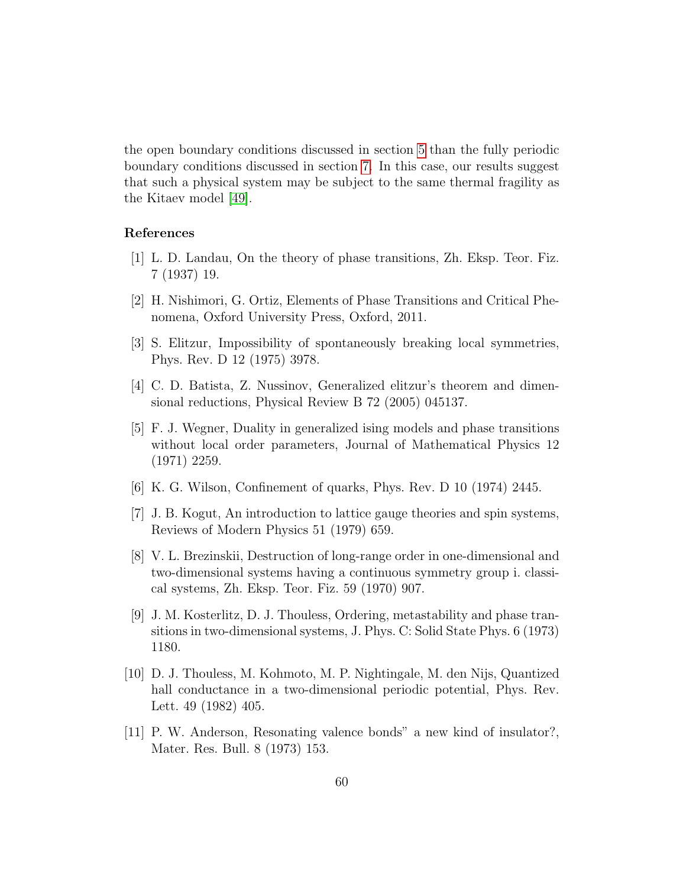the open boundary conditions discussed in section [5](#page-11-0) than the fully periodic boundary conditions discussed in section [7.](#page-28-0) In this case, our results suggest that such a physical system may be subject to the same thermal fragility as the Kitaev model [\[49\]](#page-63-1).

# References

- <span id="page-59-0"></span>[1] L. D. Landau, On the theory of phase transitions, Zh. Eksp. Teor. Fiz. 7 (1937) 19.
- <span id="page-59-1"></span>[2] H. Nishimori, G. Ortiz, Elements of Phase Transitions and Critical Phenomena, Oxford University Press, Oxford, 2011.
- <span id="page-59-2"></span>[3] S. Elitzur, Impossibility of spontaneously breaking local symmetries, Phys. Rev. D 12 (1975) 3978.
- <span id="page-59-3"></span>[4] C. D. Batista, Z. Nussinov, Generalized elitzur's theorem and dimensional reductions, Physical Review B 72 (2005) 045137.
- <span id="page-59-4"></span>[5] F. J. Wegner, Duality in generalized ising models and phase transitions without local order parameters, Journal of Mathematical Physics 12 (1971) 2259.
- <span id="page-59-5"></span>[6] K. G. Wilson, Confinement of quarks, Phys. Rev. D 10 (1974) 2445.
- <span id="page-59-6"></span>[7] J. B. Kogut, An introduction to lattice gauge theories and spin systems, Reviews of Modern Physics 51 (1979) 659.
- <span id="page-59-7"></span>[8] V. L. Brezinskii, Destruction of long-range order in one-dimensional and two-dimensional systems having a continuous symmetry group i. classical systems, Zh. Eksp. Teor. Fiz. 59 (1970) 907.
- <span id="page-59-8"></span>[9] J. M. Kosterlitz, D. J. Thouless, Ordering, metastability and phase transitions in two-dimensional systems, J. Phys. C: Solid State Phys. 6 (1973) 1180.
- <span id="page-59-9"></span>[10] D. J. Thouless, M. Kohmoto, M. P. Nightingale, M. den Nijs, Quantized hall conductance in a two-dimensional periodic potential, Phys. Rev. Lett. 49 (1982) 405.
- <span id="page-59-10"></span>[11] P. W. Anderson, Resonating valence bonds" a new kind of insulator?, Mater. Res. Bull. 8 (1973) 153.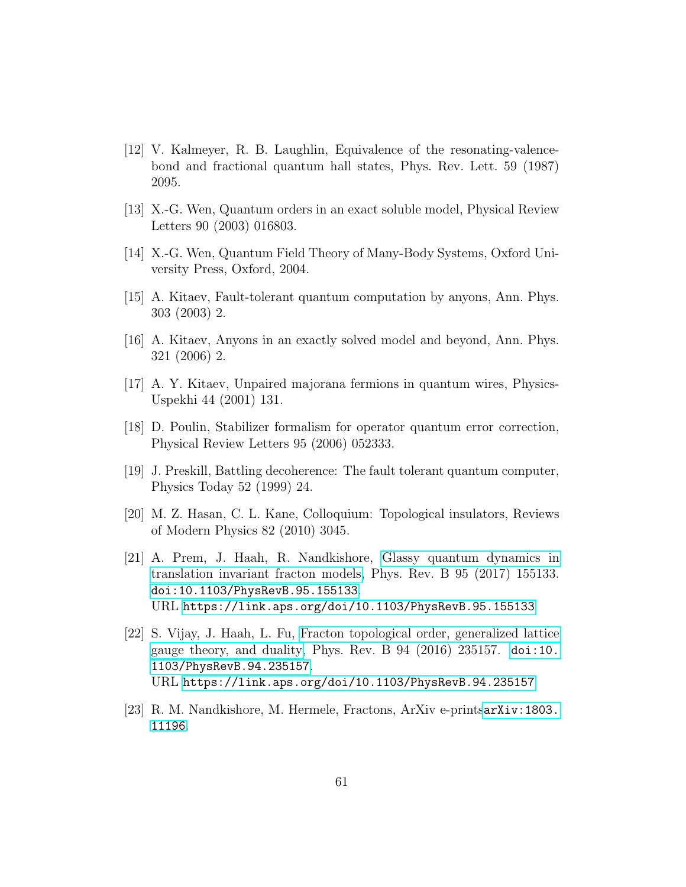- <span id="page-60-0"></span>[12] V. Kalmeyer, R. B. Laughlin, Equivalence of the resonating-valencebond and fractional quantum hall states, Phys. Rev. Lett. 59 (1987) 2095.
- <span id="page-60-1"></span>[13] X.-G. Wen, Quantum orders in an exact soluble model, Physical Review Letters 90 (2003) 016803.
- <span id="page-60-2"></span>[14] X.-G. Wen, Quantum Field Theory of Many-Body Systems, Oxford University Press, Oxford, 2004.
- <span id="page-60-3"></span>[15] A. Kitaev, Fault-tolerant quantum computation by anyons, Ann. Phys. 303 (2003) 2.
- <span id="page-60-4"></span>[16] A. Kitaev, Anyons in an exactly solved model and beyond, Ann. Phys. 321 (2006) 2.
- <span id="page-60-5"></span>[17] A. Y. Kitaev, Unpaired majorana fermions in quantum wires, Physics-Uspekhi 44 (2001) 131.
- <span id="page-60-6"></span>[18] D. Poulin, Stabilizer formalism for operator quantum error correction, Physical Review Letters 95 (2006) 052333.
- <span id="page-60-7"></span>[19] J. Preskill, Battling decoherence: The fault tolerant quantum computer, Physics Today 52 (1999) 24.
- <span id="page-60-8"></span>[20] M. Z. Hasan, C. L. Kane, Colloquium: Topological insulators, Reviews of Modern Physics 82 (2010) 3045.
- <span id="page-60-9"></span>[21] A. Prem, J. Haah, R. Nandkishore, [Glassy quantum dynamics in](https://link.aps.org/doi/10.1103/PhysRevB.95.155133) [translation invariant fracton models,](https://link.aps.org/doi/10.1103/PhysRevB.95.155133) Phys. Rev. B 95 (2017) 155133. [doi:10.1103/PhysRevB.95.155133](http://dx.doi.org/10.1103/PhysRevB.95.155133). URL <https://link.aps.org/doi/10.1103/PhysRevB.95.155133>
- <span id="page-60-10"></span>[22] S. Vijay, J. Haah, L. Fu, [Fracton topological order, generalized lattice](https://link.aps.org/doi/10.1103/PhysRevB.94.235157) [gauge theory, and duality,](https://link.aps.org/doi/10.1103/PhysRevB.94.235157) Phys. Rev. B  $94$  (2016) 235157. [doi:10.](http://dx.doi.org/10.1103/PhysRevB.94.235157) [1103/PhysRevB.94.235157](http://dx.doi.org/10.1103/PhysRevB.94.235157). URL <https://link.aps.org/doi/10.1103/PhysRevB.94.235157>
- <span id="page-60-11"></span>[23] R. M. Nandkishore, M. Hermele, Fractons, ArXiv e-prints[arXiv:1803.](http://arxiv.org/abs/1803.11196) [11196](http://arxiv.org/abs/1803.11196).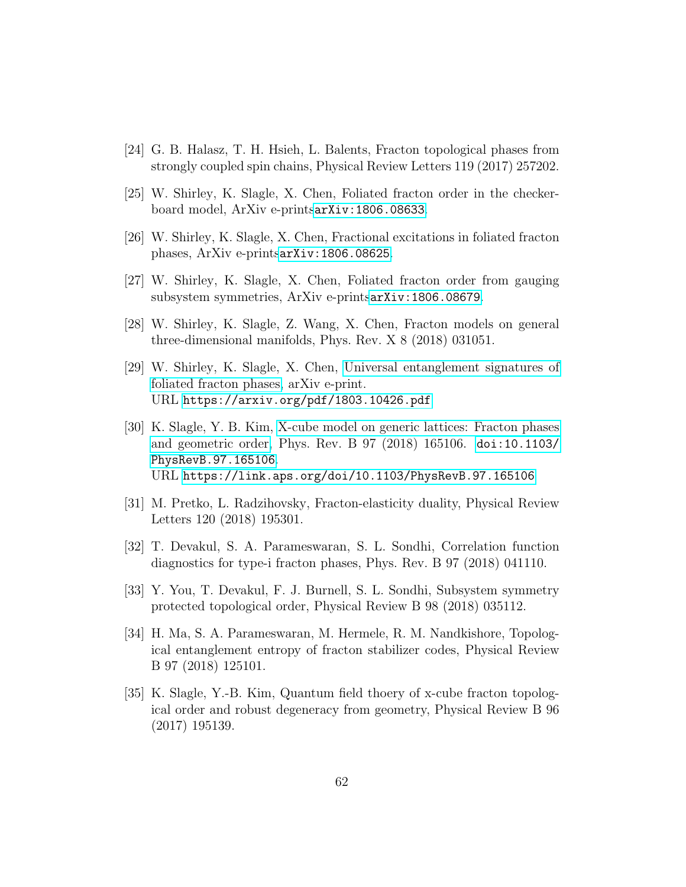- <span id="page-61-0"></span>[24] G. B. Halasz, T. H. Hsieh, L. Balents, Fracton topological phases from strongly coupled spin chains, Physical Review Letters 119 (2017) 257202.
- <span id="page-61-1"></span>[25] W. Shirley, K. Slagle, X. Chen, Foliated fracton order in the checkerboard model, ArXiv e-prints[arXiv:1806.08633](http://arxiv.org/abs/1806.08633).
- <span id="page-61-2"></span>[26] W. Shirley, K. Slagle, X. Chen, Fractional excitations in foliated fracton phases, ArXiv e-prints[arXiv:1806.08625](http://arxiv.org/abs/1806.08625).
- <span id="page-61-3"></span>[27] W. Shirley, K. Slagle, X. Chen, Foliated fracton order from gauging subsystem symmetries, ArXiv e-prints[arXiv:1806.08679](http://arxiv.org/abs/1806.08679).
- <span id="page-61-4"></span>[28] W. Shirley, K. Slagle, Z. Wang, X. Chen, Fracton models on general three-dimensional manifolds, Phys. Rev. X 8 (2018) 031051.
- <span id="page-61-5"></span>[29] W. Shirley, K. Slagle, X. Chen, [Universal entanglement signatures of](https://arxiv.org/pdf/1803.10426.pdf) [foliated fracton phases,](https://arxiv.org/pdf/1803.10426.pdf) arXiv e-print. URL <https://arxiv.org/pdf/1803.10426.pdf>
- <span id="page-61-6"></span>[30] K. Slagle, Y. B. Kim, [X-cube model on generic lattices: Fracton phases](https://link.aps.org/doi/10.1103/PhysRevB.97.165106) [and geometric order,](https://link.aps.org/doi/10.1103/PhysRevB.97.165106) Phys. Rev. B 97 (2018) 165106. [doi:10.1103/](http://dx.doi.org/10.1103/PhysRevB.97.165106) [PhysRevB.97.165106](http://dx.doi.org/10.1103/PhysRevB.97.165106). URL <https://link.aps.org/doi/10.1103/PhysRevB.97.165106>
- <span id="page-61-7"></span>[31] M. Pretko, L. Radzihovsky, Fracton-elasticity duality, Physical Review Letters 120 (2018) 195301.
- <span id="page-61-8"></span>[32] T. Devakul, S. A. Parameswaran, S. L. Sondhi, Correlation function diagnostics for type-i fracton phases, Phys. Rev. B 97 (2018) 041110.
- <span id="page-61-9"></span>[33] Y. You, T. Devakul, F. J. Burnell, S. L. Sondhi, Subsystem symmetry protected topological order, Physical Review B 98 (2018) 035112.
- <span id="page-61-10"></span>[34] H. Ma, S. A. Parameswaran, M. Hermele, R. M. Nandkishore, Topological entanglement entropy of fracton stabilizer codes, Physical Review B 97 (2018) 125101.
- <span id="page-61-11"></span>[35] K. Slagle, Y.-B. Kim, Quantum field thoery of x-cube fracton topological order and robust degeneracy from geometry, Physical Review B 96 (2017) 195139.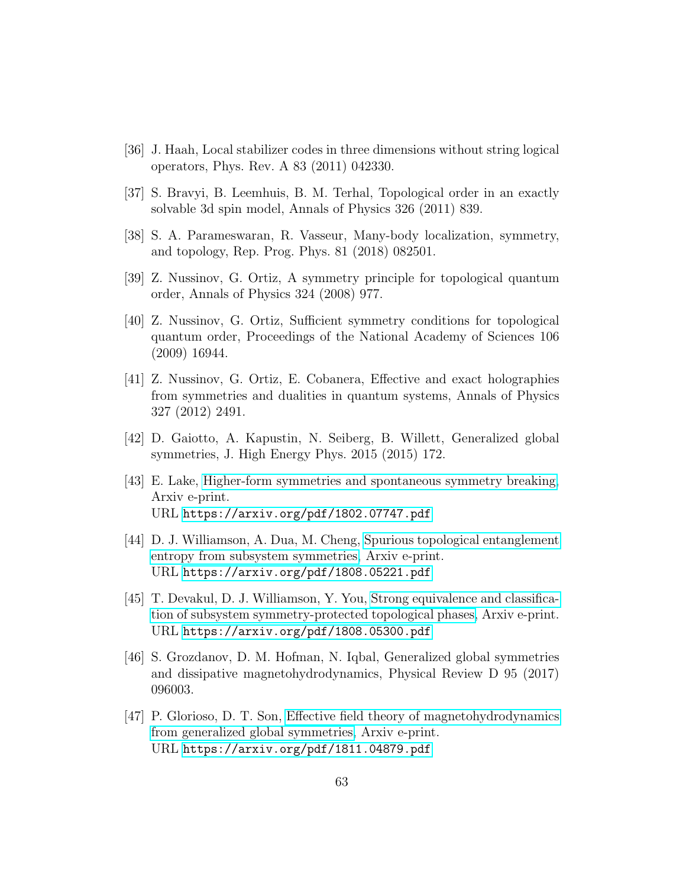- <span id="page-62-0"></span>[36] J. Haah, Local stabilizer codes in three dimensions without string logical operators, Phys. Rev. A 83 (2011) 042330.
- <span id="page-62-1"></span>[37] S. Bravyi, B. Leemhuis, B. M. Terhal, Topological order in an exactly solvable 3d spin model, Annals of Physics 326 (2011) 839.
- <span id="page-62-2"></span>[38] S. A. Parameswaran, R. Vasseur, Many-body localization, symmetry, and topology, Rep. Prog. Phys. 81 (2018) 082501.
- <span id="page-62-3"></span>[39] Z. Nussinov, G. Ortiz, A symmetry principle for topological quantum order, Annals of Physics 324 (2008) 977.
- <span id="page-62-4"></span>[40] Z. Nussinov, G. Ortiz, Sufficient symmetry conditions for topological quantum order, Proceedings of the National Academy of Sciences 106 (2009) 16944.
- <span id="page-62-5"></span>[41] Z. Nussinov, G. Ortiz, E. Cobanera, Effective and exact holographies from symmetries and dualities in quantum systems, Annals of Physics 327 (2012) 2491.
- <span id="page-62-6"></span>[42] D. Gaiotto, A. Kapustin, N. Seiberg, B. Willett, Generalized global symmetries, J. High Energy Phys. 2015 (2015) 172.
- <span id="page-62-7"></span>[43] E. Lake, [Higher-form symmetries and spontaneous symmetry breaking,](https://arxiv.org/pdf/1802.07747.pdf) Arxiv e-print. URL <https://arxiv.org/pdf/1802.07747.pdf>
- <span id="page-62-8"></span>[44] D. J. Williamson, A. Dua, M. Cheng, [Spurious topological entanglement](https://arxiv.org/pdf/1808.05221.pdf) [entropy from subsystem symmetries,](https://arxiv.org/pdf/1808.05221.pdf) Arxiv e-print. URL <https://arxiv.org/pdf/1808.05221.pdf>
- <span id="page-62-9"></span>[45] T. Devakul, D. J. Williamson, Y. You, [Strong equivalence and classifica](https://arxiv.org/pdf/1808.05300.pdf)[tion of subsystem symmetry-protected topological phases,](https://arxiv.org/pdf/1808.05300.pdf) Arxiv e-print. URL <https://arxiv.org/pdf/1808.05300.pdf>
- <span id="page-62-10"></span>[46] S. Grozdanov, D. M. Hofman, N. Iqbal, Generalized global symmetries and dissipative magnetohydrodynamics, Physical Review D 95 (2017) 096003.
- <span id="page-62-11"></span>[47] P. Glorioso, D. T. Son, [Effective field theory of magnetohydrodynamics](https://arxiv.org/pdf/1811.04879.pdf) [from generalized global symmetries,](https://arxiv.org/pdf/1811.04879.pdf) Arxiv e-print. URL <https://arxiv.org/pdf/1811.04879.pdf>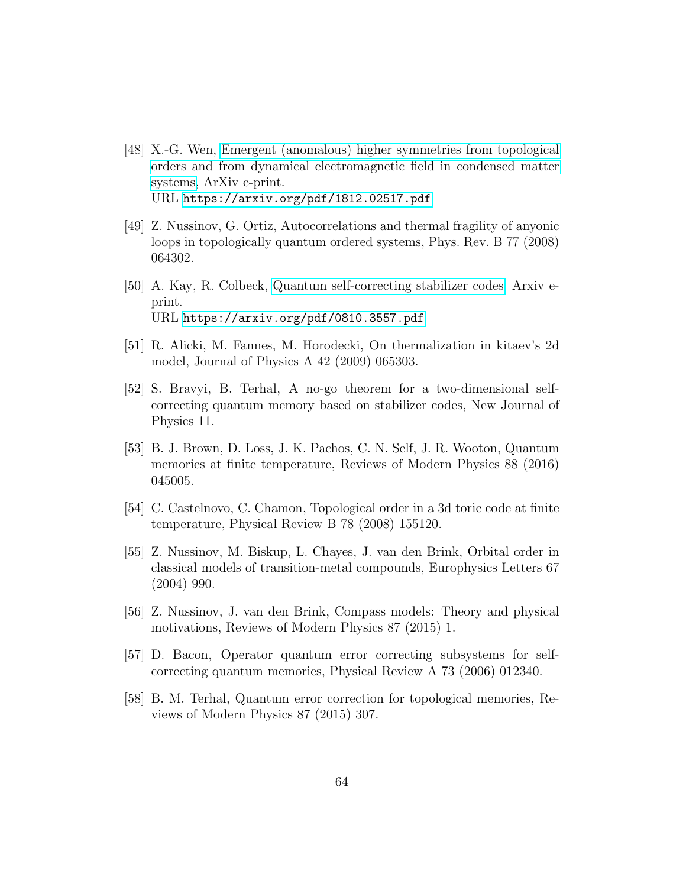- <span id="page-63-0"></span>[48] X.-G. Wen, [Emergent \(anomalous\) higher symmetries from topological](https://arxiv.org/pdf/1812.02517.pdf) [orders and from dynamical electromagnetic field in condensed matter](https://arxiv.org/pdf/1812.02517.pdf) [systems,](https://arxiv.org/pdf/1812.02517.pdf) ArXiv e-print. URL <https://arxiv.org/pdf/1812.02517.pdf>
- <span id="page-63-1"></span>[49] Z. Nussinov, G. Ortiz, Autocorrelations and thermal fragility of anyonic loops in topologically quantum ordered systems, Phys. Rev. B 77 (2008) 064302.
- <span id="page-63-2"></span>[50] A. Kay, R. Colbeck, [Quantum self-correcting stabilizer codes,](https://arxiv.org/pdf/0810.3557.pdf) Arxiv eprint. URL <https://arxiv.org/pdf/0810.3557.pdf>
- <span id="page-63-3"></span>[51] R. Alicki, M. Fannes, M. Horodecki, On thermalization in kitaev's 2d model, Journal of Physics A 42 (2009) 065303.
- <span id="page-63-4"></span>[52] S. Bravyi, B. Terhal, A no-go theorem for a two-dimensional selfcorrecting quantum memory based on stabilizer codes, New Journal of Physics 11.
- <span id="page-63-5"></span>[53] B. J. Brown, D. Loss, J. K. Pachos, C. N. Self, J. R. Wooton, Quantum memories at finite temperature, Reviews of Modern Physics 88 (2016) 045005.
- <span id="page-63-6"></span>[54] C. Castelnovo, C. Chamon, Topological order in a 3d toric code at finite temperature, Physical Review B 78 (2008) 155120.
- <span id="page-63-7"></span>[55] Z. Nussinov, M. Biskup, L. Chayes, J. van den Brink, Orbital order in classical models of transition-metal compounds, Europhysics Letters 67 (2004) 990.
- <span id="page-63-8"></span>[56] Z. Nussinov, J. van den Brink, Compass models: Theory and physical motivations, Reviews of Modern Physics 87 (2015) 1.
- <span id="page-63-9"></span>[57] D. Bacon, Operator quantum error correcting subsystems for selfcorrecting quantum memories, Physical Review A 73 (2006) 012340.
- <span id="page-63-10"></span>[58] B. M. Terhal, Quantum error correction for topological memories, Reviews of Modern Physics 87 (2015) 307.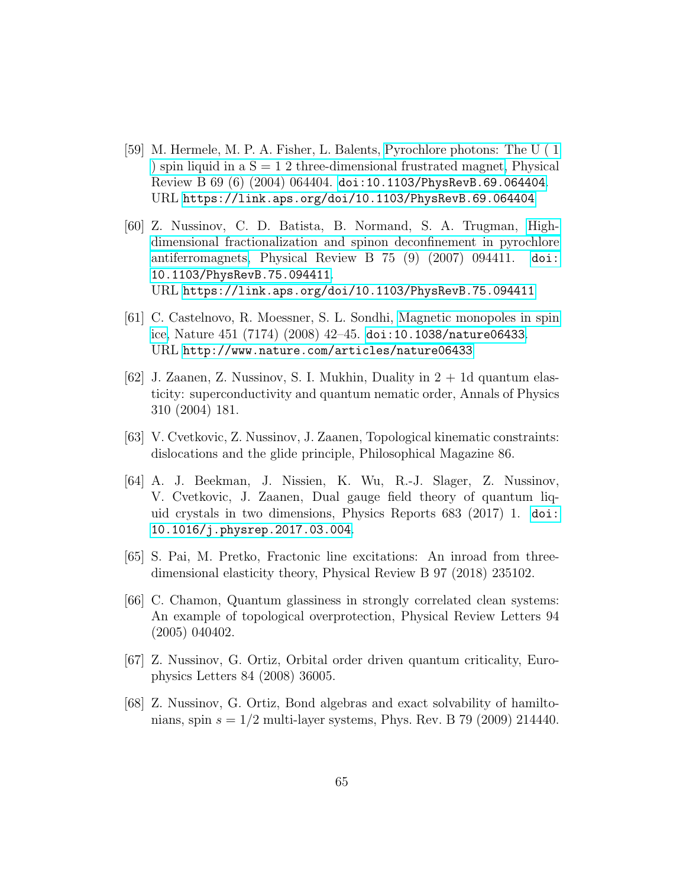- <span id="page-64-0"></span>[59] M. Hermele, M. P. A. Fisher, L. Balents, [Pyrochlore photons: The U \( 1](https://link.aps.org/doi/10.1103/PhysRevB.69.064404) ) spin liquid in a  $S = 12$  three-dimensional frustrated magnet, Physical Review B 69 (6) (2004) 064404. [doi:10.1103/PhysRevB.69.064404](http://dx.doi.org/10.1103/PhysRevB.69.064404). URL <https://link.aps.org/doi/10.1103/PhysRevB.69.064404>
- <span id="page-64-1"></span>[60] Z. Nussinov, C. D. Batista, B. Normand, S. A. Trugman, [High](https://link.aps.org/doi/10.1103/PhysRevB.75.094411)[dimensional fractionalization and spinon deconfinement in pyrochlore](https://link.aps.org/doi/10.1103/PhysRevB.75.094411) [antiferromagnets,](https://link.aps.org/doi/10.1103/PhysRevB.75.094411) Physical Review B 75 (9) (2007) 094411. [doi:](http://dx.doi.org/10.1103/PhysRevB.75.094411) [10.1103/PhysRevB.75.094411](http://dx.doi.org/10.1103/PhysRevB.75.094411). URL <https://link.aps.org/doi/10.1103/PhysRevB.75.094411>
- <span id="page-64-2"></span>[61] C. Castelnovo, R. Moessner, S. L. Sondhi, [Magnetic monopoles in spin](http://www.nature.com/articles/nature06433) [ice,](http://www.nature.com/articles/nature06433) Nature 451 (7174) (2008) 42–45. [doi:10.1038/nature06433](http://dx.doi.org/10.1038/nature06433). URL <http://www.nature.com/articles/nature06433>
- <span id="page-64-3"></span>[62] J. Zaanen, Z. Nussinov, S. I. Mukhin, Duality in  $2 + 1d$  quantum elasticity: superconductivity and quantum nematic order, Annals of Physics 310 (2004) 181.
- <span id="page-64-4"></span>[63] V. Cvetkovic, Z. Nussinov, J. Zaanen, Topological kinematic constraints: dislocations and the glide principle, Philosophical Magazine 86.
- <span id="page-64-5"></span>[64] A. J. Beekman, J. Nissien, K. Wu, R.-J. Slager, Z. Nussinov, V. Cvetkovic, J. Zaanen, Dual gauge field theory of quantum liquid crystals in two dimensions, Physics Reports 683 (2017) 1. [doi:](http://dx.doi.org/10.1016/j.physrep.2017.03.004) [10.1016/j.physrep.2017.03.004](http://dx.doi.org/10.1016/j.physrep.2017.03.004).
- <span id="page-64-6"></span>[65] S. Pai, M. Pretko, Fractonic line excitations: An inroad from threedimensional elasticity theory, Physical Review B 97 (2018) 235102.
- <span id="page-64-7"></span>[66] C. Chamon, Quantum glassiness in strongly correlated clean systems: An example of topological overprotection, Physical Review Letters 94 (2005) 040402.
- <span id="page-64-8"></span>[67] Z. Nussinov, G. Ortiz, Orbital order driven quantum criticality, Europhysics Letters 84 (2008) 36005.
- <span id="page-64-9"></span>[68] Z. Nussinov, G. Ortiz, Bond algebras and exact solvability of hamiltonians, spin  $s = 1/2$  multi-layer systems, Phys. Rev. B 79 (2009) 214440.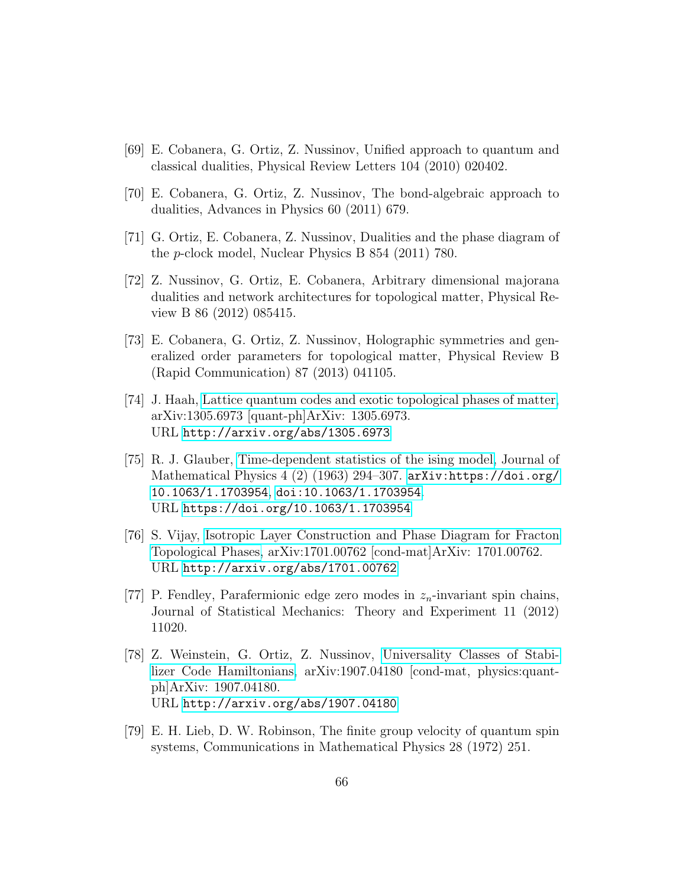- <span id="page-65-0"></span>[69] E. Cobanera, G. Ortiz, Z. Nussinov, Unified approach to quantum and classical dualities, Physical Review Letters 104 (2010) 020402.
- <span id="page-65-1"></span>[70] E. Cobanera, G. Ortiz, Z. Nussinov, The bond-algebraic approach to dualities, Advances in Physics 60 (2011) 679.
- <span id="page-65-2"></span>[71] G. Ortiz, E. Cobanera, Z. Nussinov, Dualities and the phase diagram of the p-clock model, Nuclear Physics B 854 (2011) 780.
- <span id="page-65-3"></span>[72] Z. Nussinov, G. Ortiz, E. Cobanera, Arbitrary dimensional majorana dualities and network architectures for topological matter, Physical Review B 86 (2012) 085415.
- <span id="page-65-4"></span>[73] E. Cobanera, G. Ortiz, Z. Nussinov, Holographic symmetries and generalized order parameters for topological matter, Physical Review B (Rapid Communication) 87 (2013) 041105.
- <span id="page-65-5"></span>[74] J. Haah, [Lattice quantum codes and exotic topological phases of matter,](http://arxiv.org/abs/1305.6973) arXiv:1305.6973 [quant-ph]ArXiv: 1305.6973. URL <http://arxiv.org/abs/1305.6973>
- <span id="page-65-6"></span>[75] R. J. Glauber, [Time-dependent statistics of the ising model,](https://doi.org/10.1063/1.1703954) Journal of Mathematical Physics 4 (2) (1963) 294–307. [arXiv:https://doi.org/](http://arxiv.org/abs/https://doi.org/10.1063/1.1703954) [10.1063/1.1703954](http://arxiv.org/abs/https://doi.org/10.1063/1.1703954), [doi:10.1063/1.1703954](http://dx.doi.org/10.1063/1.1703954). URL <https://doi.org/10.1063/1.1703954>
- <span id="page-65-7"></span>[76] S. Vijay, [Isotropic Layer Construction and Phase Diagram for Fracton](http://arxiv.org/abs/1701.00762) [Topological Phases,](http://arxiv.org/abs/1701.00762) arXiv:1701.00762 [cond-mat]ArXiv: 1701.00762. URL <http://arxiv.org/abs/1701.00762>
- <span id="page-65-8"></span>[77] P. Fendley, Parafermionic edge zero modes in  $z_n$ -invariant spin chains, Journal of Statistical Mechanics: Theory and Experiment 11 (2012) 11020.
- <span id="page-65-9"></span>[78] Z. Weinstein, G. Ortiz, Z. Nussinov, [Universality Classes of Stabi](http://arxiv.org/abs/1907.04180)[lizer Code Hamiltonians,](http://arxiv.org/abs/1907.04180) arXiv:1907.04180 [cond-mat, physics:quantph]ArXiv: 1907.04180. URL <http://arxiv.org/abs/1907.04180>
- <span id="page-65-10"></span>[79] E. H. Lieb, D. W. Robinson, The finite group velocity of quantum spin systems, Communications in Mathematical Physics 28 (1972) 251.